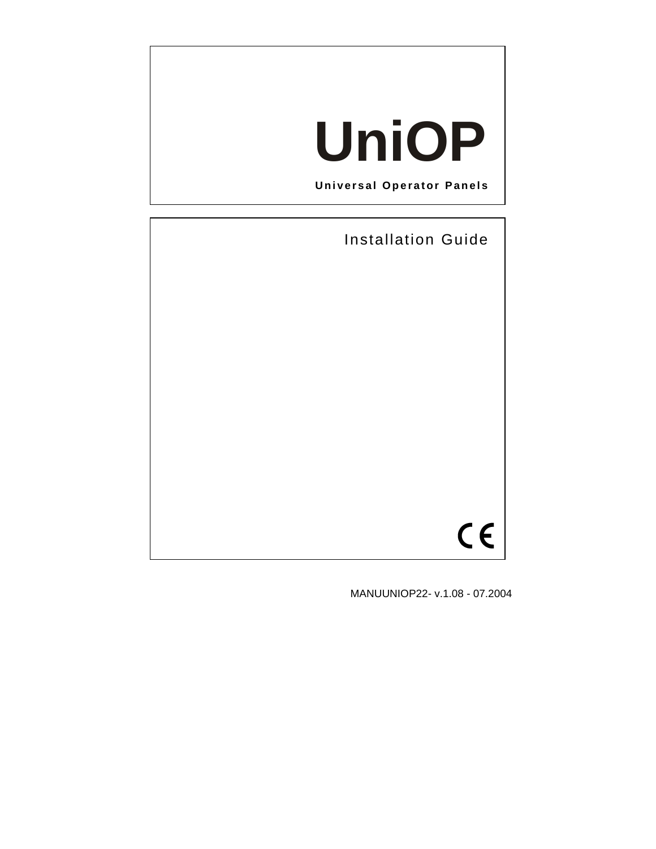

**Universal Operator Panels** 



MANUUNIOP22- v.1.08 - 07.2004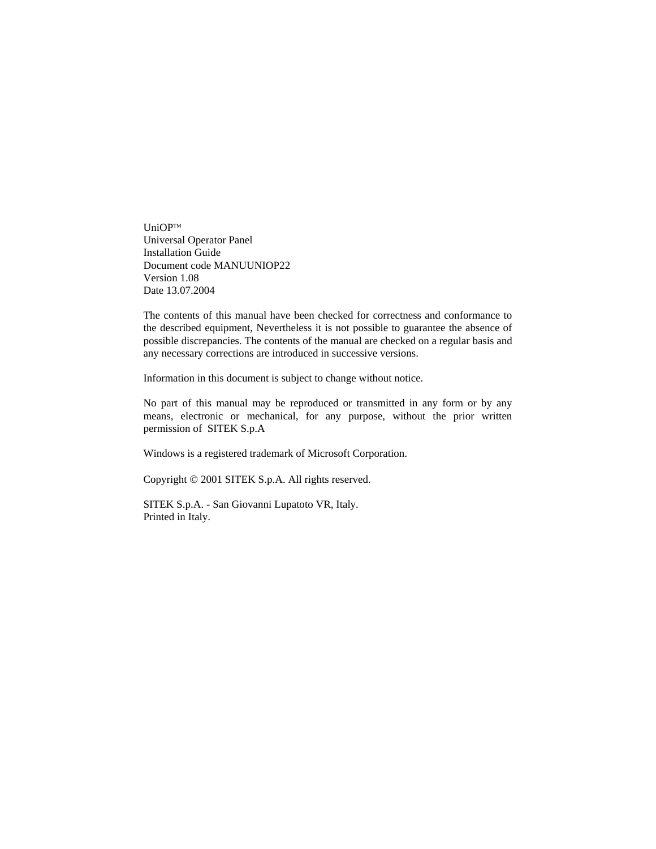UniOP™ Universal Operator Panel Installation Guide Document code MANUUNIOP22 Version 1.08 Date 13.07.2004

The contents of this manual have been checked for correctness and conformance to the described equipment, Nevertheless it is not possible to guarantee the absence of possible discrepancies. The contents of the manual are checked on a regular basis and any necessary corrections are introduced in successive versions.

Information in this document is subject to change without notice.

No part of this manual may be reproduced or transmitted in any form or by any means, electronic or mechanical, for any purpose, without the prior written permission of SITEK S.p.A

Windows is a registered trademark of Microsoft Corporation.

Copyright © 2001 SITEK S.p.A. All rights reserved.

SITEK S.p.A. - San Giovanni Lupatoto VR, Italy. Printed in Italy.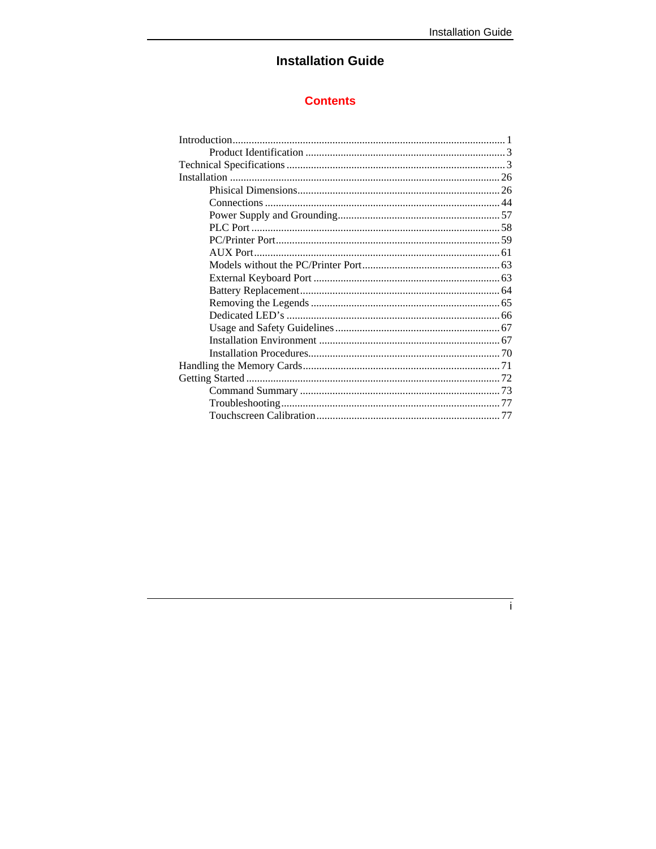$\bar{1}$ 

# **Installation Guide**

## **Contents**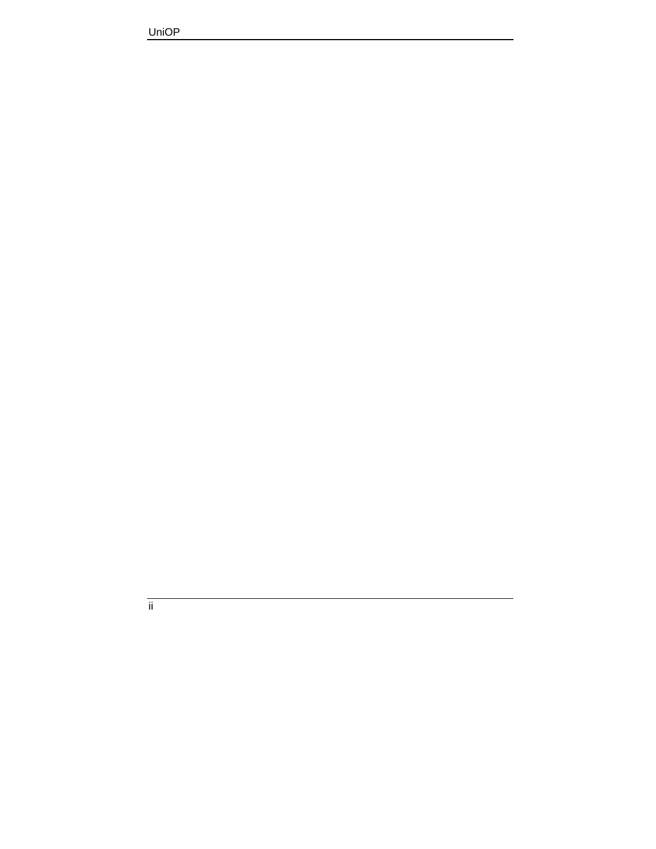ii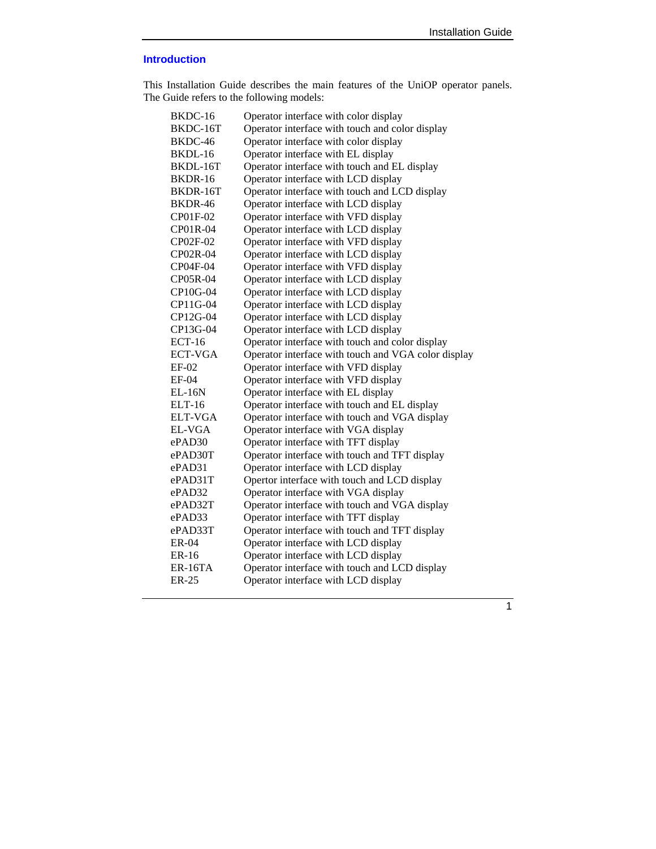# **Introduction**

This Installation Guide describes the main features of the UniOP operator panels. The Guide refers to the following models:

| BKDC-16        | Operator interface with color display               |
|----------------|-----------------------------------------------------|
| BKDC-16T       | Operator interface with touch and color display     |
| BKDC-46        | Operator interface with color display               |
| BKDL-16        | Operator interface with EL display                  |
| BKDL-16T       | Operator interface with touch and EL display        |
| BKDR-16        | Operator interface with LCD display                 |
| BKDR-16T       | Operator interface with touch and LCD display       |
| BKDR-46        | Operator interface with LCD display                 |
| CP01F-02       | Operator interface with VFD display                 |
| CP01R-04       | Operator interface with LCD display                 |
| CP02F-02       | Operator interface with VFD display                 |
| CP02R-04       | Operator interface with LCD display                 |
| CP04F-04       | Operator interface with VFD display                 |
| CP05R-04       | Operator interface with LCD display                 |
| CP10G-04       | Operator interface with LCD display                 |
| CP11G-04       | Operator interface with LCD display                 |
| CP12G-04       | Operator interface with LCD display                 |
| CP13G-04       | Operator interface with LCD display                 |
| <b>ECT-16</b>  | Operator interface with touch and color display     |
| <b>ECT-VGA</b> | Operator interface with touch and VGA color display |
| $EF-02$        | Operator interface with VFD display                 |
| EF-04          | Operator interface with VFD display                 |
| $EL-16N$       | Operator interface with EL display                  |
| $ELT-16$       | Operator interface with touch and EL display        |
| ELT-VGA        | Operator interface with touch and VGA display       |
| EL-VGA         | Operator interface with VGA display                 |
| ePAD30         | Operator interface with TFT display                 |
| ePAD30T        | Operator interface with touch and TFT display       |
| ePAD31         | Operator interface with LCD display                 |
| ePAD31T        | Opertor interface with touch and LCD display        |
| ePAD32         | Operator interface with VGA display                 |
| ePAD32T        | Operator interface with touch and VGA display       |
| ePAD33         | Operator interface with TFT display                 |
| ePAD33T        | Operator interface with touch and TFT display       |
| <b>ER-04</b>   | Operator interface with LCD display                 |
| ER-16          | Operator interface with LCD display                 |
| ER-16TA        | Operator interface with touch and LCD display       |
| ER-25          | Operator interface with LCD display                 |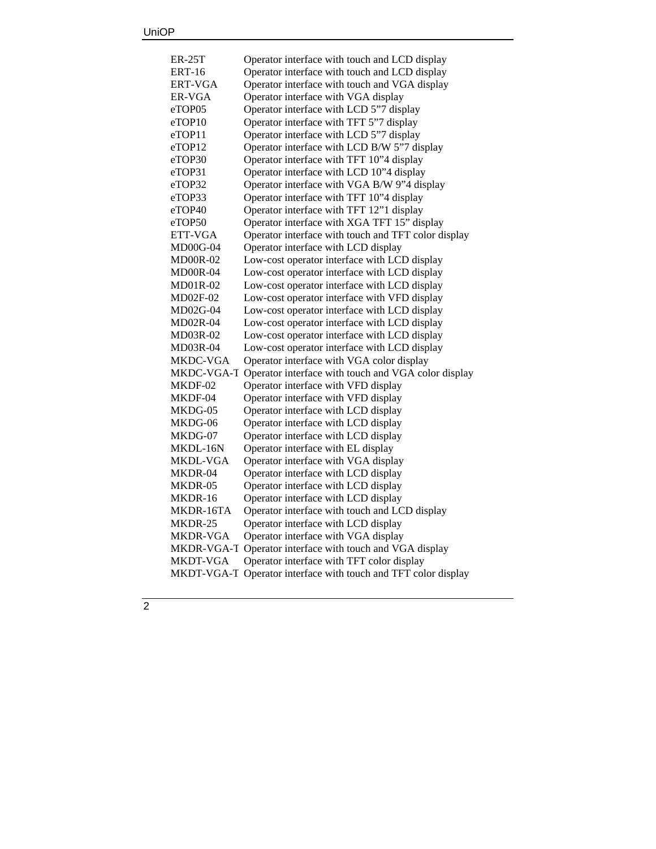| <b>ER-25T</b>   | Operator interface with touch and LCD display                  |
|-----------------|----------------------------------------------------------------|
| <b>ERT-16</b>   | Operator interface with touch and LCD display                  |
| ERT-VGA         | Operator interface with touch and VGA display                  |
| ER-VGA          | Operator interface with VGA display                            |
| eTOP05          | Operator interface with LCD 5"7 display                        |
| eTOP10          | Operator interface with TFT 5"7 display                        |
| eTOP11          | Operator interface with LCD 5"7 display                        |
| eTOP12          | Operator interface with LCD B/W 5"7 display                    |
| eTOP30          | Operator interface with TFT 10"4 display                       |
| eTOP31          | Operator interface with LCD 10"4 display                       |
| eTOP32          | Operator interface with VGA B/W 9"4 display                    |
| eTOP33          | Operator interface with TFT 10"4 display                       |
| eTOP40          | Operator interface with TFT 12"1 display                       |
| eTOP50          | Operator interface with XGA TFT 15" display                    |
| ETT-VGA         | Operator interface with touch and TFT color display            |
| MD00G-04        | Operator interface with LCD display                            |
| <b>MD00R-02</b> | Low-cost operator interface with LCD display                   |
| <b>MD00R-04</b> | Low-cost operator interface with LCD display                   |
| MD01R-02        | Low-cost operator interface with LCD display                   |
| MD02F-02        | Low-cost operator interface with VFD display                   |
| MD02G-04        | Low-cost operator interface with LCD display                   |
| MD02R-04        | Low-cost operator interface with LCD display                   |
| MD03R-02        | Low-cost operator interface with LCD display                   |
| MD03R-04        | Low-cost operator interface with LCD display                   |
| MKDC-VGA        | Operator interface with VGA color display                      |
|                 | MKDC-VGA-T Operator interface with touch and VGA color display |
| MKDF-02         | Operator interface with VFD display                            |
| MKDF-04         | Operator interface with VFD display                            |
| MKDG-05         | Operator interface with LCD display                            |
| MKDG-06         | Operator interface with LCD display                            |
| MKDG-07         | Operator interface with LCD display                            |
| MKDL-16N        | Operator interface with EL display                             |
| MKDL-VGA        | Operator interface with VGA display                            |
| MKDR-04         | Operator interface with LCD display                            |
| MKDR-05         | Operator interface with LCD display                            |
| MKDR-16         | Operator interface with LCD display                            |
| MKDR-16TA       | Operator interface with touch and LCD display                  |
| MKDR-25         | Operator interface with LCD display                            |
| MKDR-VGA        | Operator interface with VGA display                            |
|                 | MKDR-VGA-T Operator interface with touch and VGA display       |
| MKDT-VGA        | Operator interface with TFT color display                      |
| MKDT-VGA-T      | Operator interface with touch and TFT color display            |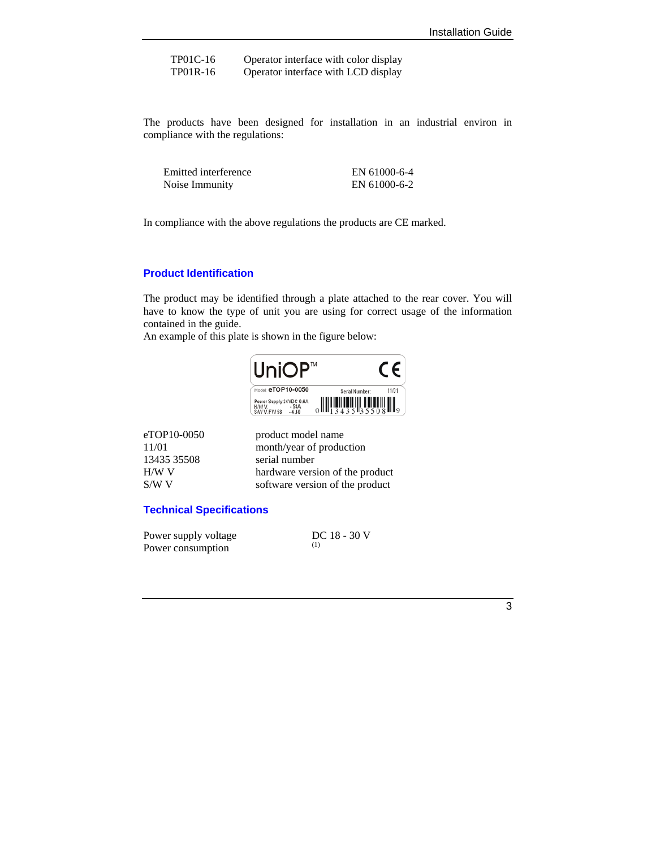TP01C-16 Operator interface with color display TP01R-16 Operator interface with LCD display

The products have been designed for installation in an industrial environ in compliance with the regulations:

| Emitted interference | EN 61000-6-4 |
|----------------------|--------------|
| Noise Immunity       | EN 61000-6-2 |

In compliance with the above regulations the products are CE marked.

## **Product Identification**

The product may be identified through a plate attached to the rear cover. You will have to know the type of unit you are using for correct usage of the information contained in the guide.

An example of this plate is shown in the figure below:



| eTOP10-0050 | product model name              |
|-------------|---------------------------------|
| 11/01       | month/year of production        |
| 13435 35508 | serial number                   |
| H/WV        | hardware version of the product |
| S/WV        | software version of the product |

#### **Technical Specifications**

| Power supply voltage | DC 18 - 30 V |
|----------------------|--------------|
| Power consumption    | (1)          |

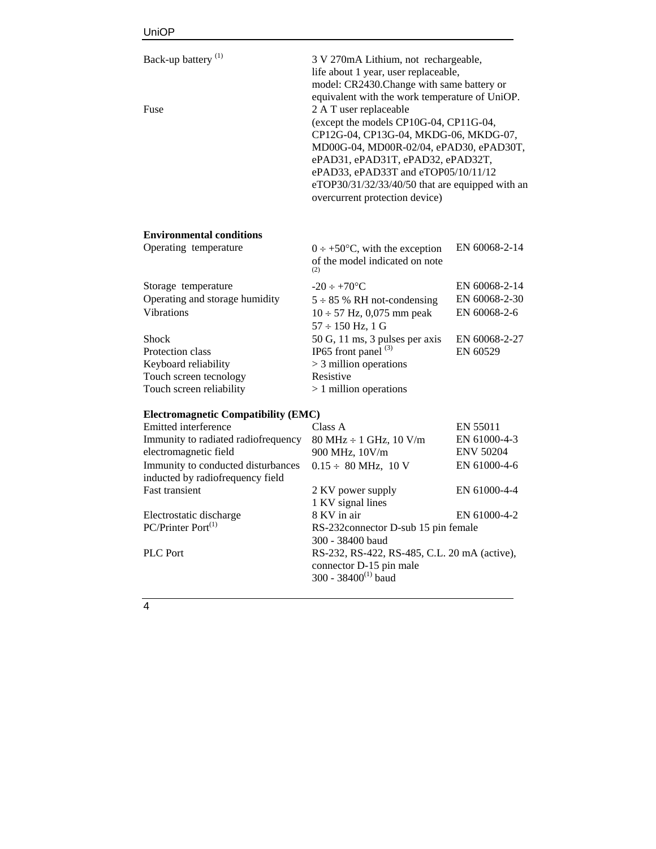| Back-up battery <sup>(1)</sup>             | 3 V 270mA Lithium, not rechargeable,<br>life about 1 year, user replaceable, |                  |  |
|--------------------------------------------|------------------------------------------------------------------------------|------------------|--|
|                                            | model: CR2430.Change with same battery or                                    |                  |  |
|                                            | equivalent with the work temperature of UniOP.                               |                  |  |
| Fuse                                       | 2 A T user replaceable                                                       |                  |  |
|                                            | (except the models CP10G-04, CP11G-04,                                       |                  |  |
|                                            | CP12G-04, CP13G-04, MKDG-06, MKDG-07,                                        |                  |  |
|                                            | MD00G-04, MD00R-02/04, ePAD30, ePAD30T,                                      |                  |  |
|                                            | ePAD31, ePAD31T, ePAD32, ePAD32T,                                            |                  |  |
|                                            | ePAD33, ePAD33T and eTOP05/10/11/12                                          |                  |  |
|                                            | eTOP30/31/32/33/40/50 that are equipped with an                              |                  |  |
|                                            | overcurrent protection device)                                               |                  |  |
|                                            |                                                                              |                  |  |
| <b>Environmental conditions</b>            |                                                                              |                  |  |
| Operating temperature                      | $0 \div 50^{\circ}$ C, with the exception                                    | EN 60068-2-14    |  |
|                                            | of the model indicated on note<br>(2)                                        |                  |  |
| Storage temperature                        | $-20 \div +70$ <sup>o</sup> C                                                | EN 60068-2-14    |  |
| Operating and storage humidity             | $5 \div 85$ % RH not-condensing                                              | EN 60068-2-30    |  |
| <b>Vibrations</b>                          | $10 \div 57$ Hz, 0,075 mm peak                                               | EN 60068-2-6     |  |
|                                            | $57 \div 150$ Hz, 1 G                                                        |                  |  |
| Shock                                      | 50 G, 11 ms, 3 pulses per axis                                               | EN 60068-2-27    |  |
| Protection class                           | IP65 front panel $(3)$                                                       | EN 60529         |  |
| Keyboard reliability                       | $>$ 3 million operations                                                     |                  |  |
| Touch screen tecnology                     | Resistive                                                                    |                  |  |
| Touch screen reliability                   | $>1$ million operations                                                      |                  |  |
| <b>Electromagnetic Compatibility (EMC)</b> |                                                                              |                  |  |
| Emitted interference                       | Class A                                                                      | EN 55011         |  |
| Immunity to radiated radiofrequency        | 80 MHz $\div$ 1 GHz, 10 V/m                                                  | EN 61000-4-3     |  |
| electromagnetic field                      | 900 MHz, 10V/m                                                               | <b>ENV 50204</b> |  |
| Immunity to conducted disturbances         | $0.15 \div 80$ MHz, 10 V                                                     | EN 61000-4-6     |  |
| inducted by radiofrequency field           |                                                                              |                  |  |
| Fast transient                             | 2 KV power supply                                                            | EN 61000-4-4     |  |
|                                            | 1 KV signal lines                                                            |                  |  |
| Electrostatic discharge                    | 8 KV in air                                                                  | EN 61000-4-2     |  |
| PC/Printer Port <sup>(1)</sup>             | RS-232connector D-sub 15 pin female                                          |                  |  |
|                                            | 300 - 38400 baud                                                             |                  |  |
| <b>PLC</b> Port                            | RS-232, RS-422, RS-485, C.L. 20 mA (active),                                 |                  |  |

connector D-15 pin male  $300 - 38400^{(1)}$  baud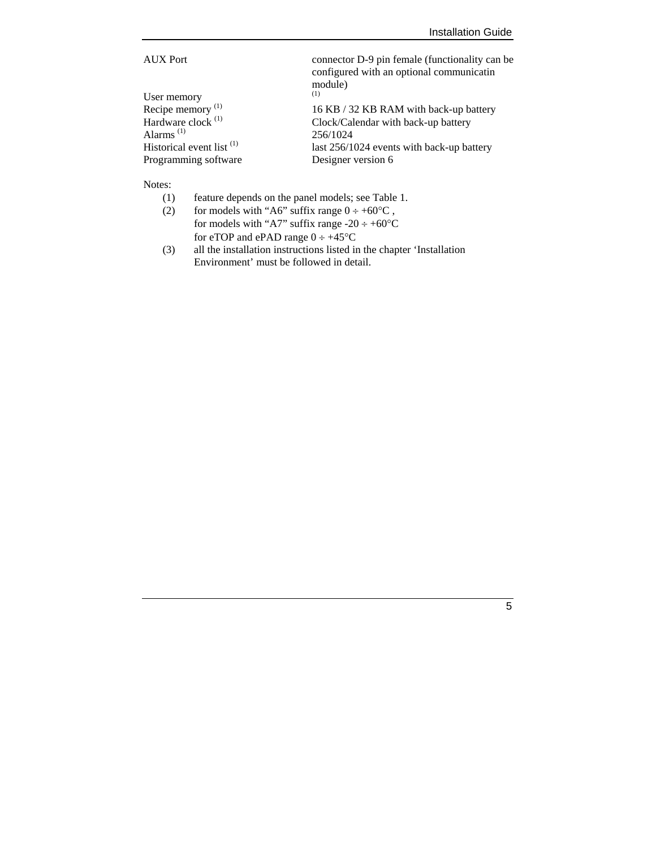| <b>AUX Port</b>                    | connector D-9 pin female (functionality can be |
|------------------------------------|------------------------------------------------|
|                                    | configured with an optional communicatin       |
|                                    | module)                                        |
| User memory                        | (1)                                            |
| Recipe memory $(1)$                | 16 KB / 32 KB RAM with back-up battery         |
| Hardware clock <sup>(1)</sup>      | Clock/Calendar with back-up battery            |
| Alarms <sup><math>(1)</math></sup> | 256/1024                                       |
| Historical event list $(1)$        | last 256/1024 events with back-up battery      |
| Programming software               | Designer version 6                             |

Notes:

- (1) feature depends on the panel models; see Table 1.
- (2) for models with "A6" suffix range  $0 \div +60^{\circ}C$ , for models with "A7" suffix range -20  $\div$  +60°C for eTOP and ePAD range  $0 \div +45^{\circ}C$
- (3) all the installation instructions listed in the chapter 'Installation Environment' must be followed in detail.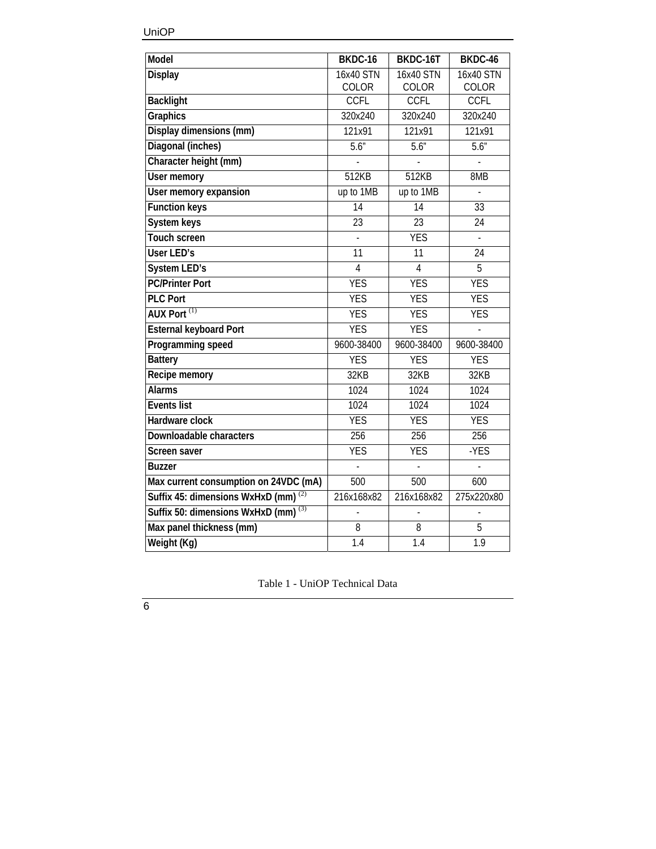| Model                                           | BKDC-16                  | BKDC-16T           | BKDC-46                  |
|-------------------------------------------------|--------------------------|--------------------|--------------------------|
| <b>Display</b>                                  | 16x40 STN<br>COLOR       | 16x40 STN<br>COLOR | 16x40 STN<br>COLOR       |
| <b>Backlight</b>                                | <b>CCFL</b>              | <b>CCFL</b>        | <b>CCFL</b>              |
| Graphics                                        | 320x240                  | 320x240            | 320x240                  |
| Display dimensions (mm)                         | 121x91                   | 121x91             | 121x91                   |
| Diagonal (inches)                               | 5.6''                    | 5.6"               | 5.6''                    |
| Character height (mm)                           |                          |                    |                          |
| <b>User memory</b>                              | 512KB                    | 512KB              | 8MB                      |
| User memory expansion                           | up to 1MB                | up to 1MB          |                          |
| <b>Function keys</b>                            | 14                       | $\overline{14}$    | 33                       |
| System keys                                     | 23                       | 23                 | 24                       |
| <b>Touch screen</b>                             | ÷,                       | <b>YES</b>         |                          |
| <b>User LED's</b>                               | 11                       | 11                 | 24                       |
| System LED's                                    | $\overline{4}$           | $\overline{4}$     | 5                        |
| <b>PC/Printer Port</b>                          | <b>YES</b>               | <b>YES</b>         | <b>YES</b>               |
| <b>PLC Port</b>                                 | <b>YES</b>               | <b>YES</b>         | <b>YES</b>               |
| AUX Port <sup>(1)</sup>                         | <b>YES</b>               | <b>YES</b>         | <b>YES</b>               |
| <b>Esternal keyboard Port</b>                   | <b>YES</b>               | <b>YES</b>         |                          |
| Programming speed                               | 9600-38400               | 9600-38400         | 9600-38400               |
| <b>Battery</b>                                  | <b>YES</b>               | <b>YES</b>         | <b>YES</b>               |
| Recipe memory                                   | 32KB                     | 32KB               | 32KB                     |
| <b>Alarms</b>                                   | 1024                     | 1024               | 1024                     |
| <b>Events list</b>                              | 1024                     | 1024               | 1024                     |
| Hardware clock                                  | <b>YES</b>               | <b>YES</b>         | <b>YES</b>               |
| Downloadable characters                         | 256                      | 256                | 256                      |
| Screen saver                                    | <b>YES</b>               | <b>YES</b>         | -YES                     |
| <b>Buzzer</b>                                   | $\overline{\phantom{a}}$ | $\overline{a}$     | $\overline{\phantom{a}}$ |
| Max current consumption on 24VDC (mA)           | 500                      | 500                | 600                      |
| Suffix 45: dimensions WxHxD (mm) <sup>(2)</sup> | 216x168x82               | 216x168x82         | 275x220x80               |
| Suffix 50: dimensions WxHxD (mm) (3)            |                          |                    |                          |
| Max panel thickness (mm)                        | 8                        | 8                  | 5                        |
| Weight (Kg)                                     | 1.4                      | 1.4                | 1.9                      |

Table 1 - UniOP Technical Data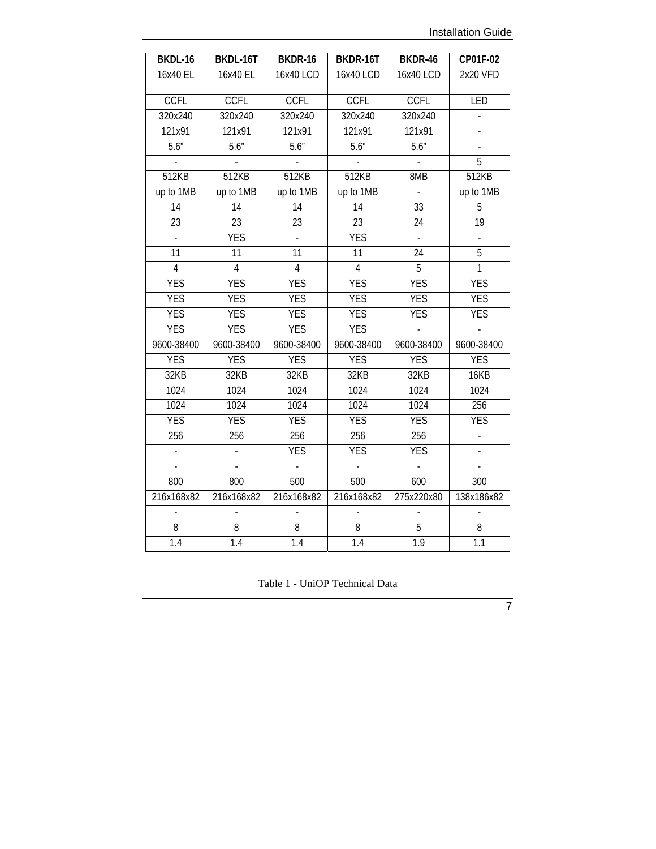| BKDL-16                  | BKDL-16T                 | <b>BKDR-16</b> | BKDR-16T         | BKDR-46          | CP01F-02                 |
|--------------------------|--------------------------|----------------|------------------|------------------|--------------------------|
| 16x40 EL                 | 16x40 EL                 | 16x40 LCD      | 16x40 LCD        | 16x40 LCD        | 2x20 VFD                 |
| <b>CCFL</b>              | <b>CCFL</b>              | <b>CCFL</b>    | <b>CCFL</b>      | <b>CCFL</b>      | LED                      |
| 320x240                  | 320x240                  | 320x240        | 320x240          | 320x240          | $\overline{a}$           |
| 121x91                   | 121x91                   | 121x91         | 121x91           | 121x91           |                          |
| 5.6''                    | 5.6"                     | 5.6"           | 5.6"             | 5.6''            | $\overline{a}$           |
| $\overline{a}$           |                          |                |                  |                  | $\overline{5}$           |
| 512KB                    | 512KB                    | 512KB          | 512KB            | 8MB              | 512KB                    |
| up to 1MB                | up to 1MB                | up to 1MB      | up to 1MB        | $\mathbb{L}$     | up to 1MB                |
| 14                       | 14                       | 14             | 14               | 33               | 5                        |
| 23                       | 23                       | 23             | 23               | 24               | 19                       |
| $\overline{\phantom{a}}$ | <b>YES</b>               | ÷,             | <b>YES</b>       | $\Box$           | $\overline{\phantom{a}}$ |
| 11                       | 11                       | 11             | 11               | 24               | 5                        |
| $\overline{4}$           | $\overline{4}$           | $\overline{4}$ | $\overline{4}$   | $\overline{5}$   | $\overline{1}$           |
| <b>YES</b>               | <b>YES</b>               | <b>YES</b>     | <b>YES</b>       | <b>YES</b>       | <b>YES</b>               |
| <b>YES</b>               | <b>YES</b>               | <b>YES</b>     | <b>YES</b>       | <b>YES</b>       | <b>YES</b>               |
| <b>YES</b>               | <b>YES</b>               | <b>YES</b>     | <b>YES</b>       | <b>YES</b>       | <b>YES</b>               |
| <b>YES</b>               | <b>YES</b>               | <b>YES</b>     | <b>YES</b>       |                  |                          |
| 9600-38400               | 9600-38400               | 9600-38400     | 9600-38400       | 9600-38400       | 9600-38400               |
| <b>YES</b>               | <b>YES</b>               | <b>YES</b>     | <b>YES</b>       | <b>YES</b>       | <b>YES</b>               |
| 32KB                     | 32KB                     | 32KB           | 32KB             | 32KB             | 16KB                     |
| 1024                     | 1024                     | 1024           | 1024             | 1024             | 1024                     |
| 1024                     | 1024                     | 1024           | 1024             | 1024             | 256                      |
| <b>YES</b>               | <b>YES</b>               | <b>YES</b>     | <b>YES</b>       | <b>YES</b>       | <b>YES</b>               |
| 256                      | 256                      | 256            | 256              | 256              |                          |
| $\overline{\phantom{a}}$ | $\overline{\phantom{a}}$ | <b>YES</b>     | <b>YES</b>       | <b>YES</b>       | $\overline{\phantom{a}}$ |
| $\overline{a}$           | $\overline{\phantom{a}}$ | $\Box$         | $\mathbb{L}$     | $\sim$           |                          |
| 800                      | 800                      | 500            | 500              | 600              | 300                      |
| 216x168x82               | 216x168x82               | 216x168x82     | 216x168x82       | 275x220x80       | 138x186x82               |
| $\mathcal{L}$            | $\overline{\phantom{a}}$ |                |                  |                  |                          |
| 8                        | 8                        | 8              | 8                | 5                | 8                        |
| 1.4                      | 1.4                      | 1.4            | $\overline{1.4}$ | $\overline{1.9}$ | 1.1                      |

Table 1 - UniOP Technical Data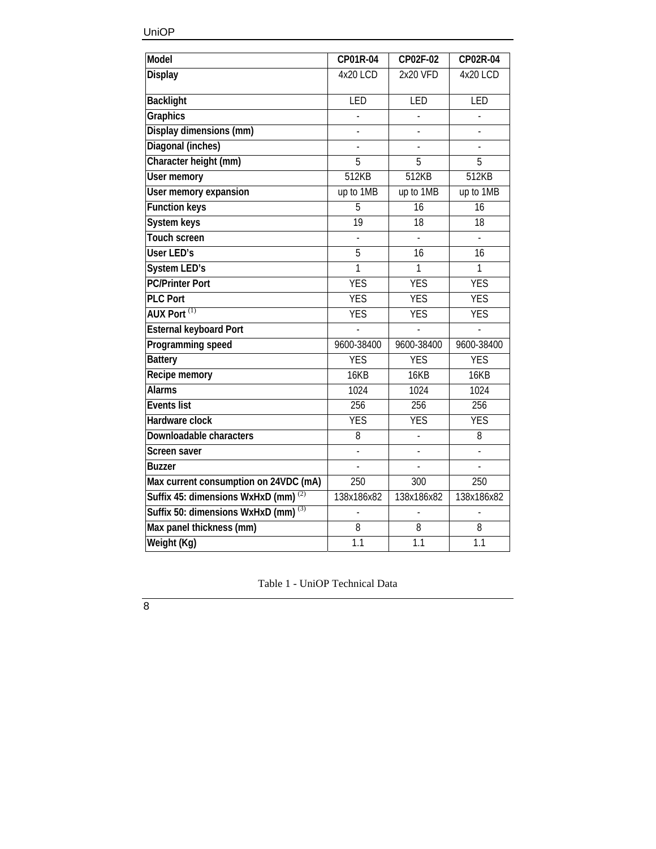| Model                                           | CP01R-04         | CP02F-02         | CP02R-04       |
|-------------------------------------------------|------------------|------------------|----------------|
| <b>Display</b>                                  | 4x20 LCD         | 2x20 VFD         | 4x20 LCD       |
|                                                 |                  |                  |                |
| Backlight                                       | LED              | LED              | LED            |
| Graphics                                        |                  |                  |                |
| Display dimensions (mm)                         | $\overline{a}$   | $\overline{a}$   |                |
| Diagonal (inches)                               | $\frac{1}{2}$    | $\overline{a}$   | $\frac{1}{2}$  |
| Character height (mm)                           | 5                | $\overline{5}$   | 5              |
| User memory                                     | 512KB            | 512KB            | 512KB          |
| User memory expansion                           | up to 1MB        | up to 1MB        | up to 1MB      |
| Function keys                                   | 5                | $\overline{16}$  | 16             |
| System keys                                     | 19               | 18               | 18             |
| <b>Touch screen</b>                             | ÷,               | $\Box$           |                |
| <b>User LED's</b>                               | 5                | 16               | 16             |
| <b>System LED's</b>                             | 1                | $\mathbf{1}$     | 1              |
| <b>PC/Printer Port</b>                          | <b>YES</b>       | <b>YES</b>       | <b>YES</b>     |
| <b>PLC Port</b>                                 | <b>YES</b>       | <b>YES</b>       | <b>YES</b>     |
| AUX Port <sup>(1)</sup>                         | <b>YES</b>       | <b>YES</b>       | <b>YES</b>     |
| <b>Esternal keyboard Port</b>                   |                  |                  |                |
| Programming speed                               | 9600-38400       | 9600-38400       | 9600-38400     |
| <b>Battery</b>                                  | <b>YES</b>       | <b>YES</b>       | <b>YES</b>     |
| Recipe memory                                   | 16KB             | 16KB             | 16KB           |
| <b>Alarms</b>                                   | 1024             | 1024             | 1024           |
| <b>Events list</b>                              | 256              | 256              | 256            |
| Hardware clock                                  | <b>YES</b>       | <b>YES</b>       | <b>YES</b>     |
| Downloadable characters                         | 8                |                  | 8              |
| Screen saver                                    | $\overline{a}$   | $\overline{a}$   | $\frac{1}{2}$  |
| <b>Buzzer</b>                                   | $\overline{a}$   | $\overline{a}$   | $\overline{a}$ |
| Max current consumption on 24VDC (mA)           | 250              | 300              | 250            |
| Suffix 45: dimensions WxHxD (mm) <sup>(2)</sup> | 138x186x82       | 138x186x82       | 138x186x82     |
| Suffix 50: dimensions WxHxD (mm) (3)            |                  |                  |                |
| Max panel thickness (mm)                        | 8                | 8                | 8              |
| Weight (Kg)                                     | $\overline{1.1}$ | $\overline{1.1}$ | 1.1            |

Table 1 - UniOP Technical Data

| ï        |         |  |
|----------|---------|--|
| .,<br>۰, |         |  |
|          | ۰.<br>I |  |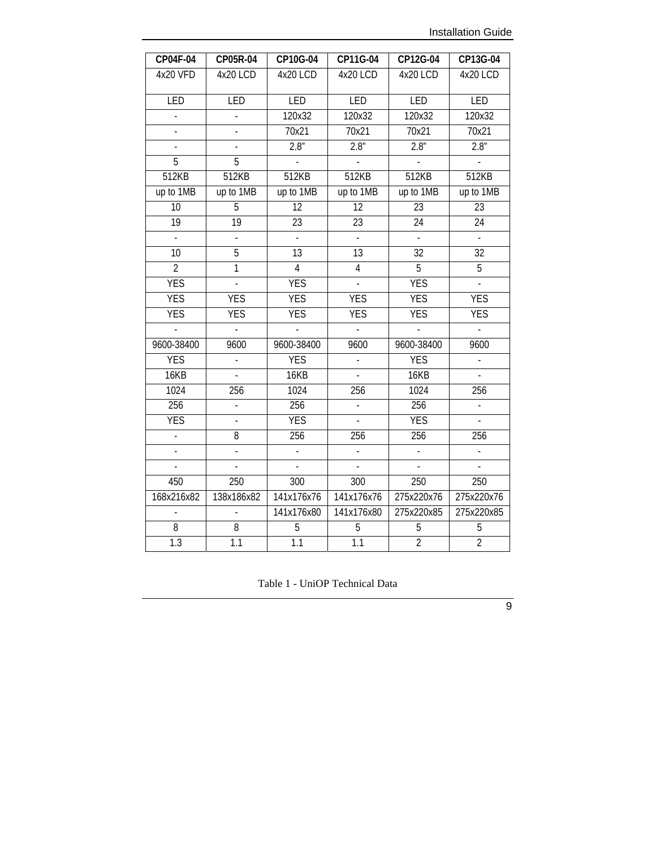| CP04F-04                 | CP05R-04                 | CP10G-04                 | CP11G-04         | CP12G-04             | CP13G-04                 |
|--------------------------|--------------------------|--------------------------|------------------|----------------------|--------------------------|
| 4x20 VFD                 | 4x20 LCD                 | 4x20 LCD                 | 4x20 LCD         | 4x20 LCD             | 4x20 LCD                 |
|                          |                          |                          |                  |                      |                          |
| LED                      | LED                      | LED                      | <b>LED</b>       | LED                  | LED                      |
| $\overline{a}$           | L.                       | 120x32                   | 120x32           | 120x32               | 120x32                   |
|                          |                          | 70x21                    | 70x21            | 70x21                | 70x21                    |
|                          |                          | 2.8''                    | 2.8"             | $\overline{2.8}$ "   | 2.8"                     |
| 5                        | 5                        | $\overline{\phantom{a}}$ |                  | $\ddot{\phantom{0}}$ | $\overline{\phantom{a}}$ |
| 512KB                    | 512KB                    | 512KB                    | 512KB            | 512KB                | 512KB                    |
| up to 1MB                | up to 1MB                | up to 1MB                | up to 1MB        | up to 1MB            | up to 1MB                |
| 10                       | 5                        | $\overline{12}$          | 12               | 23                   | 23                       |
| 19                       | 19                       | 23                       | 23               | 24                   | 24                       |
| $\overline{\phantom{a}}$ |                          | $\Box$                   | $\mathbb{Z}^2$   | $\sim$               | $\overline{\phantom{a}}$ |
| 10                       | 5                        | 13                       | 13               | 32                   | 32                       |
| $\overline{2}$           | $\mathbf{1}$             | $\overline{4}$           | $\overline{4}$   | $\overline{5}$       | 5                        |
| <b>YES</b>               | L.                       | <b>YES</b>               | $\frac{1}{2}$    | <b>YES</b>           | $\overline{\phantom{a}}$ |
| <b>YES</b>               | <b>YES</b>               | <b>YES</b>               | <b>YES</b>       | <b>YES</b>           | <b>YES</b>               |
| <b>YES</b>               | <b>YES</b>               | <b>YES</b>               | <b>YES</b>       | <b>YES</b>           | <b>YES</b>               |
| $\overline{a}$           | $\overline{\phantom{a}}$ | $\overline{\phantom{a}}$ |                  |                      | $\overline{a}$           |
| 9600-38400               | 9600                     | 9600-38400               | 9600             | 9600-38400           | 9600                     |
| <b>YES</b>               | $\Box$                   | <b>YES</b>               | $\Box$           | <b>YES</b>           | $\overline{\phantom{a}}$ |
| 16KB                     | $\overline{a}$           | 16KB                     |                  | 16KB                 |                          |
| 1024                     | 256                      | 1024                     | 256              | 1024                 | 256                      |
| 256                      |                          | 256                      |                  | 256                  |                          |
| <b>YES</b>               |                          | <b>YES</b>               | L.               | <b>YES</b>           | $\overline{a}$           |
| $\overline{\phantom{a}}$ | 8                        | 256                      | 256              | 256                  | 256                      |
| Ĩ,                       | $\frac{1}{2}$            | Ĩ,                       | ÷,               |                      |                          |
| $\overline{a}$           | $\overline{a}$           | $\overline{a}$           | $\overline{a}$   | $\overline{a}$       |                          |
| 450                      | 250                      | 300                      | 300              | 250                  | 250                      |
| 168x216x82               | 138x186x82               | 141x176x76               | 141x176x76       | 275x220x76           | 275x220x76               |
|                          |                          | 141x176x80               | 141x176x80       | 275x220x85           | 275x220x85               |
| 8                        | 8                        | 5                        | 5                | 5                    | 5                        |
| $\overline{1.3}$         | 1.1                      | $\overline{1.1}$         | $\overline{1.1}$ | $\overline{2}$       | $\overline{2}$           |

Table 1 - UniOP Technical Data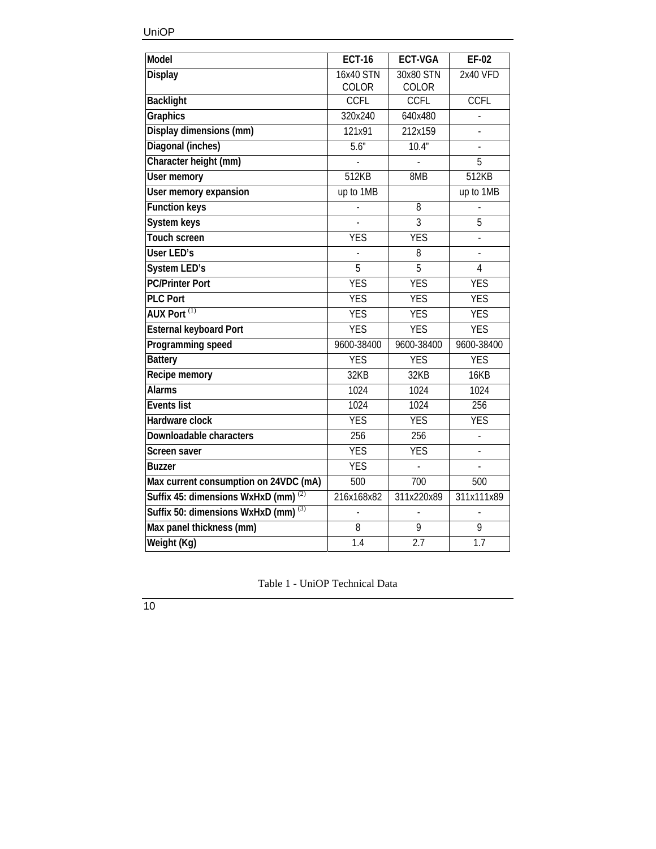| Model                                           | <b>ECT-16</b>            | ECT-VGA          | EF-02          |
|-------------------------------------------------|--------------------------|------------------|----------------|
| <b>Display</b>                                  | <b>16x40 STN</b>         | 30x80 STN        | 2x40 VFD       |
|                                                 | COLOR                    | COLOR            |                |
| <b>Backlight</b>                                | <b>CCFL</b>              | <b>CCFL</b>      | <b>CCFL</b>    |
| Graphics                                        | 320x240                  | 640x480          | $\overline{a}$ |
| Display dimensions (mm)                         | 121x91                   | 212x159          |                |
| Diagonal (inches)                               | 5.6''                    | 10.4"            |                |
| Character height (mm)                           |                          |                  | 5              |
| User memory                                     | 512KB                    | 8MB              | 512KB          |
| User memory expansion                           | up to 1MB                |                  | up to 1MB      |
| <b>Function keys</b>                            |                          | 8                |                |
| System keys                                     | $\overline{a}$           | $\overline{3}$   | 5              |
| <b>Touch screen</b>                             | <b>YES</b>               | <b>YES</b>       | $\frac{1}{2}$  |
| <b>User LED's</b>                               | $\overline{\phantom{a}}$ | 8                | $\overline{a}$ |
| System LED's                                    | 5                        | 5                | 4              |
| <b>PC/Printer Port</b>                          | <b>YES</b>               | <b>YES</b>       | <b>YES</b>     |
| <b>PLC Port</b>                                 | <b>YES</b>               | <b>YES</b>       | <b>YES</b>     |
| AUX Port <sup>(1)</sup>                         | <b>YES</b>               | <b>YES</b>       | <b>YES</b>     |
| <b>Esternal keyboard Port</b>                   | <b>YES</b>               | <b>YES</b>       | <b>YES</b>     |
| Programming speed                               | 9600-38400               | 9600-38400       | 9600-38400     |
| <b>Battery</b>                                  | <b>YES</b>               | <b>YES</b>       | <b>YES</b>     |
| Recipe memory                                   | 32KB                     | 32KB             | 16KB           |
| <b>Alarms</b>                                   | 1024                     | 1024             | 1024           |
| <b>Events list</b>                              | 1024                     | 1024             | 256            |
| Hardware clock                                  | <b>YES</b>               | <b>YES</b>       | <b>YES</b>     |
| Downloadable characters                         | 256                      | 256              |                |
| Screen saver                                    | <b>YES</b>               | <b>YES</b>       | $\frac{1}{2}$  |
| <b>Buzzer</b>                                   | <b>YES</b>               | $\overline{a}$   |                |
| Max current consumption on 24VDC (mA)           | 500                      | 700              | 500            |
| Suffix 45: dimensions WxHxD (mm) <sup>(2)</sup> | 216x168x82               | 311x220x89       | 311x111x89     |
| Suffix 50: dimensions WxHxD (mm) (3)            |                          |                  |                |
| Max panel thickness (mm)                        | 8                        | 9                | 9              |
| Weight (Kg)                                     | 1.4                      | $\overline{2.7}$ | 1.7            |

Table 1 - UniOP Technical Data

| ۰.<br>۰. |                       |
|----------|-----------------------|
|          | i<br>I<br>×<br>×<br>۹ |
|          |                       |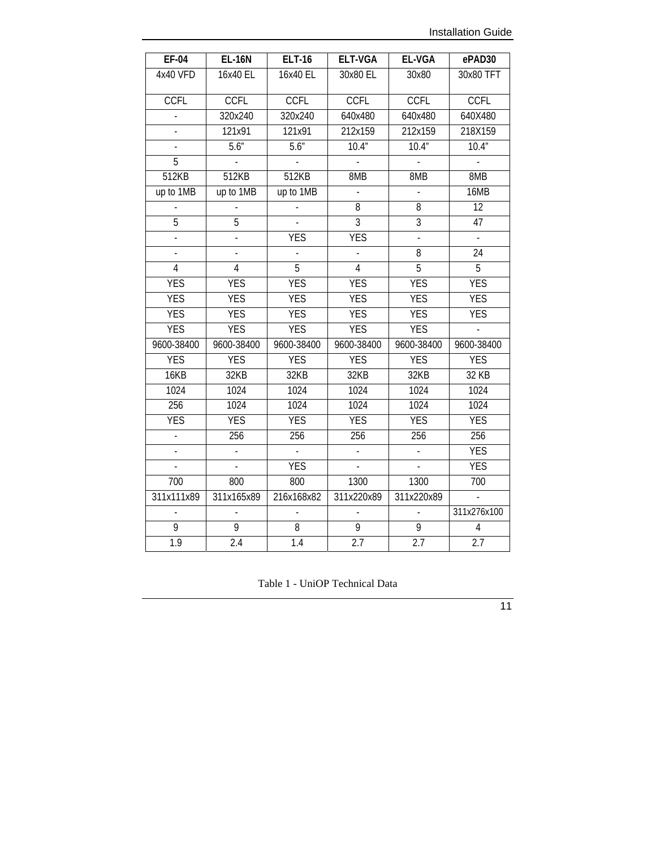| <b>EF-04</b>             | <b>EL-16N</b>  | <b>ELT-16</b>            | ELT-VGA                  | EL-VGA                   | ePAD30                   |
|--------------------------|----------------|--------------------------|--------------------------|--------------------------|--------------------------|
| 4x40 VFD                 | 16x40 EL       | 16x40 EL                 | 30x80 EL                 | 30x80                    | 30x80 TFT                |
|                          |                |                          |                          |                          |                          |
| <b>CCFL</b>              | <b>CCFL</b>    | <b>CCFL</b>              | <b>CCFL</b>              | <b>CCFL</b>              | <b>CCFL</b>              |
| $\overline{a}$           | 320x240        | 320x240                  | 640x480                  | 640x480                  | 640X480                  |
|                          | 121x91         | 121x91                   | 212x159                  | 212x159                  | 218X159                  |
|                          | 5.6"           | 5.6"                     | 10.4"                    | 10.4"                    | 10.4"                    |
| 5                        |                |                          |                          | $\overline{\phantom{a}}$ | $\mathbb{L}$             |
| 512KB                    | 512KB          | 512KB                    | 8MB                      | 8MB                      | 8MB                      |
| up to 1MB                | up to 1MB      | up to 1MB                | $\Box$                   | $\frac{1}{2}$            | 16MB                     |
|                          |                |                          | 8                        | 8                        | 12                       |
| 5                        | 5              |                          | $\overline{3}$           | 3                        | 47                       |
| ÷,                       | $\overline{a}$ | <b>YES</b>               | <b>YES</b>               | $\overline{\phantom{a}}$ | $\overline{\phantom{a}}$ |
| $\overline{\phantom{a}}$ | $\frac{1}{2}$  | $\overline{\phantom{a}}$ | $\overline{\phantom{a}}$ | 8                        | 24                       |
| $\overline{4}$           | $\overline{4}$ | $\overline{5}$           | $\overline{4}$           | $\overline{5}$           | $\overline{5}$           |
| <b>YES</b>               | <b>YES</b>     | <b>YES</b>               | <b>YES</b>               | <b>YES</b>               | <b>YES</b>               |
| <b>YES</b>               | <b>YES</b>     | <b>YES</b>               | <b>YES</b>               | <b>YES</b>               | <b>YES</b>               |
| <b>YES</b>               | <b>YES</b>     | <b>YES</b>               | <b>YES</b>               | <b>YES</b>               | <b>YES</b>               |
| <b>YES</b>               | <b>YES</b>     | <b>YES</b>               | <b>YES</b>               | <b>YES</b>               |                          |
| 9600-38400               | 9600-38400     | 9600-38400               | 9600-38400               | 9600-38400               | 9600-38400               |
| <b>YES</b>               | <b>YES</b>     | <b>YES</b>               | <b>YES</b>               | <b>YES</b>               | <b>YES</b>               |
| 16KB                     | 32KB           | 32KB                     | 32KB                     | 32KB                     | 32 KB                    |
| 1024                     | 1024           | 1024                     | 1024                     | 1024                     | 1024                     |
| 256                      | 1024           | 1024                     | 1024                     | 1024                     | 1024                     |
| <b>YES</b>               | <b>YES</b>     | <b>YES</b>               | <b>YES</b>               | <b>YES</b>               | <b>YES</b>               |
| $\frac{1}{2}$            | 256            | 256                      | 256                      | 256                      | 256                      |
| $\overline{a}$           |                |                          |                          |                          | <b>YES</b>               |
|                          |                | <b>YES</b>               | $\overline{a}$           |                          | <b>YES</b>               |
| 700                      | 800            | 800                      | 1300                     | 1300                     | 700                      |
| 311x111x89               | 311x165x89     | 216x168x82               | 311x220x89               | 311x220x89               |                          |
|                          |                |                          |                          |                          | 311x276x100              |
| 9                        | 9              | 8                        | 9                        | 9                        | 4                        |
| 1.9                      | 2.4            | 1.4                      | 2.7                      | 2.7                      | 2.7                      |

Table 1 - UniOP Technical Data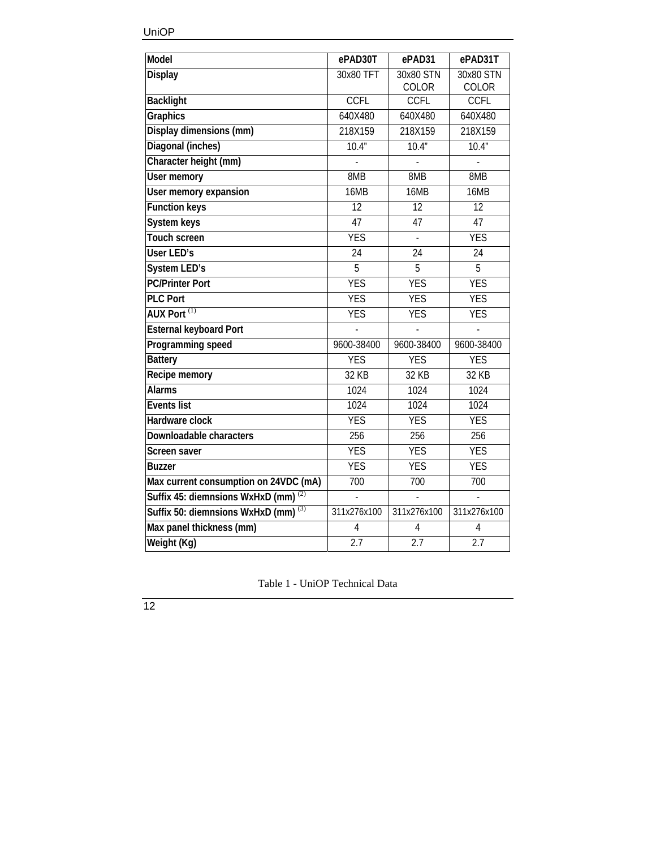| Model                                           | ePAD30T     | ePAD31             | ePAD31T            |
|-------------------------------------------------|-------------|--------------------|--------------------|
| <b>Display</b>                                  | 30x80 TFT   | 30x80 STN<br>COLOR | 30x80 STN<br>COLOR |
| <b>Backlight</b>                                | <b>CCFL</b> | <b>CCFL</b>        | <b>CCFL</b>        |
| Graphics                                        | 640X480     | 640X480            | 640X480            |
| Display dimensions (mm)                         | 218X159     | 218X159            | 218X159            |
| Diagonal (inches)                               | 10.4"       | 10.4"              | 10.4"              |
| Character height (mm)                           |             |                    |                    |
| User memory                                     | 8MB         | 8MB                | 8MB                |
| User memory expansion                           | 16MB        | 16MB               | 16MB               |
| <b>Function keys</b>                            | 12          | 12                 | 12                 |
| <b>System keys</b>                              | 47          | 47                 | 47                 |
| <b>Touch screen</b>                             | <b>YES</b>  | $\overline{a}$     | <b>YES</b>         |
| <b>User LED's</b>                               | 24          | 24                 | 24                 |
| System LED's                                    | 5           | 5                  | 5                  |
| <b>PC/Printer Port</b>                          | <b>YES</b>  | <b>YES</b>         | <b>YES</b>         |
| <b>PLC Port</b>                                 | <b>YES</b>  | <b>YES</b>         | <b>YES</b>         |
| AUX Port <sup>(1)</sup>                         | <b>YES</b>  | <b>YES</b>         | <b>YES</b>         |
| <b>Esternal keyboard Port</b>                   |             |                    |                    |
| Programming speed                               | 9600-38400  | 9600-38400         | 9600-38400         |
| <b>Battery</b>                                  | <b>YES</b>  | <b>YES</b>         | <b>YES</b>         |
| Recipe memory                                   | 32 KB       | 32 KB              | 32 KB              |
| <b>Alarms</b>                                   | 1024        | 1024               | 1024               |
| <b>Events list</b>                              | 1024        | 1024               | 1024               |
| Hardware clock                                  | <b>YES</b>  | <b>YES</b>         | <b>YES</b>         |
| Downloadable characters                         | 256         | 256                | 256                |
| Screen saver                                    | <b>YES</b>  | <b>YES</b>         | <b>YES</b>         |
| <b>Buzzer</b>                                   | <b>YES</b>  | <b>YES</b>         | <b>YES</b>         |
| Max current consumption on 24VDC (mA)           | 700         | 700                | 700                |
| Suffix 45: diemnsions WxHxD (mm) <sup>(2)</sup> |             |                    |                    |
| Suffix 50: diemnsions WxHxD (mm) (3)            | 311x276x100 | 311x276x100        | 311x276x100        |
| Max panel thickness (mm)                        | 4           | 4                  | 4                  |
| Weight (Kg)                                     | 2.7         | $\overline{2.7}$   | $\overline{2.7}$   |

Table 1 - UniOP Technical Data

| ٦<br>٠ | ۰.            |
|--------|---------------|
|        | i<br>i<br>. . |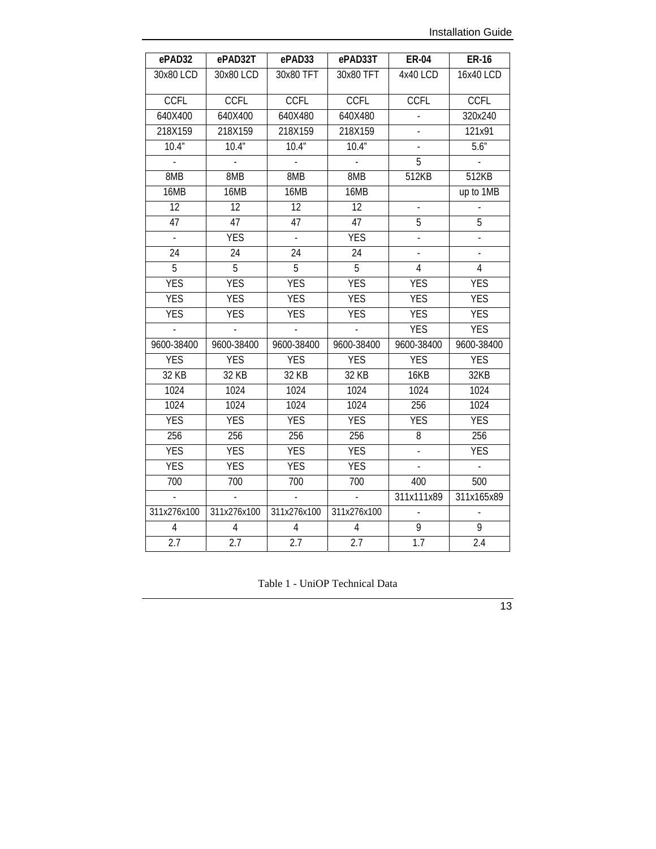| ePAD32         | ePAD32T        | ePAD33                      | ePAD33T        | <b>ER-04</b>   | <b>ER-16</b>   |
|----------------|----------------|-----------------------------|----------------|----------------|----------------|
| 30x80 LCD      | 30x80 LCD      | 30x80 TFT                   | 30x80 TFT      | 4x40 LCD       | 16x40 LCD      |
|                |                |                             |                |                |                |
| <b>CCFL</b>    | <b>CCFL</b>    | <b>CCFL</b>                 | <b>CCFL</b>    | <b>CCFL</b>    | <b>CCFL</b>    |
| 640X400        | 640X400        | 640X480                     | 640X480        |                | 320x240        |
| 218X159        | 218X159        | 218X159                     | 218X159        |                | 121x91         |
| 10.4"          | 10.4"          | 10.4"                       | 10.4"          | $\overline{a}$ | 5.6''          |
| $\mathbb{Z}^2$ | ä,             |                             |                | $\overline{5}$ |                |
| 8MB            | 8MB            | 8MB                         | 8MB            | 512KB          | 512KB          |
| 16MB           | 16MB           | 16MB                        | 16MB           |                | up to 1MB      |
| 12             | 12             | 12                          | 12             |                |                |
| 47             | 47             | 47                          | 47             | 5              | 5              |
| $\blacksquare$ | <b>YES</b>     | ÷,                          | <b>YES</b>     |                |                |
| 24             | 24             | 24                          | 24             |                |                |
| $\overline{5}$ | 5              | $\overline{5}$              | $\overline{5}$ | $\overline{4}$ | $\overline{4}$ |
| <b>YES</b>     | <b>YES</b>     | <b>YES</b>                  | <b>YES</b>     | <b>YES</b>     | <b>YES</b>     |
| <b>YES</b>     | <b>YES</b>     | <b>YES</b>                  | <b>YES</b>     | <b>YES</b>     | <b>YES</b>     |
| <b>YES</b>     | <b>YES</b>     | <b>YES</b>                  | <b>YES</b>     | <b>YES</b>     | <b>YES</b>     |
|                | $\mathbb{L}^+$ | $\mathcal{L}_{\mathcal{A}}$ |                | <b>YES</b>     | <b>YES</b>     |
| 9600-38400     | 9600-38400     | 9600-38400                  | 9600-38400     | 9600-38400     | 9600-38400     |
| <b>YES</b>     | <b>YES</b>     | <b>YES</b>                  | <b>YES</b>     | <b>YES</b>     | <b>YES</b>     |
| 32 KB          | 32 KB          | 32 KB                       | 32 KB          | 16KB           | 32KB           |
| 1024           | 1024           | 1024                        | 1024           | 1024           | 1024           |
| 1024           | 1024           | 1024                        | 1024           | 256            | 1024           |
| <b>YES</b>     | <b>YES</b>     | <b>YES</b>                  | <b>YES</b>     | <b>YES</b>     | <b>YES</b>     |
| 256            | 256            | 256                         | 256            | 8              | 256            |
| <b>YES</b>     | <b>YES</b>     | <b>YES</b>                  | <b>YES</b>     |                | <b>YES</b>     |
| <b>YES</b>     | <b>YES</b>     | <b>YES</b>                  | <b>YES</b>     |                | $\mathbb{Z}^2$ |
| 700            | 700            | 700                         | 700            | 400            | 500            |
| ä,             | $\mathbb{L}^+$ | $\omega$                    |                | 311x111x89     | 311x165x89     |
| 311x276x100    | 311x276x100    | 311x276x100                 | 311x276x100    |                |                |
| $\overline{4}$ | $\overline{4}$ | 4                           | $\overline{4}$ | 9              | 9              |
| 2.7            | 2.7            | 2.7                         | 2.7            | 1.7            | 2.4            |

Table 1 - UniOP Technical Data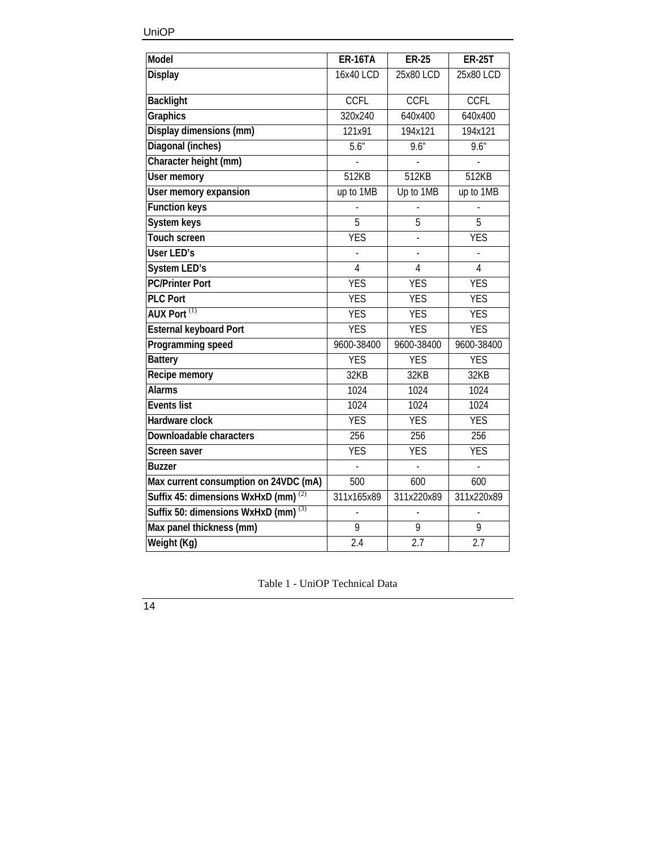| Model                                           | <b>ER-16TA</b>           | <b>ER-25</b>     | <b>ER-25T</b>    |
|-------------------------------------------------|--------------------------|------------------|------------------|
| <b>Display</b>                                  | 16x40 LCD                | 25x80 LCD        | 25x80 LCD        |
| <b>Backlight</b>                                | <b>CCFL</b>              | <b>CCFL</b>      | <b>CCFL</b>      |
|                                                 |                          |                  |                  |
| Graphics                                        | 320x240                  | 640x400          | 640x400          |
| Display dimensions (mm)                         | 121x91                   | 194x121          | 194x121          |
| Diagonal (inches)                               | 5.6''                    | 9.6''            | 9.6''            |
| Character height (mm)                           |                          |                  |                  |
| User memory                                     | 512KB                    | 512KB            | 512KB            |
| User memory expansion                           | up to 1MB                | Up to 1MB        | up to 1MB        |
| <b>Function keys</b>                            |                          |                  |                  |
| System keys                                     | 5                        | 5                | 5                |
| <b>Touch screen</b>                             | <b>YES</b>               | $\overline{a}$   | <b>YES</b>       |
| <b>User LED's</b>                               | L                        | $\overline{a}$   |                  |
| System LED's                                    | $\overline{4}$           | 4                | 4                |
| <b>PC/Printer Port</b>                          | <b>YES</b>               | <b>YES</b>       | <b>YES</b>       |
| <b>PLC Port</b>                                 | <b>YES</b>               | <b>YES</b>       | <b>YES</b>       |
| AUX Port <sup>(1)</sup>                         | <b>YES</b>               | <b>YES</b>       | <b>YES</b>       |
| <b>Esternal keyboard Port</b>                   | <b>YES</b>               | <b>YES</b>       | <b>YES</b>       |
| Programming speed                               | 9600-38400               | 9600-38400       | 9600-38400       |
| <b>Battery</b>                                  | <b>YES</b>               | <b>YES</b>       | <b>YES</b>       |
| Recipe memory                                   | 32KB                     | 32KB             | 32KB             |
| <b>Alarms</b>                                   | 1024                     | 1024             | 1024             |
| <b>Events list</b>                              | 1024                     | 1024             | 1024             |
| Hardware clock                                  | <b>YES</b>               | <b>YES</b>       | <b>YES</b>       |
| Downloadable characters                         | 256                      | 256              | 256              |
| Screen saver                                    | <b>YES</b>               | <b>YES</b>       | <b>YES</b>       |
| <b>Buzzer</b>                                   | $\overline{\phantom{a}}$ | $\overline{a}$   |                  |
| Max current consumption on 24VDC (mA)           | 500                      | 600              | 600              |
| Suffix 45: dimensions WxHxD (mm) <sup>(2)</sup> | 311x165x89               | 311x220x89       | 311x220x89       |
| Suffix 50: dimensions WxHxD (mm) (3)            |                          |                  |                  |
| Max panel thickness (mm)                        | 9                        | 9                | 9                |
| Weight (Kg)                                     | 2.4                      | $\overline{2.7}$ | $\overline{2.7}$ |

Table 1 - UniOP Technical Data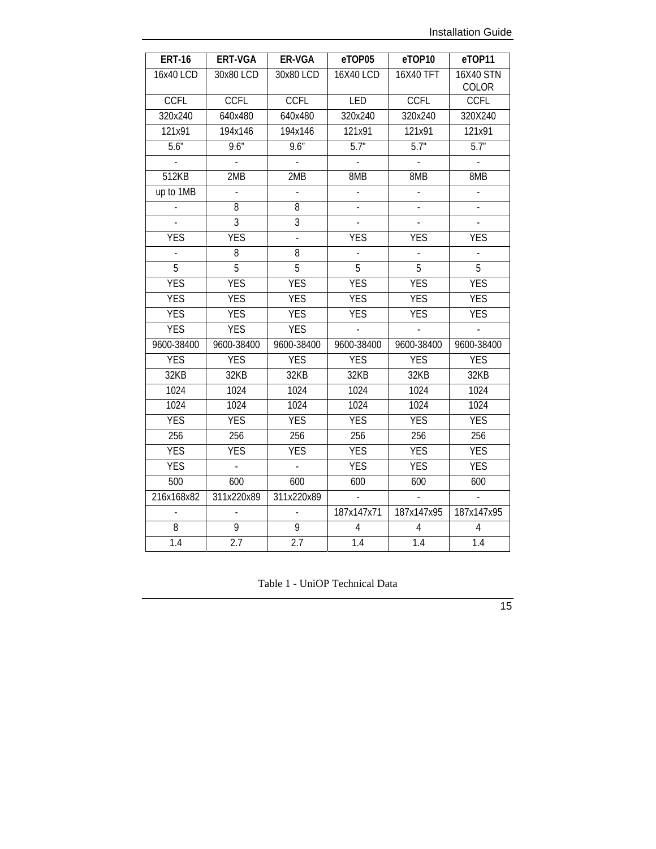| <b>ERT-16</b>            | ERT-VGA        | ER-VGA                   | eTOP05             | eTOP10             | eTOP11                   |
|--------------------------|----------------|--------------------------|--------------------|--------------------|--------------------------|
| 16x40 LCD                | 30x80 LCD      | 30x80 LCD                | 16X40 LCD          | 16X40 TFT          | <b>16X40 STN</b>         |
|                          |                |                          |                    |                    | COLOR                    |
| <b>CCFL</b>              | <b>CCFL</b>    | <b>CCFL</b>              | LED                | <b>CCFL</b>        | <b>CCFL</b>              |
| 320x240                  | 640x480        | 640x480                  | 320x240            | 320x240            | 320X240                  |
| 121x91                   | 194x146        | 194x146                  | 121x91             | 121x91             | 121x91                   |
| 5.6''                    | 9.6''          | 9.6"                     | $\overline{5.7}$ " | $\overline{5.7}$ " | 5.7"                     |
|                          |                |                          |                    |                    |                          |
| 512KB                    | 2MB            | 2MB                      | 8MB                | 8MB                | 8MB                      |
| up to 1MB                |                |                          |                    |                    | $\overline{\phantom{a}}$ |
|                          | 8              | 8                        |                    |                    |                          |
|                          | $\overline{3}$ | 3                        |                    |                    |                          |
| <b>YES</b>               | <b>YES</b>     | $\overline{\phantom{a}}$ | <b>YES</b>         | <b>YES</b>         | <b>YES</b>               |
| $\overline{\phantom{a}}$ | 8              | 8                        | $\blacksquare$     |                    |                          |
| 5                        | $\overline{5}$ | $\overline{5}$           | $\overline{5}$     | $\overline{5}$     | $\overline{5}$           |
| <b>YES</b>               | <b>YES</b>     | <b>YES</b>               | <b>YES</b>         | <b>YES</b>         | <b>YES</b>               |
| <b>YES</b>               | <b>YES</b>     | <b>YES</b>               | <b>YES</b>         | <b>YES</b>         | <b>YES</b>               |
| <b>YES</b>               | <b>YES</b>     | <b>YES</b>               | <b>YES</b>         | <b>YES</b>         | <b>YES</b>               |
| <b>YES</b>               | <b>YES</b>     | <b>YES</b>               |                    |                    |                          |
| 9600-38400               | 9600-38400     | 9600-38400               | 9600-38400         | 9600-38400         | 9600-38400               |
| <b>YES</b>               | <b>YES</b>     | <b>YES</b>               | <b>YES</b>         | <b>YES</b>         | <b>YES</b>               |
| 32KB                     | 32KB           | 32KB                     | 32KB               | 32KB               | 32KB                     |
| 1024                     | 1024           | 1024                     | 1024               | 1024               | 1024                     |
| 1024                     | 1024           | 1024                     | 1024               | 1024               | 1024                     |
| <b>YES</b>               | <b>YES</b>     | <b>YES</b>               | <b>YES</b>         | <b>YES</b>         | <b>YES</b>               |
| 256                      | 256            | 256                      | 256                | 256                | 256                      |
| <b>YES</b>               | <b>YES</b>     | <b>YES</b>               | <b>YES</b>         | <b>YES</b>         | <b>YES</b>               |
| <b>YES</b>               | $\mathcal{L}$  | $\overline{\phantom{a}}$ | <b>YES</b>         | <b>YES</b>         | <b>YES</b>               |
| 500                      | 600            | 600                      | 600                | 600                | 600                      |
| 216x168x82               | 311x220x89     | 311x220x89               |                    |                    | $\overline{a}$           |
|                          |                |                          | 187x147x71         | 187x147x95         | 187x147x95               |
| 8                        | 9              | 9                        | 4                  | 4                  | 4                        |
| 1.4                      | 2.7            | 2.7                      | 1.4                | 1.4                | 1.4                      |

Table 1 - UniOP Technical Data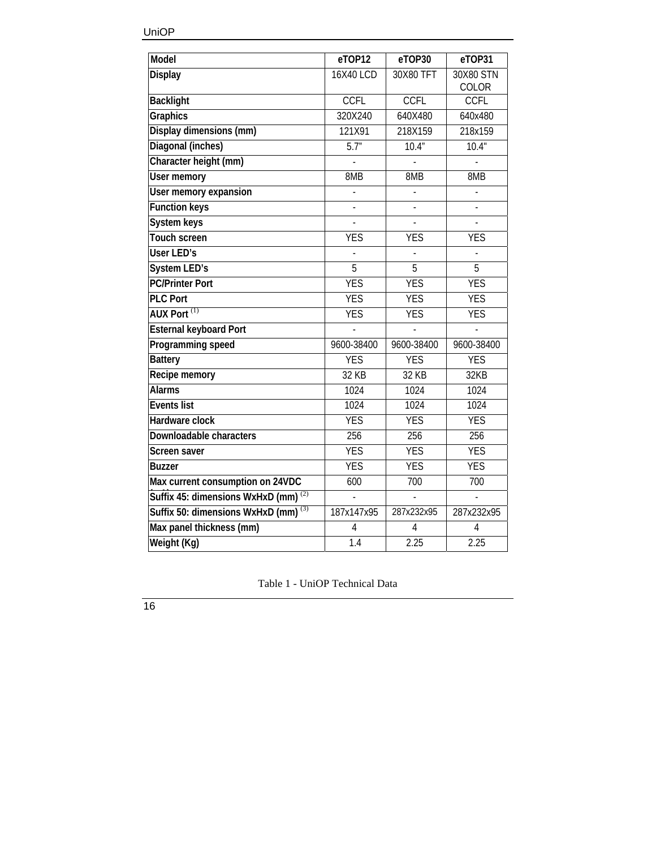| Model                                           | eTOP12         | eTOP30      | eTOP31         |
|-------------------------------------------------|----------------|-------------|----------------|
| <b>Display</b>                                  | 16X40 LCD      | 30X80 TFT   | 30X80 STN      |
|                                                 |                |             | COLOR          |
| <b>Backlight</b>                                | <b>CCFL</b>    | <b>CCFL</b> | <b>CCFL</b>    |
| Graphics                                        | 320X240        | 640X480     | 640x480        |
| Display dimensions (mm)                         | 121X91         | 218X159     | 218x159        |
| Diagonal (inches)                               | 5.7''          | 10.4"       | 10.4"          |
| Character height (mm)                           |                |             |                |
| User memory                                     | 8MB            | 8MB         | 8MB            |
| User memory expansion                           | $\overline{a}$ |             |                |
| Function keys                                   |                |             |                |
| System keys                                     |                |             |                |
| <b>Touch screen</b>                             | <b>YES</b>     | <b>YES</b>  | <b>YES</b>     |
| <b>User LED's</b>                               |                |             |                |
| <b>System LED's</b>                             | 5              | 5           | $\overline{5}$ |
| <b>PC/Printer Port</b>                          | <b>YES</b>     | <b>YES</b>  | <b>YES</b>     |
| <b>PLC Port</b>                                 | <b>YES</b>     | <b>YES</b>  | <b>YES</b>     |
| AUX Port <sup>(1)</sup>                         | <b>YES</b>     | <b>YES</b>  | <b>YES</b>     |
| <b>Esternal keyboard Port</b>                   |                |             |                |
| Programming speed                               | 9600-38400     | 9600-38400  | 9600-38400     |
| <b>Battery</b>                                  | <b>YES</b>     | <b>YES</b>  | <b>YES</b>     |
| Recipe memory                                   | 32 KB          | 32 KB       | 32KB           |
| <b>Alarms</b>                                   | 1024           | 1024        | 1024           |
| <b>Events list</b>                              | 1024           | 1024        | 1024           |
| Hardware clock                                  | <b>YES</b>     | <b>YES</b>  | <b>YES</b>     |
| Downloadable characters                         | 256            | 256         | 256            |
| Screen saver                                    | <b>YES</b>     | <b>YES</b>  | <b>YES</b>     |
| Buzzer                                          | <b>YES</b>     | <b>YES</b>  | <b>YES</b>     |
| Max current consumption on 24VDC                | 600            | 700         | 700            |
| Suffix 45: dimensions WxHxD (mm) <sup>(2)</sup> |                |             |                |
| Suffix 50: dimensions WxHxD (mm) (3)            | 187x147x95     | 287x232x95  | 287x232x95     |
| Max panel thickness (mm)                        | 4              | 4           | 4              |
| Weight (Kg)                                     | 1.4            | 2.25        | 2.25           |

Table 1 - UniOP Technical Data

| ۰.<br>۰. | ٧<br>۰.<br>I<br>× |
|----------|-------------------|
|          | ×<br>۰.           |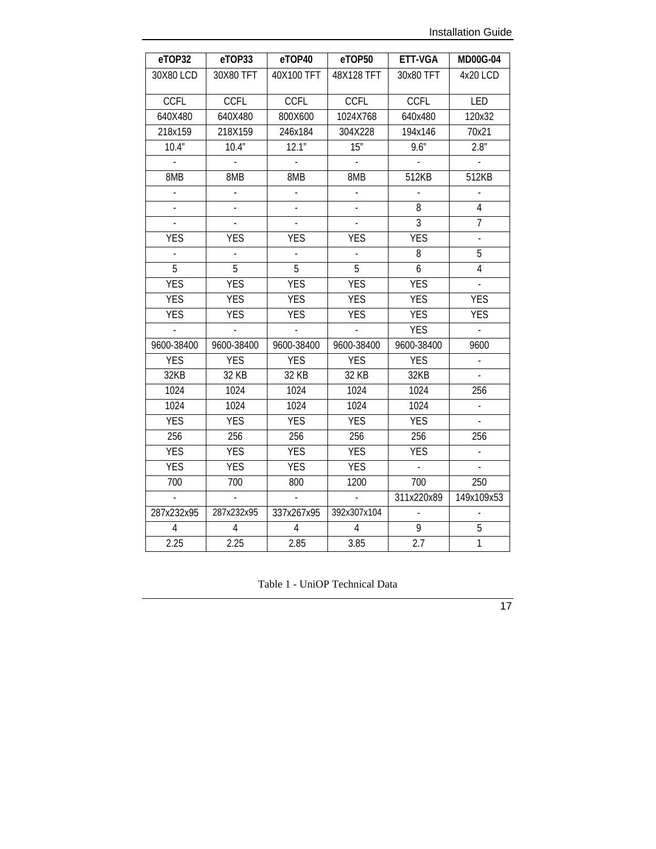| eTOP32                   | eTOP33                   | eTOP40                   | eTOP50                   | ETT-VGA        | <b>MD00G-04</b>          |
|--------------------------|--------------------------|--------------------------|--------------------------|----------------|--------------------------|
| 30X80 LCD                | 30X80 TFT                | 40X100 TFT               | 48X128 TFT               | 30x80 TFT      | 4x20 LCD                 |
| <b>CCFL</b>              | <b>CCFL</b>              | <b>CCFL</b>              | <b>CCFL</b>              | <b>CCFL</b>    | LED                      |
| 640X480                  | 640X480                  | 800X600                  | 1024X768                 | 640x480        | 120x32                   |
| 218x159                  | 218X159                  | 246x184                  | 304X228                  | 194x146        | 70x21                    |
| 10.4"                    | 10.4"                    | 12.1"                    | 15"                      | 9.6''          | 2.8"                     |
| $\mathbb{Z}^2$           | $\mathbb{L}$             | $\overline{\phantom{a}}$ | L,                       |                | $\mathbb{Z}^2$           |
| 8MB                      | 8MB                      | 8MB                      | 8MB                      | 512KB          | 512KB                    |
| $\Box$                   | $\blacksquare$           | $\overline{\phantom{a}}$ | $\overline{\phantom{a}}$ | $\blacksquare$ | $\blacksquare$           |
| $\overline{\phantom{a}}$ | $\mathbb{L}$             | $\overline{a}$           | $\overline{a}$           | 8              | $\overline{4}$           |
|                          |                          | $\overline{a}$           |                          | 3              | $\overline{7}$           |
| <b>YES</b>               | <b>YES</b>               | <b>YES</b>               | <b>YES</b>               | <b>YES</b>     | $\overline{\phantom{a}}$ |
| $\blacksquare$           | $\overline{\phantom{a}}$ | $\overline{\phantom{a}}$ | $\overline{a}$           | 8              | 5                        |
| 5                        | 5                        | $\overline{5}$           | $\overline{5}$           | 6              | $\overline{4}$           |
| <b>YES</b>               | <b>YES</b>               | <b>YES</b>               | <b>YES</b>               | <b>YES</b>     |                          |
| <b>YES</b>               | <b>YES</b>               | <b>YES</b>               | <b>YES</b>               | <b>YES</b>     | <b>YES</b>               |
| <b>YES</b>               | <b>YES</b>               | <b>YES</b>               | <b>YES</b>               | <b>YES</b>     | <b>YES</b>               |
|                          |                          |                          |                          | <b>YES</b>     | $\mathbb{Z}^2$           |
| 9600-38400               | 9600-38400               | 9600-38400               | 9600-38400               | 9600-38400     | 9600                     |
| <b>YES</b>               | <b>YES</b>               | <b>YES</b>               | <b>YES</b>               | <b>YES</b>     |                          |
| 32KB                     | 32 KB                    | 32 KB                    | 32 KB                    | 32KB           | $\mathbb{Z}^2$           |
| 1024                     | 1024                     | 1024                     | 1024                     | 1024           | 256                      |
| 1024                     | 1024                     | 1024                     | 1024                     | 1024           | $\overline{\phantom{a}}$ |
| <b>YES</b>               | <b>YES</b>               | <b>YES</b>               | <b>YES</b>               | <b>YES</b>     |                          |
| 256                      | 256                      | 256                      | 256                      | 256            | 256                      |
| <b>YES</b>               | <b>YES</b>               | <b>YES</b>               | <b>YES</b>               | <b>YES</b>     |                          |
| <b>YES</b>               | <b>YES</b>               | <b>YES</b>               | <b>YES</b>               | $\Box$         |                          |
| 700                      | 700                      | 800                      | 1200                     | 700            | 250                      |
|                          |                          |                          |                          | 311x220x89     | 149x109x53               |
| 287x232x95               | 287x232x95               | 337x267x95               | 392x307x104              | $\overline{a}$ |                          |
| 4                        | 4                        | 4                        | 4                        | 9              | 5                        |
| 2.25                     | 2.25                     | 2.85                     | $\overline{3.85}$        | 2.7            | $\overline{1}$           |

Table 1 - UniOP Technical Data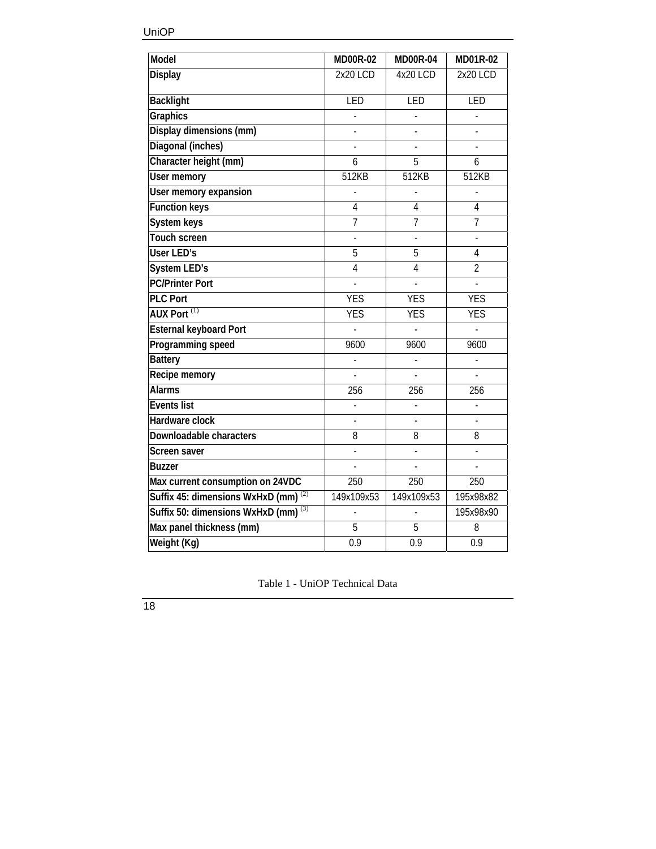| Model                                           | <b>MD00R-02</b> | <b>MD00R-04</b>          | MD01R-02                 |
|-------------------------------------------------|-----------------|--------------------------|--------------------------|
| <b>Display</b>                                  | 2x20 LCD        | 4x20 LCD                 | 2x20 LCD                 |
|                                                 |                 |                          |                          |
| <b>Backlight</b>                                | LED             | LED                      | LED                      |
| Graphics                                        | $\overline{a}$  | $\overline{a}$           |                          |
| Display dimensions (mm)                         |                 |                          |                          |
| Diagonal (inches)                               | $\overline{a}$  | $\overline{a}$           |                          |
| Character height (mm)                           | 6               | 5                        | 6                        |
| User memory                                     | 512KB           | 512KB                    | 512KB                    |
| User memory expansion                           | $\frac{1}{2}$   |                          |                          |
| <b>Function keys</b>                            | 4               | $\overline{4}$           | 4                        |
| System keys                                     | $\overline{1}$  | $\overline{7}$           | $\overline{7}$           |
| <b>Touch screen</b>                             | $\frac{1}{2}$   | $\overline{\phantom{a}}$ | $\overline{a}$           |
| <b>User LED's</b>                               | 5               | 5                        | 4                        |
| <b>System LED's</b>                             | 4               | $\overline{4}$           | $\overline{2}$           |
| <b>PC/Printer Port</b>                          |                 |                          |                          |
| <b>PLC Port</b>                                 | <b>YES</b>      | <b>YES</b>               | <b>YES</b>               |
| AUX Port <sup>(1)</sup>                         | <b>YES</b>      | <b>YES</b>               | <b>YES</b>               |
| <b>Esternal keyboard Port</b>                   |                 |                          |                          |
| Programming speed                               | 9600            | 9600                     | 9600                     |
| <b>Battery</b>                                  | $\overline{a}$  | $\overline{a}$           |                          |
| Recipe memory                                   |                 | $\overline{a}$           |                          |
| <b>Alarms</b>                                   | 256             | 256                      | 256                      |
| <b>Events list</b>                              | $\frac{1}{2}$   | $\frac{1}{2}$            |                          |
| Hardware clock                                  | $\frac{1}{2}$   | $\overline{a}$           |                          |
| Downloadable characters                         | 8               | 8                        | 8                        |
| Screen saver                                    | $\frac{1}{2}$   | $\overline{\phantom{a}}$ | $\overline{\phantom{a}}$ |
| <b>Buzzer</b>                                   |                 |                          |                          |
| Max current consumption on 24VDC                | 250             | 250                      | 250                      |
| Suffix 45: dimensions WxHxD (mm) <sup>(2)</sup> | 149x109x53      | 149x109x53               | 195x98x82                |
| Suffix 50: dimensions WxHxD (mm) <sup>(3)</sup> |                 |                          | 195x98x90                |
| Max panel thickness (mm)                        | 5               | 5                        | 8                        |
| Weight (Kg)                                     | 0.9             | 0.9                      | 0.9                      |

Table 1 - UniOP Technical Data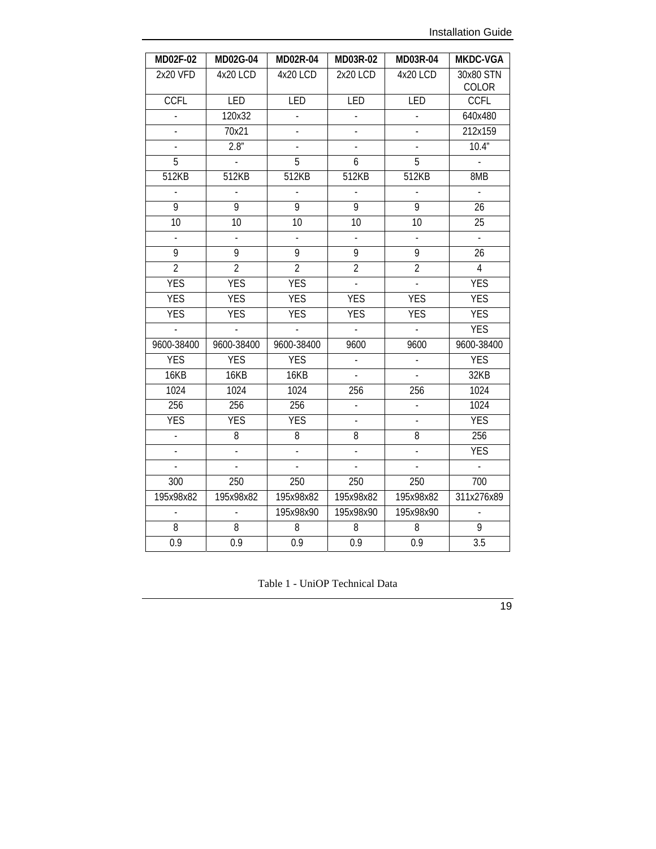Installation Guide

| MD02F-02                 | MD02G-04                 | MD02R-04       | MD03R-02                 | MD03R-04                 | <b>MKDC-VGA</b> |
|--------------------------|--------------------------|----------------|--------------------------|--------------------------|-----------------|
| 2x20 VFD                 | 4x20 LCD                 | 4x20 LCD       | 2x20 LCD                 | 4x20 LCD                 | 30x80 STN       |
|                          |                          |                |                          |                          | COLOR           |
| <b>CCFL</b>              | LED                      | LED            | LED                      | LED                      | <b>CCFL</b>     |
| $\overline{\phantom{a}}$ | 120x32                   | $\overline{a}$ | $\overline{a}$           | $\overline{\phantom{0}}$ | 640x480         |
|                          | 70x21                    | $\frac{1}{2}$  | L,                       | $\frac{1}{2}$            | 212x159         |
| $\frac{1}{2}$            | 2.8"                     | $\overline{a}$ | $\overline{a}$           | $\overline{\phantom{a}}$ | 10.4"           |
| 5                        | $\mathbb{L}$             | $\overline{5}$ | 6                        | $\overline{5}$           | $\overline{a}$  |
| 512KB                    | 512KB                    | 512KB          | 512KB                    | 512KB                    | 8MB             |
|                          |                          |                |                          |                          | $\mathbb{L}$    |
| 9                        | 9                        | $\overline{9}$ | $\overline{9}$           | $\overline{9}$           | 26              |
| 10                       | 10                       | 10             | 10                       | 10                       | 25              |
| ÷,                       | $\overline{\phantom{a}}$ | ÷,             | ÷,                       | $\overline{\phantom{a}}$ | $\Box$          |
| 9                        | 9                        | 9              | 9                        | 9                        | 26              |
| $\overline{2}$           | $\overline{2}$           | $\overline{2}$ | $\overline{2}$           | $\overline{2}$           | $\overline{4}$  |
| <b>YES</b>               | <b>YES</b>               | <b>YES</b>     | $\overline{a}$           | $\overline{a}$           | <b>YES</b>      |
| <b>YES</b>               | <b>YES</b>               | <b>YES</b>     | <b>YES</b>               | <b>YES</b>               | <b>YES</b>      |
| <b>YES</b>               | <b>YES</b>               | <b>YES</b>     | <b>YES</b>               | <b>YES</b>               | <b>YES</b>      |
|                          |                          |                |                          |                          | <b>YES</b>      |
| 9600-38400               | 9600-38400               | 9600-38400     | 9600                     | 9600                     | 9600-38400      |
| <b>YES</b>               | <b>YES</b>               | <b>YES</b>     | L.                       | $\overline{\phantom{a}}$ | <b>YES</b>      |
| 16KB                     | 16KB                     | 16KB           | $\overline{a}$           | $\overline{a}$           | 32KB            |
| 1024                     | 1024                     | 1024           | 256                      | 256                      | 1024            |
| 256                      | 256                      | 256            | $\frac{1}{2}$            | $\blacksquare$           | 1024            |
| <b>YES</b>               | <b>YES</b>               | <b>YES</b>     | $\blacksquare$           |                          | <b>YES</b>      |
| $\overline{\phantom{a}}$ | 8                        | 8              | 8                        | 8                        | 256             |
| L,                       |                          | $\overline{a}$ | $\overline{a}$           |                          | <b>YES</b>      |
|                          |                          | L,             | $\overline{\phantom{a}}$ | $\overline{\phantom{a}}$ |                 |
| 300                      | 250                      | 250            | 250                      | 250                      | 700             |
| 195x98x82                | 195x98x82                | 195x98x82      | 195x98x82                | 195x98x82                | 311x276x89      |
| $\overline{\phantom{a}}$ | $\overline{\phantom{a}}$ | 195x98x90      | 195x98x90                | 195x98x90                |                 |
| 8                        | 8                        | 8              | 8                        | 8                        | 9               |
| 0.9                      | 0.9                      | 0.9            | 0.9                      | 0.9                      | 3.5             |

Table 1 - UniOP Technical Data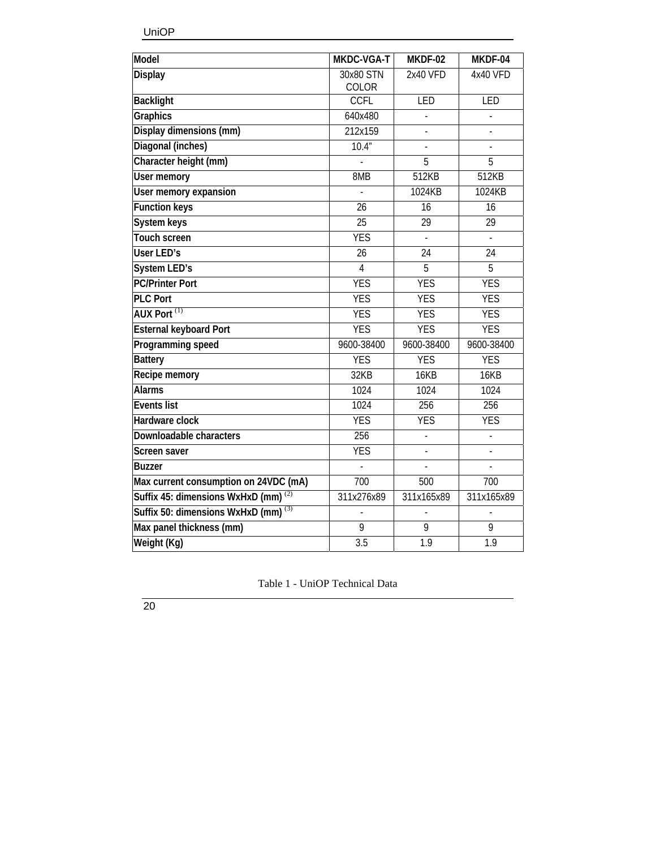UniOP

| Model                                           | MKDC-VGA-T         | MKDF-02                  | MKDF-04                  |
|-------------------------------------------------|--------------------|--------------------------|--------------------------|
| Display                                         | 30x80 STN<br>COLOR | 2x40 VFD                 | 4x40 VFD                 |
| <b>Backlight</b>                                | <b>CCFL</b>        | LED                      | LED                      |
| Graphics                                        | 640x480            | $\overline{a}$           | $\overline{a}$           |
| Display dimensions (mm)                         | 212x159            |                          |                          |
| Diagonal (inches)                               | 10.4"              |                          |                          |
| Character height (mm)                           |                    | 5                        | 5                        |
| <b>User memory</b>                              | 8MB                | 512KB                    | 512KB                    |
| User memory expansion                           | $\overline{a}$     | 1024KB                   | 1024KB                   |
| <b>Function keys</b>                            | 26                 | 16                       | 16                       |
| System keys                                     | 25                 | 29                       | 29                       |
| <b>Touch screen</b>                             | <b>YES</b>         | $\overline{\phantom{a}}$ | $\overline{\phantom{a}}$ |
| <b>User LED's</b>                               | 26                 | 24                       | 24                       |
| <b>System LED's</b>                             | $\overline{4}$     | $\overline{5}$           | $\overline{5}$           |
| <b>PC/Printer Port</b>                          | <b>YES</b>         | <b>YES</b>               | <b>YES</b>               |
| <b>PLC Port</b>                                 | <b>YES</b>         | <b>YES</b>               | <b>YES</b>               |
| AUX Port <sup>(1)</sup>                         | <b>YES</b>         | <b>YES</b>               | <b>YES</b>               |
| Esternal keyboard Port                          | <b>YES</b>         | <b>YES</b>               | <b>YES</b>               |
| Programming speed                               | 9600-38400         | 9600-38400               | 9600-38400               |
| <b>Battery</b>                                  | <b>YES</b>         | <b>YES</b>               | <b>YES</b>               |
| Recipe memory                                   | 32KB               | 16KB                     | 16KB                     |
| <b>Alarms</b>                                   | 1024               | 1024                     | 1024                     |
| <b>Events list</b>                              | 1024               | 256                      | 256                      |
| Hardware clock                                  | <b>YES</b>         | <b>YES</b>               | <b>YES</b>               |
| Downloadable characters                         | 256                |                          |                          |
| Screen saver                                    | <b>YES</b>         |                          |                          |
| <b>Buzzer</b>                                   | $\overline{a}$     |                          |                          |
| Max current consumption on 24VDC (mA)           | 700                | 500                      | 700                      |
| Suffix 45: dimensions WxHxD (mm) <sup>(2)</sup> | 311x276x89         | 311x165x89               | 311x165x89               |
| Suffix 50: dimensions WxHxD (mm) (3)            |                    |                          |                          |
| Max panel thickness (mm)                        | 9                  | 9                        | 9                        |
| Weight (Kg)                                     | 3.5                | 1.9                      | 1.9                      |

Table 1 - UniOP Technical Data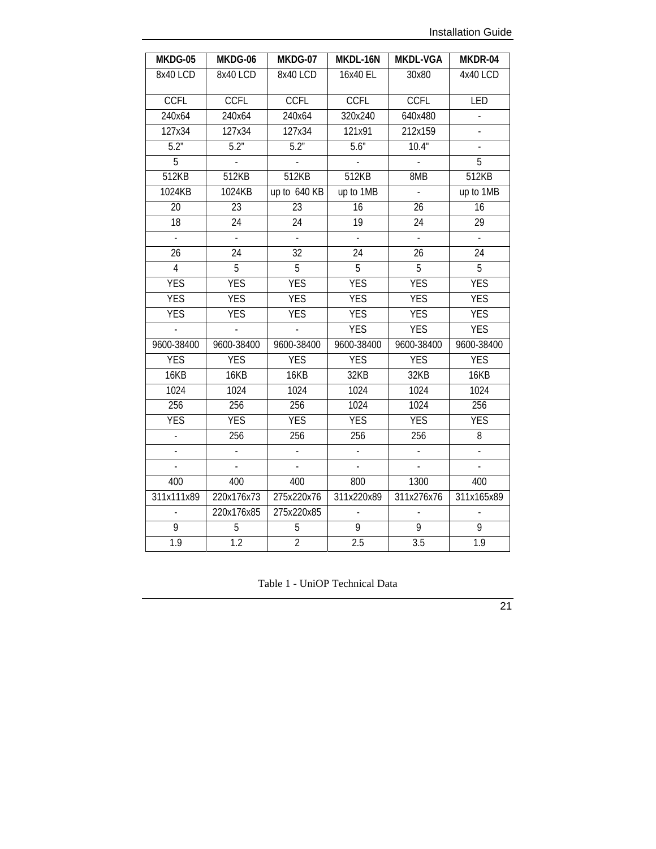| MKDG-05          | MKDG-06                  | MKDG-07                  | MKDL-16N                 | <b>MKDL-VGA</b>          | MKDR-04                  |
|------------------|--------------------------|--------------------------|--------------------------|--------------------------|--------------------------|
| 8x40 LCD         | 8x40 LCD                 | 8x40 LCD                 | 16x40 EL                 | 30x80                    | 4x40 LCD                 |
| CCFL             | <b>CCFL</b>              | <b>CCFL</b>              | <b>CCFL</b>              | CCFL                     | LED                      |
| 240x64           | 240x64                   | 240x64                   | 320x240                  | 640x480                  |                          |
| 127x34           | 127x34                   | 127x34                   | 121x91                   | 212x159                  |                          |
| 5.2"             | 5.2"                     | 5.2"                     | 5.6"                     | 10.4"                    | $\frac{1}{2}$            |
| $\overline{5}$   | $\overline{a}$           |                          |                          |                          | 5                        |
| 512KB            | 512KB                    | 512KB                    | 512KB                    | 8MB                      | 512KB                    |
| 1024KB           | 1024KB                   | up to 640 KB             | up to 1MB                | $\sim$                   | up to 1MB                |
| 20               | 23                       | $\overline{23}$          | $\overline{16}$          | 26                       | 16                       |
| 18               | 24                       | 24                       | 19                       | 24                       | 29                       |
| ÷,               | ÷,                       | $\overline{\phantom{a}}$ | ÷,                       | $\overline{\phantom{a}}$ | $\overline{\phantom{a}}$ |
| 26               | 24                       | 32                       | 24                       | 26                       | 24                       |
| $\overline{4}$   | $\overline{5}$           | $\overline{5}$           | $\overline{5}$           | $\overline{5}$           | $\overline{5}$           |
| <b>YES</b>       | <b>YES</b>               | <b>YES</b>               | <b>YES</b>               | <b>YES</b>               | <b>YES</b>               |
| <b>YES</b>       | <b>YES</b>               | <b>YES</b>               | <b>YES</b>               | <b>YES</b>               | <b>YES</b>               |
| <b>YES</b>       | <b>YES</b>               | <b>YES</b>               | <b>YES</b>               | <b>YES</b>               | <b>YES</b>               |
|                  |                          |                          | <b>YES</b>               | <b>YES</b>               | <b>YES</b>               |
| 9600-38400       | 9600-38400               | 9600-38400               | 9600-38400               | 9600-38400               | 9600-38400               |
| <b>YES</b>       | <b>YES</b>               | <b>YES</b>               | <b>YES</b>               | <b>YES</b>               | <b>YES</b>               |
| 16KB             | 16KB                     | 16KB                     | 32KB                     | 32KB                     | 16KB                     |
| 1024             | 1024                     | 1024                     | 1024                     | 1024                     | 1024                     |
| 256              | 256                      | 256                      | 1024                     | 1024                     | 256                      |
| <b>YES</b>       | <b>YES</b>               | <b>YES</b>               | <b>YES</b>               | <b>YES</b>               | <b>YES</b>               |
|                  | 256                      | 256                      | 256                      | 256                      | 8                        |
| $\frac{1}{2}$    | $\overline{\phantom{a}}$ | $\frac{1}{2}$            | $\overline{\phantom{a}}$ |                          | $\frac{1}{2}$            |
| $\overline{a}$   |                          | $\frac{1}{2}$            | $\overline{a}$           |                          |                          |
| 400              | 400                      | 400                      | 800                      | 1300                     | 400                      |
| 311x111x89       | 220x176x73               | 275x220x76               | 311x220x89               | 311x276x76               | 311x165x89               |
|                  | 220x176x85               | 275x220x85               | $\overline{\phantom{a}}$ |                          |                          |
| 9                | 5                        | 5                        | 9                        | 9                        | 9                        |
| $\overline{1.9}$ | 1.2                      | $\overline{2}$           | $\overline{2.5}$         | $\overline{3.5}$         | 1.9                      |

Table 1 - UniOP Technical Data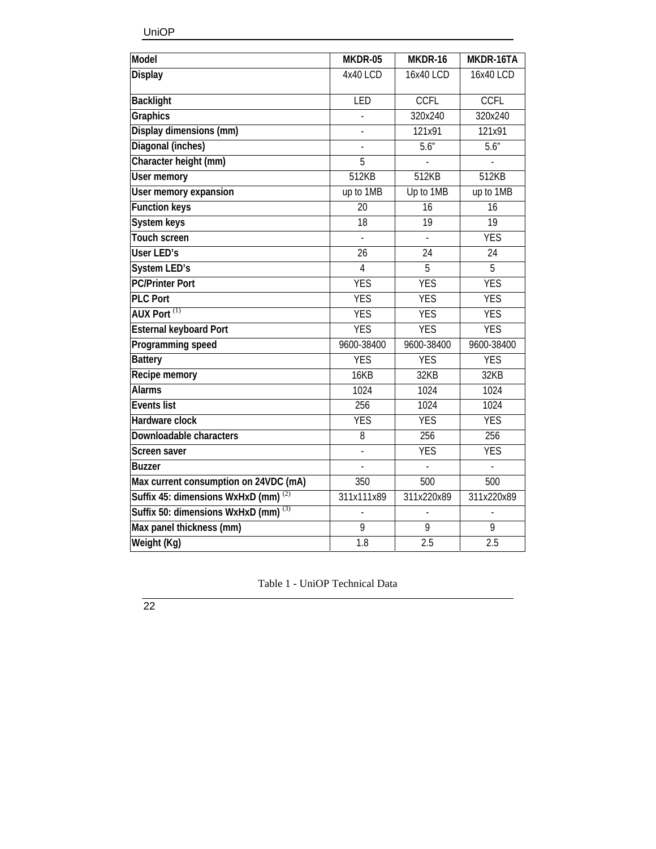| I |
|---|
|---|

| <b>Model</b>                          | MKDR-05        | MKDR-16     | MKDR-16TA   |
|---------------------------------------|----------------|-------------|-------------|
| Display                               | 4x40 LCD       | 16x40 LCD   | 16x40 LCD   |
| <b>Backlight</b>                      | LED            | <b>CCFL</b> | <b>CCFL</b> |
| Graphics                              |                | 320x240     | 320x240     |
| Display dimensions (mm)               | $\frac{1}{2}$  | 121x91      | 121x91      |
| Diagonal (inches)                     |                | 5.6"        | 5.6''       |
| Character height (mm)                 | 5              |             |             |
| <b>User memory</b>                    | 512KB          | 512KB       | 512KB       |
| User memory expansion                 | up to 1MB      | Up to 1MB   | up to 1MB   |
| <b>Function keys</b>                  | 20             | 16          | 16          |
| System keys                           | 18             | 19          | 19          |
| <b>Touch screen</b>                   | $\overline{a}$ |             | <b>YES</b>  |
| <b>User LED's</b>                     | 26             | 24          | 24          |
| <b>System LED's</b>                   | $\overline{4}$ | 5           | 5           |
| <b>PC/Printer Port</b>                | <b>YES</b>     | <b>YES</b>  | <b>YES</b>  |
| <b>PLC Port</b>                       | <b>YES</b>     | <b>YES</b>  | <b>YES</b>  |
| AUX Port <sup>(1)</sup>               | <b>YES</b>     | <b>YES</b>  | <b>YES</b>  |
| <b>Esternal keyboard Port</b>         | <b>YES</b>     | <b>YES</b>  | <b>YES</b>  |
| Programming speed                     | 9600-38400     | 9600-38400  | 9600-38400  |
| <b>Battery</b>                        | <b>YES</b>     | <b>YES</b>  | <b>YES</b>  |
| Recipe memory                         | 16KB           | 32KB        | 32KB        |
| <b>Alarms</b>                         | 1024           | 1024        | 1024        |
| <b>Events list</b>                    | 256            | 1024        | 1024        |
| Hardware clock                        | <b>YES</b>     | <b>YES</b>  | <b>YES</b>  |
| Downloadable characters               | 8              | 256         | 256         |
| Screen saver                          |                | <b>YES</b>  | <b>YES</b>  |
| <b>Buzzer</b>                         | $\overline{a}$ |             |             |
| Max current consumption on 24VDC (mA) | 350            | 500         | 500         |
| Suffix 45: dimensions WxHxD (mm) (2)  | 311x111x89     | 311x220x89  | 311x220x89  |
| Suffix 50: dimensions WxHxD (mm) (3)  |                |             |             |
| Max panel thickness (mm)              | 9              | 9           | 9           |
| Weight (Kg)                           | 1.8            | 2.5         | 2.5         |

Table 1 - UniOP Technical Data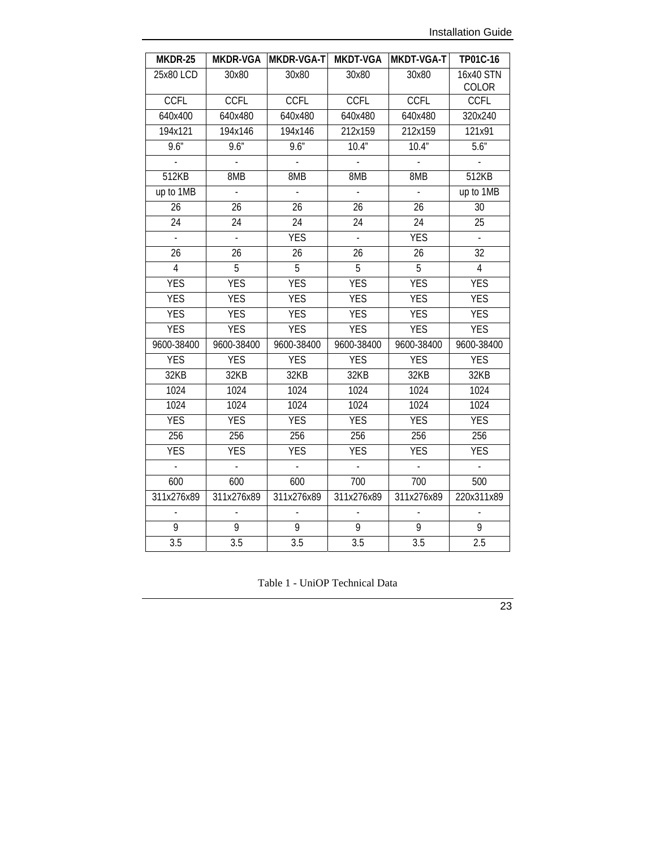| MKDR-25                  | MKDR-VGA                 | MKDR-VGA-T               | <b>MKDT-VGA</b>          | MKDT-VGA-T     | TP01C-16                 |
|--------------------------|--------------------------|--------------------------|--------------------------|----------------|--------------------------|
| 25x80 LCD                | 30x80                    | 30x80                    | 30x80                    | 30x80          | 16x40 STN<br>COLOR       |
| <b>CCFL</b>              | <b>CCFL</b>              | <b>CCFL</b>              | <b>CCFL</b>              | <b>CCFL</b>    | <b>CCFL</b>              |
| 640x400                  | 640x480                  | 640x480                  | 640x480                  | 640x480        | 320x240                  |
| 194x121                  | 194x146                  | 194x146                  | 212x159                  | 212x159        | 121x91                   |
| 9.6''                    | 9.6''                    | 9.6''                    | 10.4"                    | 10.4"          | 5.6''                    |
| $\overline{a}$           | $\overline{\phantom{a}}$ | $\overline{\phantom{a}}$ | $\overline{a}$           |                | $\overline{\phantom{a}}$ |
| 512KB                    | 8MB                      | 8MB                      | 8MB                      | 8MB            | 512KB                    |
| up to 1MB                | $\Box$                   | $\overline{\phantom{a}}$ | $\blacksquare$           | $\Box$         | up to 1MB                |
| 26                       | 26                       | 26                       | 26                       | 26             | 30                       |
| 24                       | 24                       | 24                       | 24                       | 24             | 25                       |
| $\overline{\phantom{a}}$ | $\overline{\phantom{a}}$ | <b>YES</b>               | $\overline{\phantom{a}}$ | <b>YES</b>     | $\blacksquare$           |
| 26                       | 26                       | 26                       | 26                       | 26             | 32                       |
| $\overline{4}$           | $\overline{5}$           | $\overline{5}$           | $\overline{5}$           | $\overline{5}$ | $\overline{4}$           |
| <b>YES</b>               | <b>YES</b>               | <b>YES</b>               | <b>YES</b>               | <b>YES</b>     | <b>YES</b>               |
| <b>YES</b>               | <b>YES</b>               | <b>YES</b>               | <b>YES</b>               | <b>YES</b>     | <b>YES</b>               |
| <b>YES</b>               | <b>YES</b>               | <b>YES</b>               | <b>YES</b>               | <b>YES</b>     | <b>YES</b>               |
| <b>YES</b>               | <b>YES</b>               | <b>YES</b>               | <b>YES</b>               | <b>YES</b>     | <b>YES</b>               |
| 9600-38400               | 9600-38400               | 9600-38400               | 9600-38400               | 9600-38400     | 9600-38400               |
| <b>YES</b>               | <b>YES</b>               | <b>YES</b>               | <b>YES</b>               | <b>YES</b>     | <b>YES</b>               |
| 32KB                     | 32KB                     | 32KB                     | 32KB                     | 32KB           | 32KB                     |
| 1024                     | 1024                     | 1024                     | 1024                     | 1024           | 1024                     |
| 1024                     | 1024                     | 1024                     | 1024                     | 1024           | 1024                     |
| <b>YES</b>               | <b>YES</b>               | <b>YES</b>               | <b>YES</b>               | <b>YES</b>     | <b>YES</b>               |
| 256                      | 256                      | 256                      | 256                      | 256            | 256                      |
| <b>YES</b>               | <b>YES</b>               | <b>YES</b>               | <b>YES</b>               | <b>YES</b>     | <b>YES</b>               |
| $\overline{\phantom{a}}$ | $\overline{\phantom{a}}$ | $\omega$                 | $\frac{1}{2}$            |                |                          |
| 600                      | 600                      | 600                      | 700                      | 700            | 500                      |
| 311x276x89               | 311x276x89               | 311x276x89               | 311x276x89               | 311x276x89     | 220x311x89               |
|                          |                          |                          |                          |                |                          |
| 9                        | 9                        | 9                        | 9                        | 9              | 9                        |
| 3.5                      | 3.5                      | 3.5                      | 3.5                      | 3.5            | 2.5                      |

Table 1 - UniOP Technical Data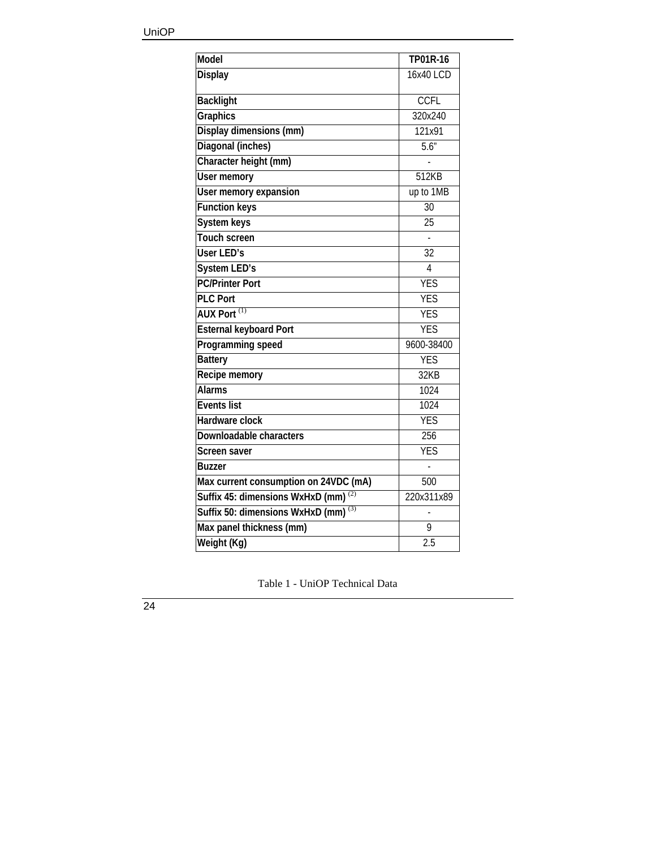| Model                                           | TP01R-16    |
|-------------------------------------------------|-------------|
| Display                                         | 16x40 LCD   |
| <b>Backlight</b>                                | <b>CCFL</b> |
| Graphics                                        | 320x240     |
| Display dimensions (mm)                         | 121x91      |
| Diagonal (inches)                               | 5.6''       |
| Character height (mm)                           |             |
| <b>User memory</b>                              | 512KB       |
| User memory expansion                           | up to 1MB   |
| <b>Function keys</b>                            | 30          |
| System keys                                     | 25          |
| Touch screen                                    |             |
| <b>User LED's</b>                               | 32          |
| System LED's                                    | 4           |
| <b>PC/Printer Port</b>                          | <b>YES</b>  |
| <b>PLC Port</b>                                 | <b>YES</b>  |
| AUX Port <sup>(1)</sup>                         | <b>YES</b>  |
| <b>Esternal keyboard Port</b>                   | <b>YES</b>  |
| Programming speed                               | 9600-38400  |
| <b>Battery</b>                                  | <b>YES</b>  |
| Recipe memory                                   | 32KB        |
| <b>Alarms</b>                                   | 1024        |
| <b>Events list</b>                              | 1024        |
| Hardware clock                                  | <b>YES</b>  |
| Downloadable characters                         | 256         |
| Screen saver                                    | <b>YES</b>  |
| Buzzer                                          |             |
| Max current consumption on 24VDC (mA)           | 500         |
| Suffix 45: dimensions WxHxD (mm) <sup>(2)</sup> | 220x311x89  |
| Suffix 50: dimensions WxHxD (mm) (3)            |             |
| Max panel thickness (mm)                        | 9           |
| Weight (Kg)                                     | 2.5         |

|  |  | Table 1 - UniOP Technical Data |  |
|--|--|--------------------------------|--|
|--|--|--------------------------------|--|

| ш |
|---|
|---|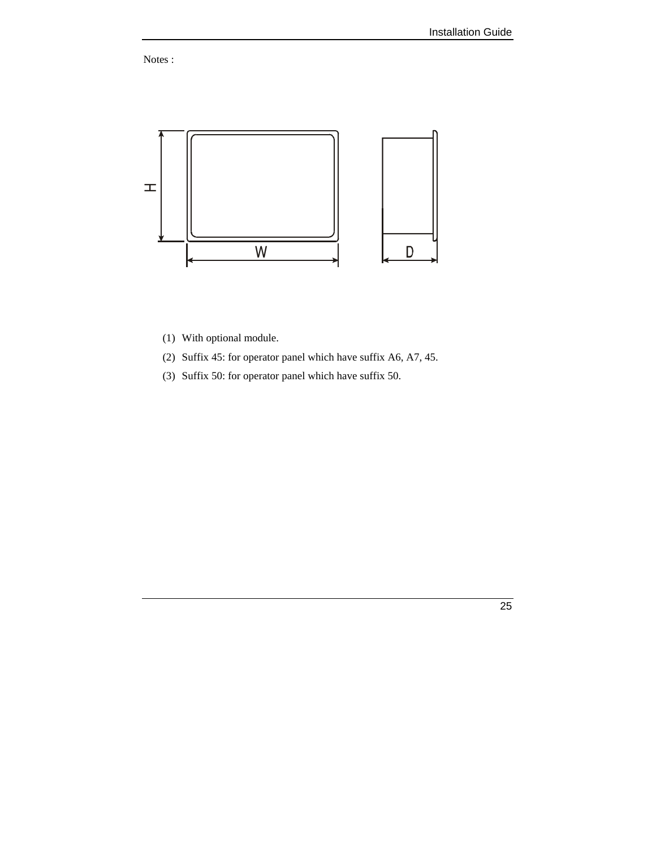Notes :



- (1) With optional module.
- (2) Suffix 45: for operator panel which have suffix A6, A7, 45.
- (3) Suffix 50: for operator panel which have suffix 50.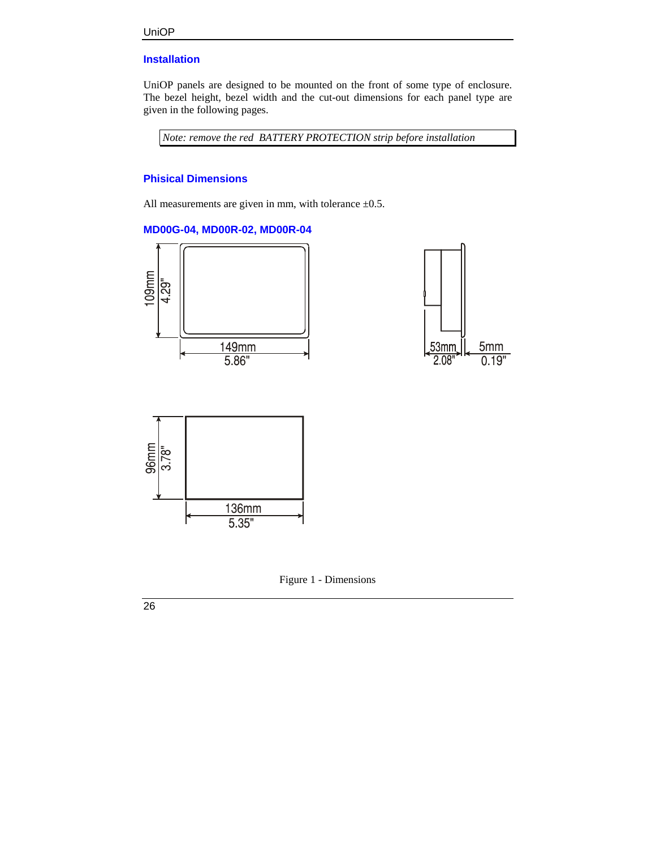#### UniOP

#### **Installation**

UniOP panels are designed to be mounted on the front of some type of enclosure. The bezel height, bezel width and the cut-out dimensions for each panel type are given in the following pages.

*Note: remove the red BATTERY PROTECTION strip before installation* 

## **Phisical Dimensions**

All measurements are given in mm, with tolerance  $\pm 0.5$ .

## **MD00G-04, MD00R-02, MD00R-04**







Figure 1 - Dimensions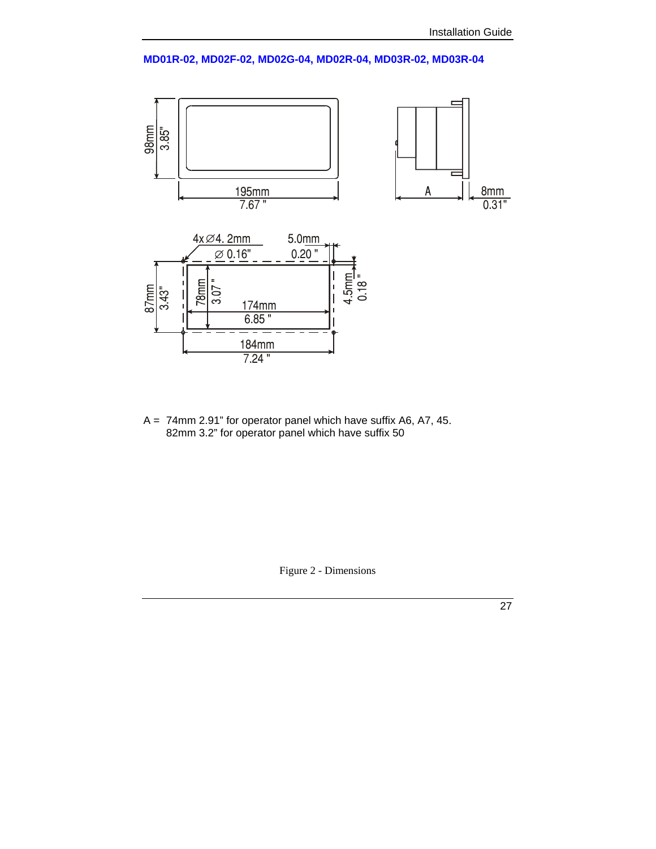#### **MD01R-02, MD02F-02, MD02G-04, MD02R-04, MD03R-02, MD03R-04**



A = 74mm 2.91" for operator panel which have suffix A6, A7, 45. 82mm 3.2" for operator panel which have suffix 50

Figure 2 - Dimensions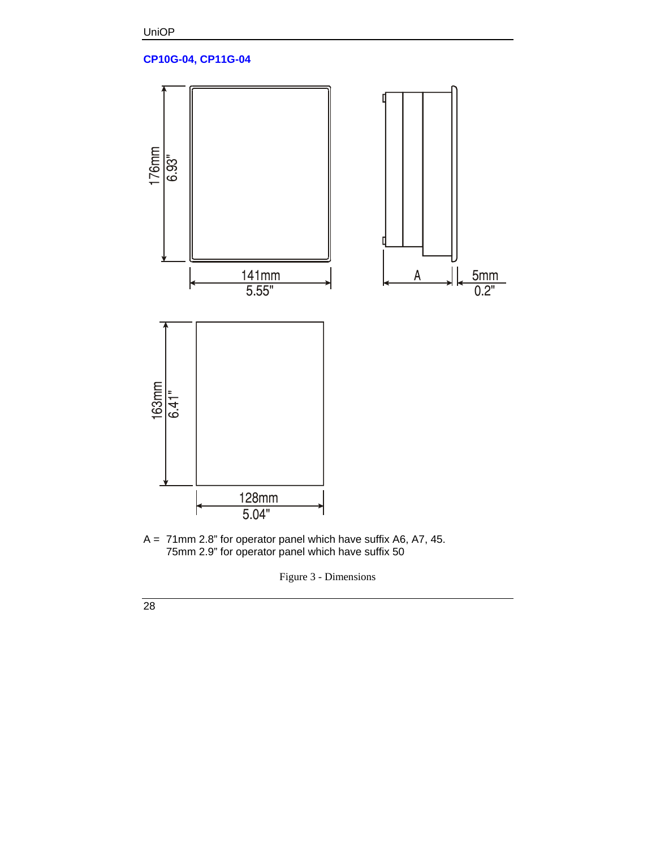# **CP10G-04, CP11G-04**



A = 71mm 2.8" for operator panel which have suffix A6, A7, 45. 75mm 2.9" for operator panel which have suffix 50

Figure 3 - Dimensions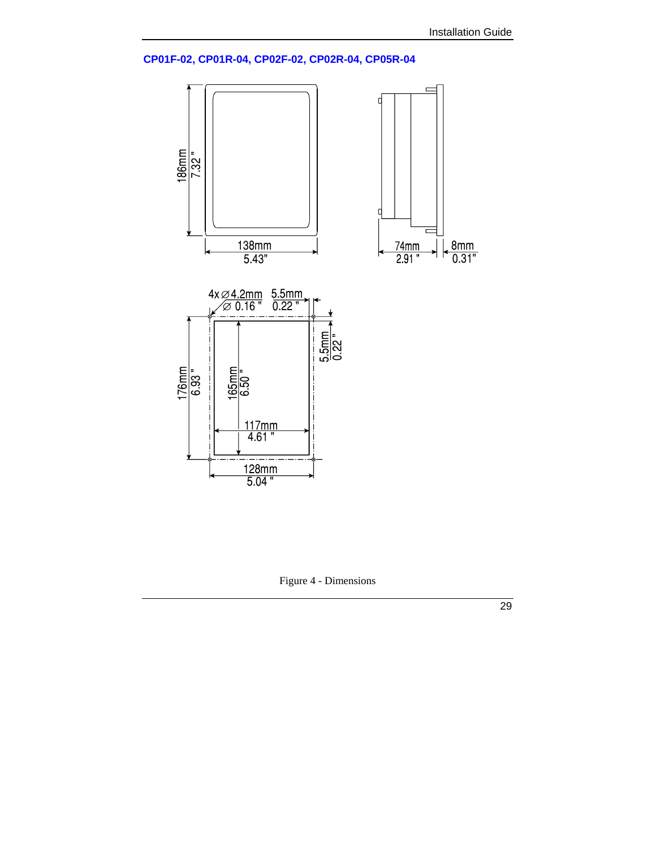# **CP01F-02, CP01R-04, CP02F-02, CP02R-04, CP05R-04**



Figure 4 - Dimensions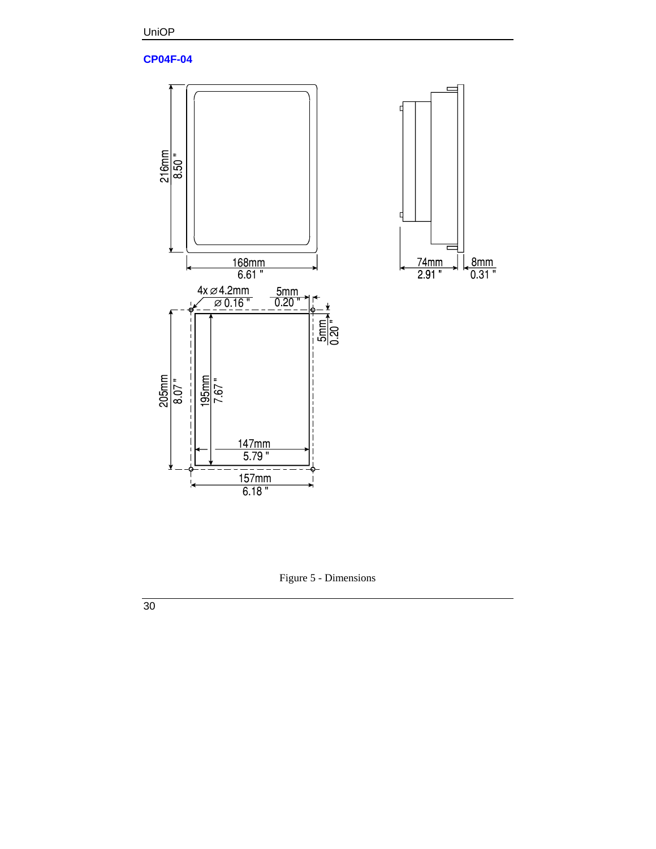**CP04F-04** 



Figure 5 - Dimensions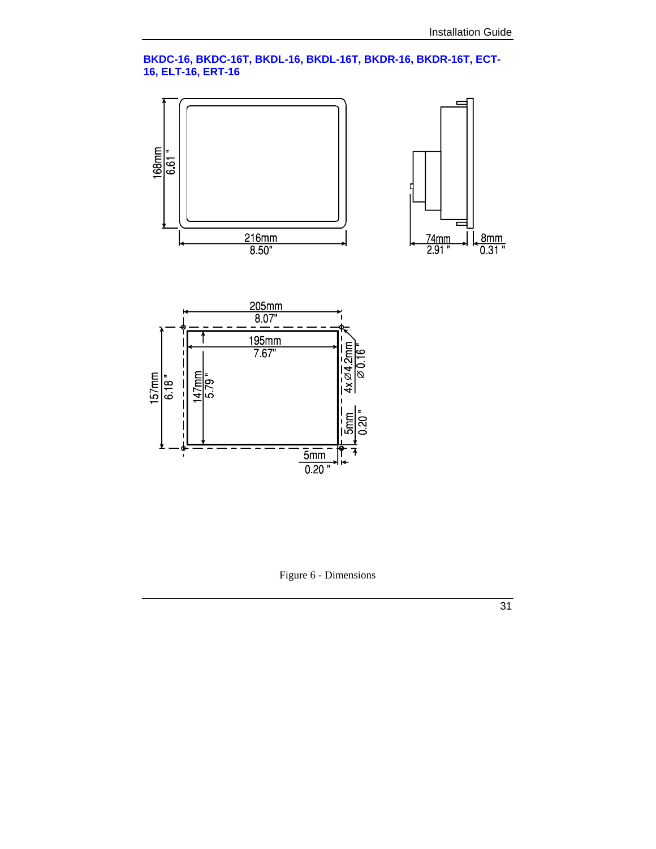#### **BKDC-16, BKDC-16T, BKDL-16, BKDL-16T, BKDR-16, BKDR-16T, ECT-16, ELT-16, ERT-16**







Figure 6 - Dimensions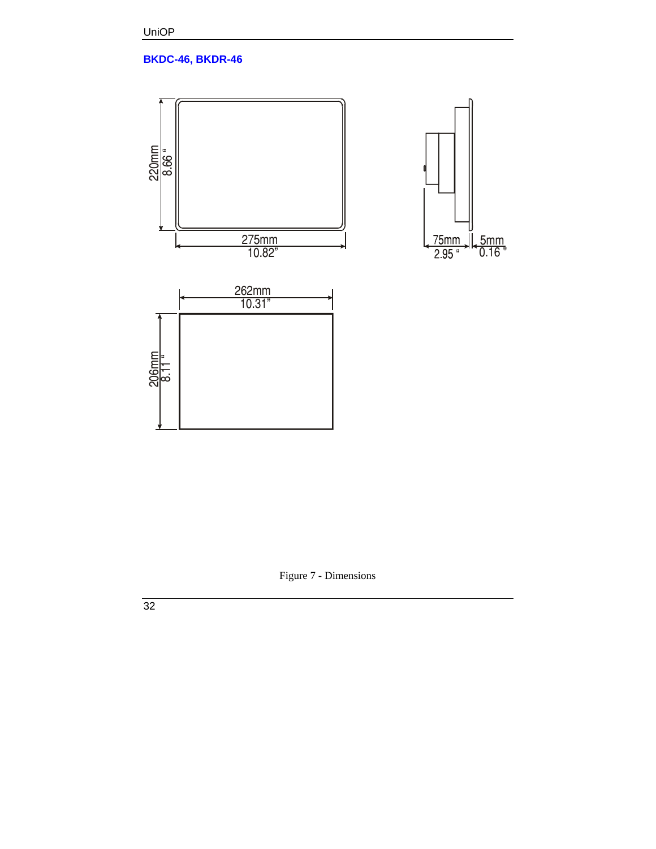# **BKDC-46, BKDR-46**



Figure 7 - Dimensions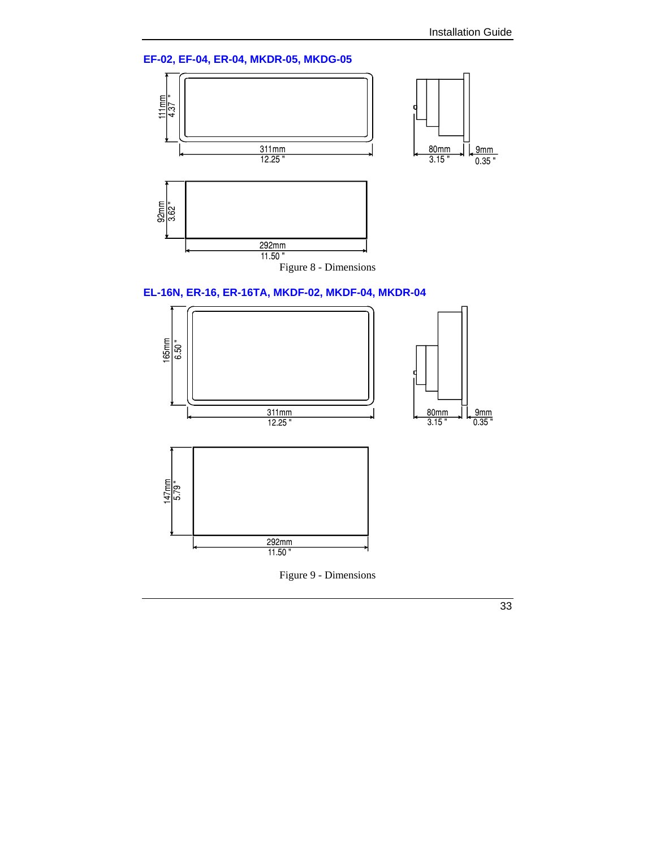

## **EL-16N, ER-16, ER-16TA, MKDF-02, MKDF-04, MKDR-04**

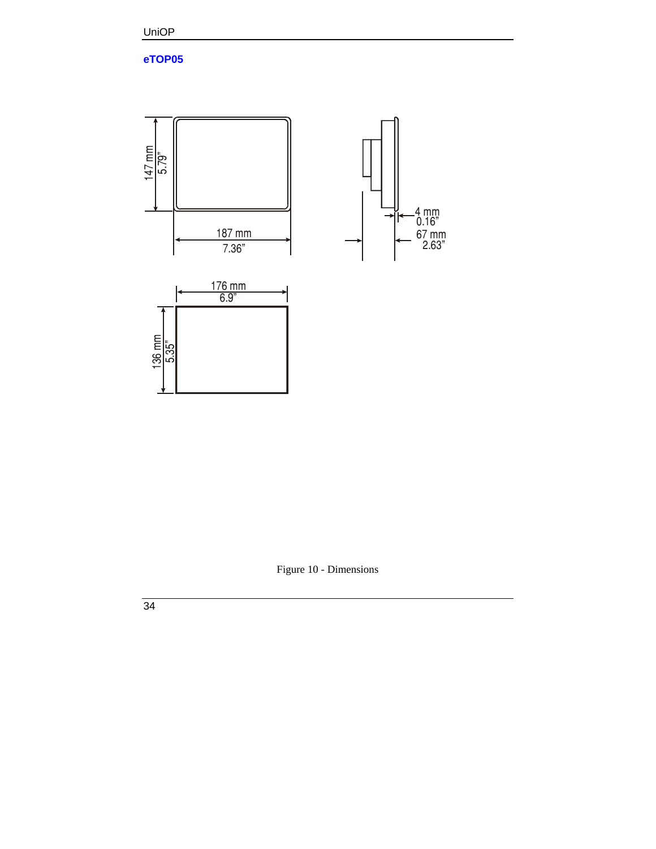**eTOP05** 



Figure 10 - Dimensions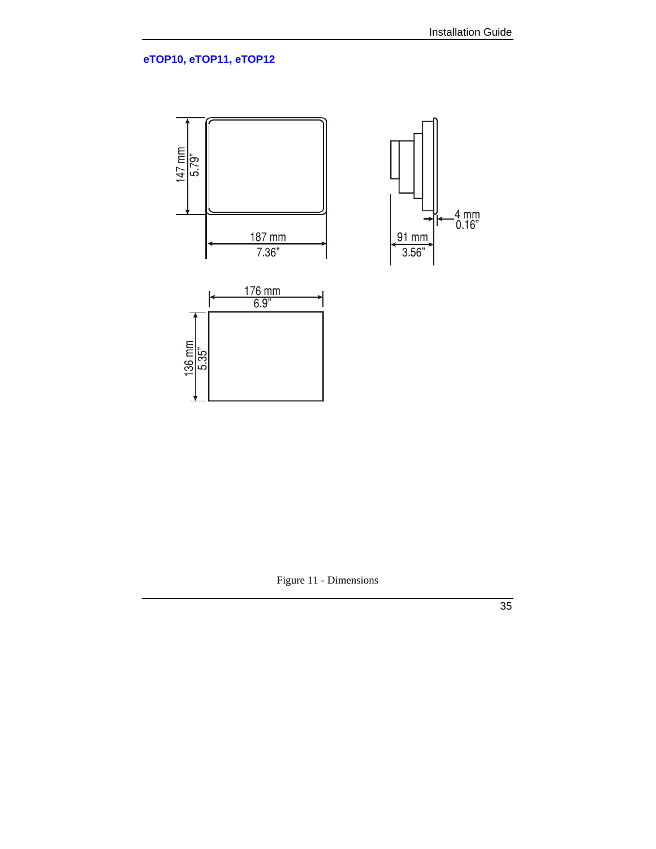# **eTOP10, eTOP11, eTOP12**







Figure 11 - Dimensions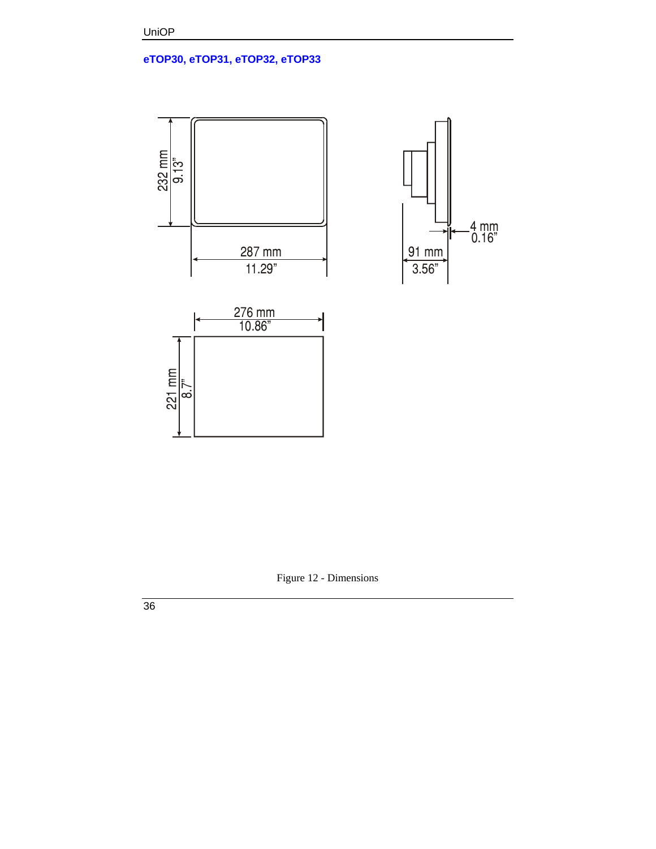# **eTOP30, eTOP31, eTOP32, eTOP33**







Figure 12 - Dimensions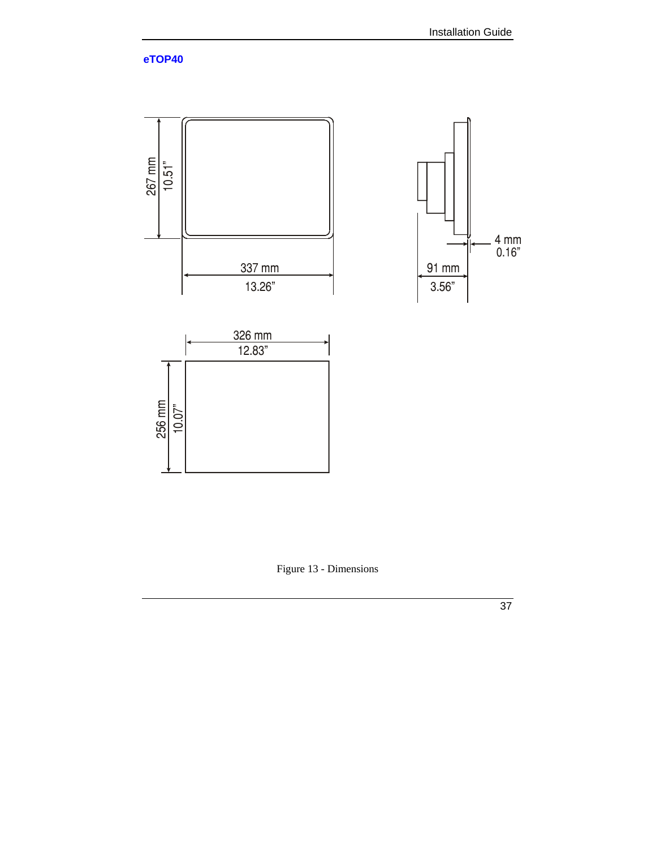# **eTOP40**



Figure 13 - Dimensions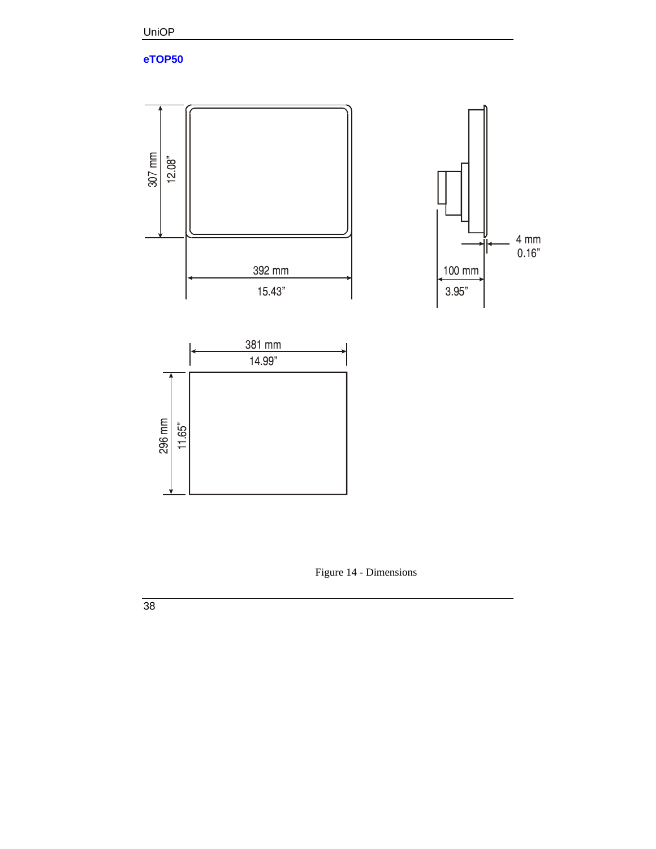**eTOP50** 



Figure 14 - Dimensions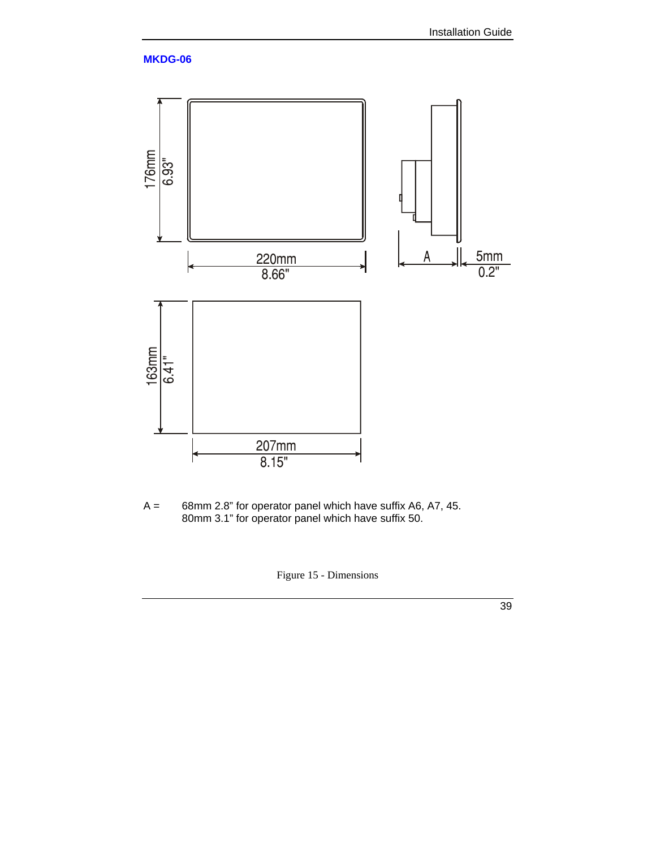### **MKDG-06**



A = 68mm 2.8" for operator panel which have suffix A6, A7, 45. 80mm 3.1" for operator panel which have suffix 50.

Figure 15 - Dimensions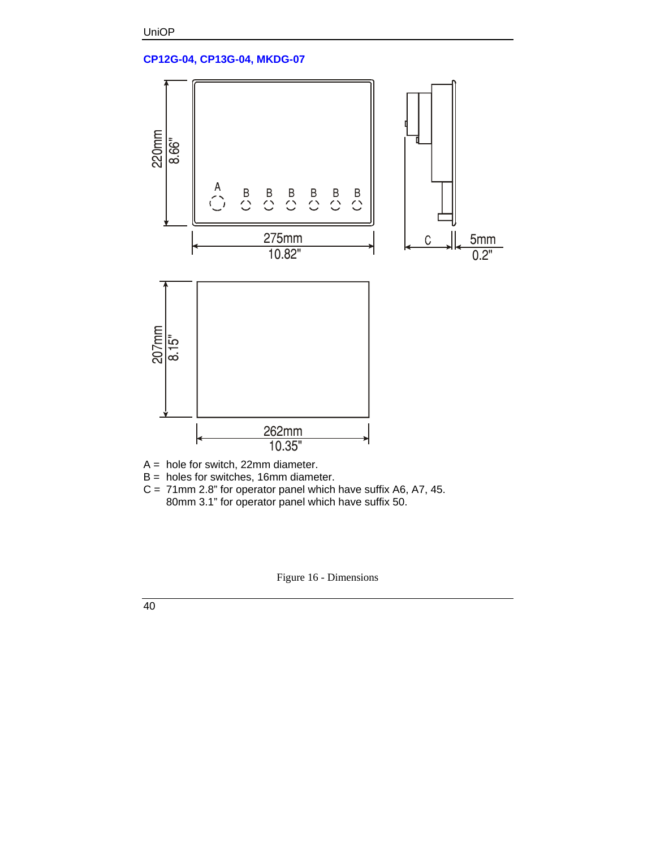**CP12G-04, CP13G-04, MKDG-07** 



- A = hole for switch, 22mm diameter.
- $B =$  holes for switches, 16mm diameter.
- C = 71mm 2.8" for operator panel which have suffix A6, A7, 45. 80mm 3.1" for operator panel which have suffix 50.

Figure 16 - Dimensions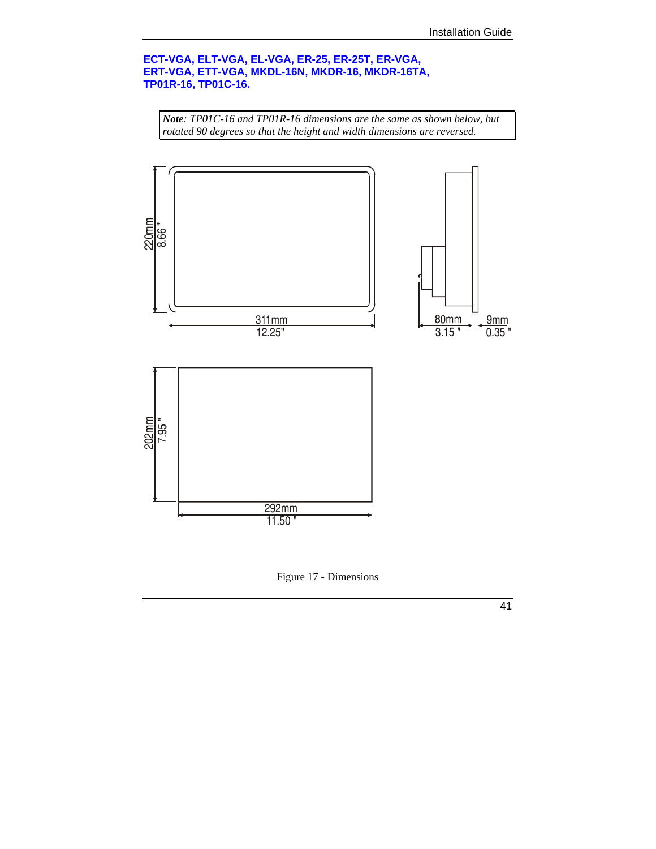## **ECT-VGA, ELT-VGA, EL-VGA, ER-25, ER-25T, ER-VGA, ERT-VGA, ETT-VGA, MKDL-16N, MKDR-16, MKDR-16TA, TP01R-16, TP01C-16.**

*Note: TP01C-16 and TP01R-16 dimensions are the same as shown below, but rotated 90 degrees so that the height and width dimensions are reversed.* 



Figure 17 - Dimensions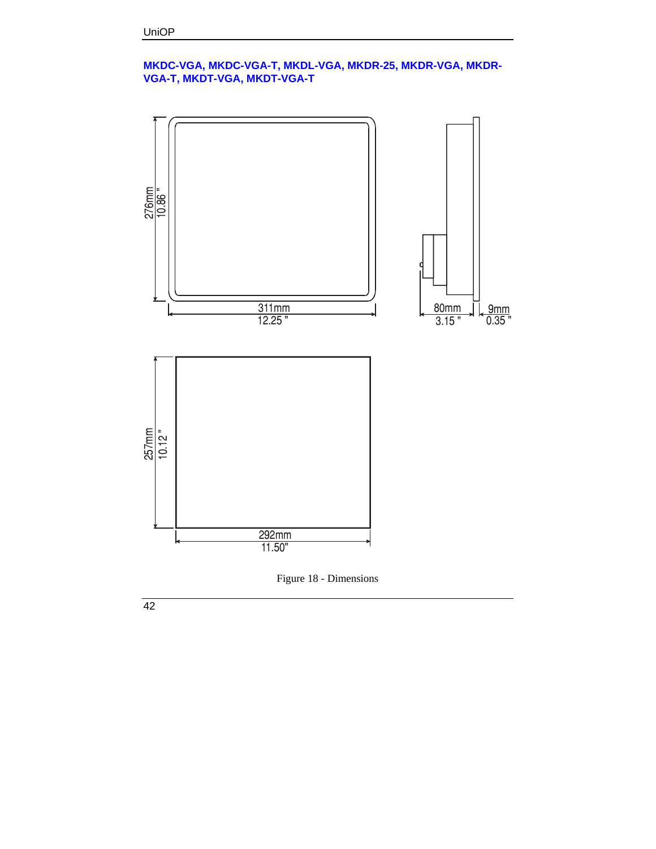#### **MKDC-VGA, MKDC-VGA-T, MKDL-VGA, MKDR-25, MKDR-VGA, MKDR-VGA-T, MKDT-VGA, MKDT-VGA-T**



Figure 18 - Dimensions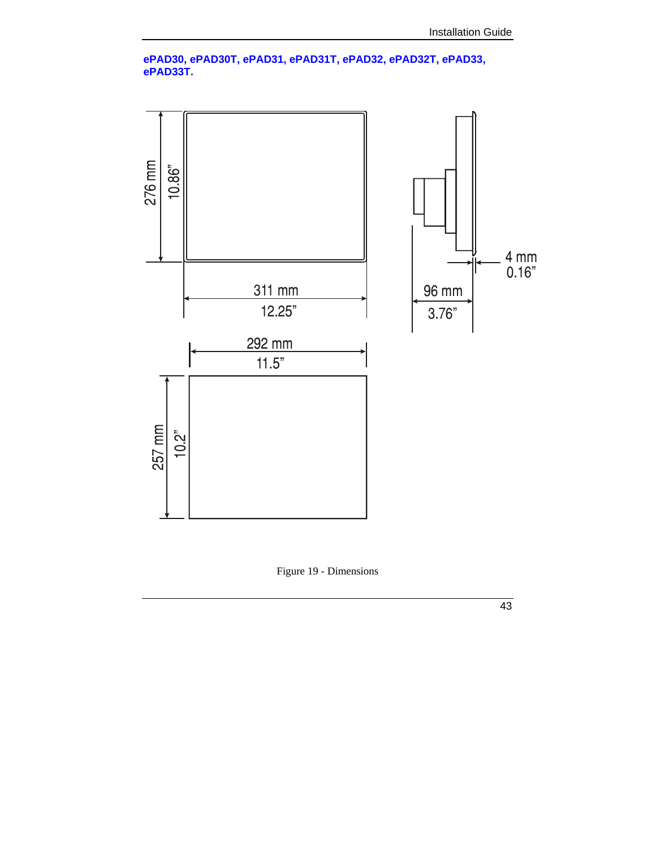**ePAD30, ePAD30T, ePAD31, ePAD31T, ePAD32, ePAD32T, ePAD33, ePAD33T.** 



Figure 19 - Dimensions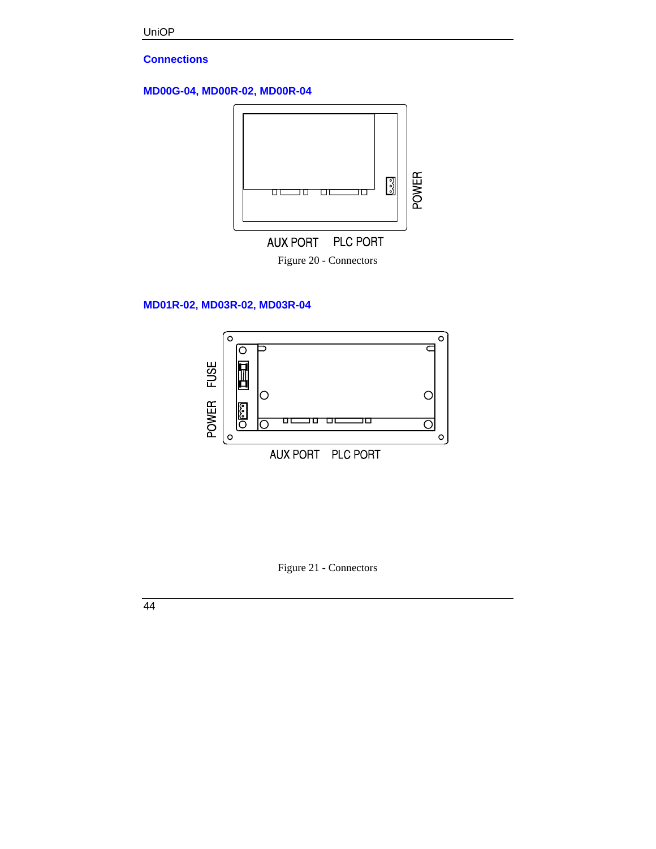**Connections** 

**MD00G-04, MD00R-02, MD00R-04** 





# **MD01R-02, MD03R-02, MD03R-04**



Figure 21 - Connectors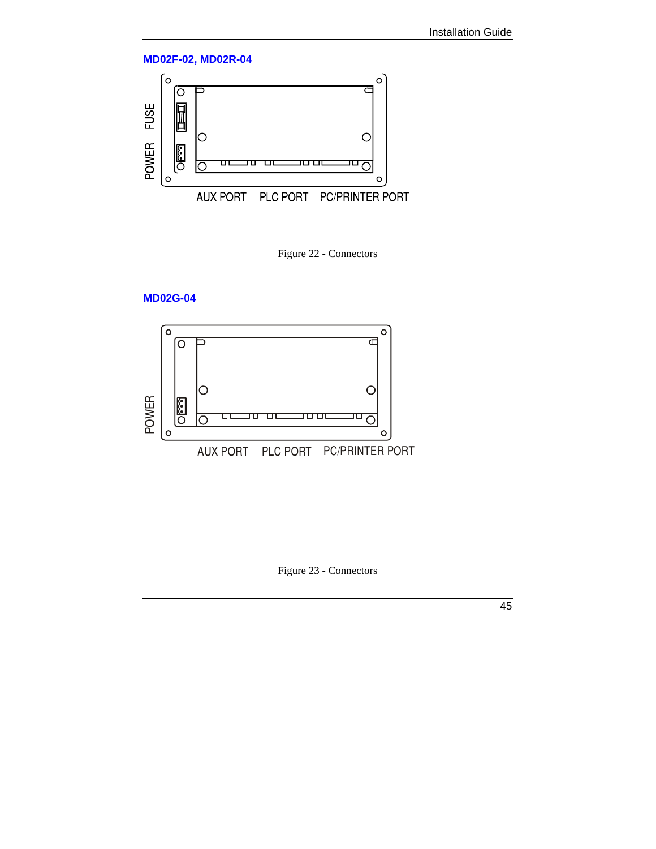



Figure 22 - Connectors

## **MD02G-04**



Figure 23 - Connectors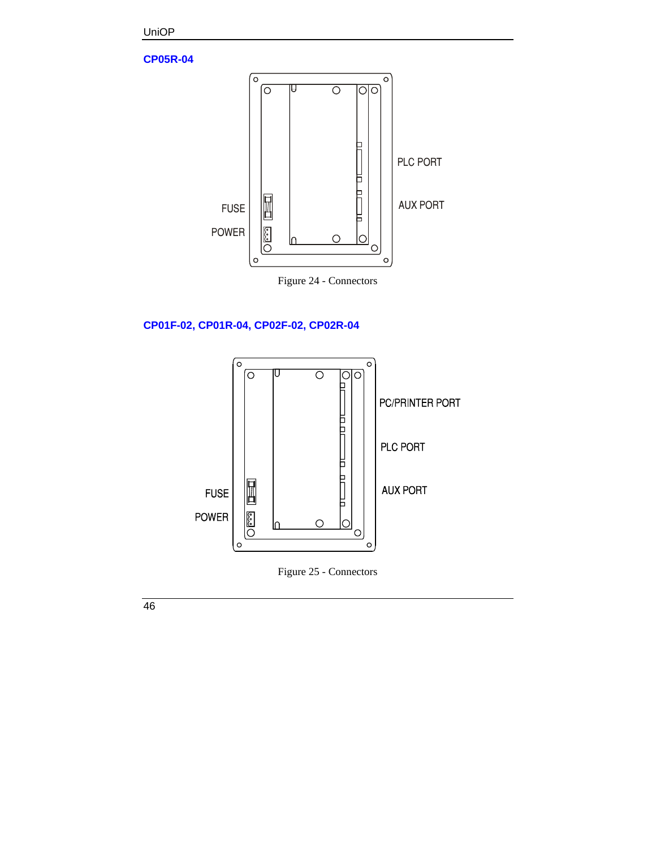

**CP05R-04** 



Figure 24 - Connectors

# **CP01F-02, CP01R-04, CP02F-02, CP02R-04**



Figure 25 - Connectors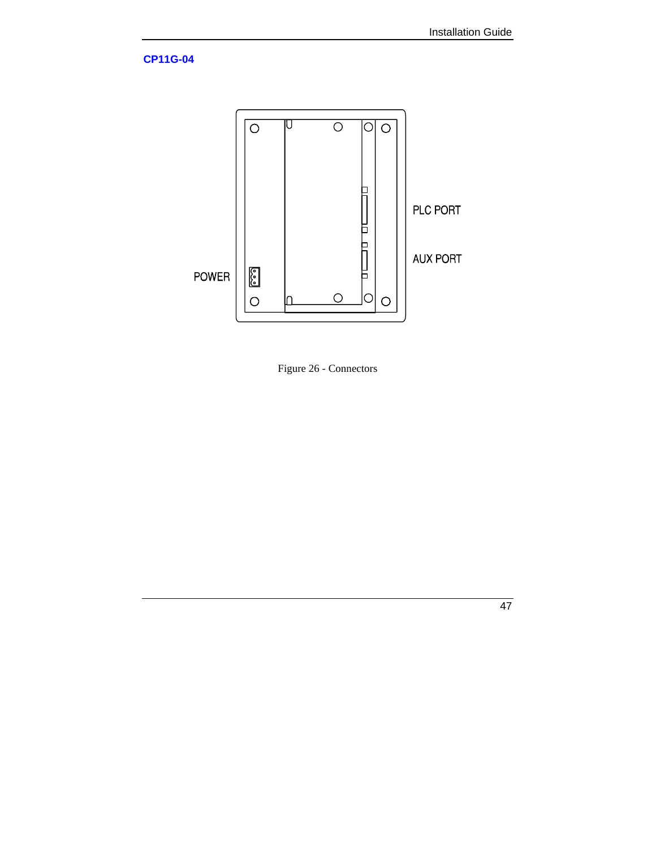# **CP11G-04**



Figure 26 - Connectors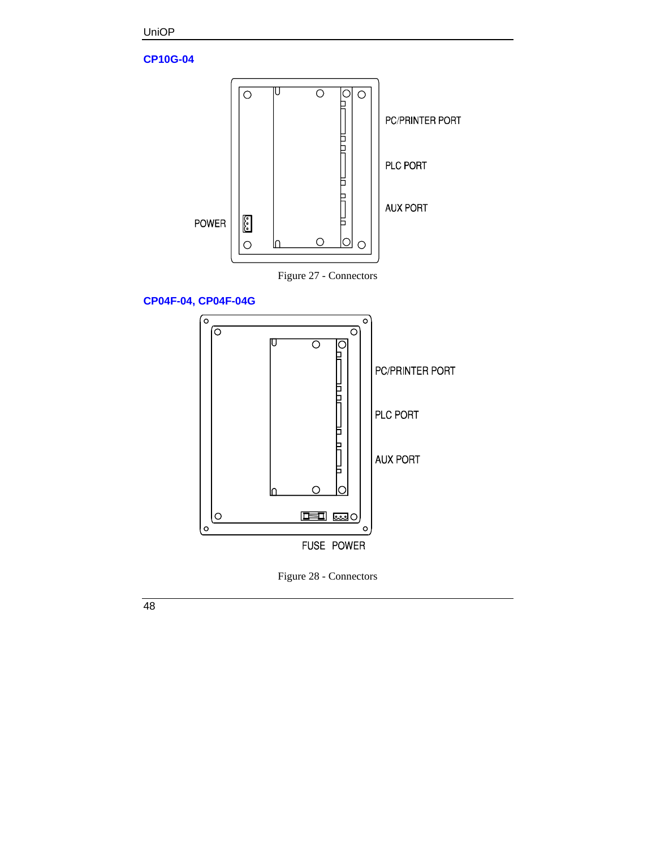**CP10G-04** 



Figure 27 - Connectors





Figure 28 - Connectors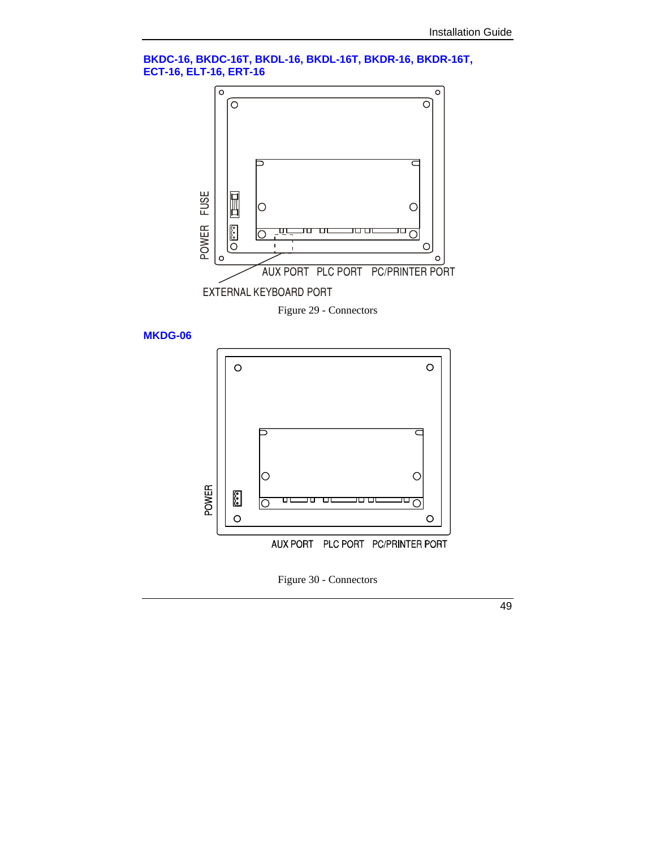



Figure 29 - Connectors





AUX PORT PLC PORT PC/PRINTER PORT



Figure 30 - Connectors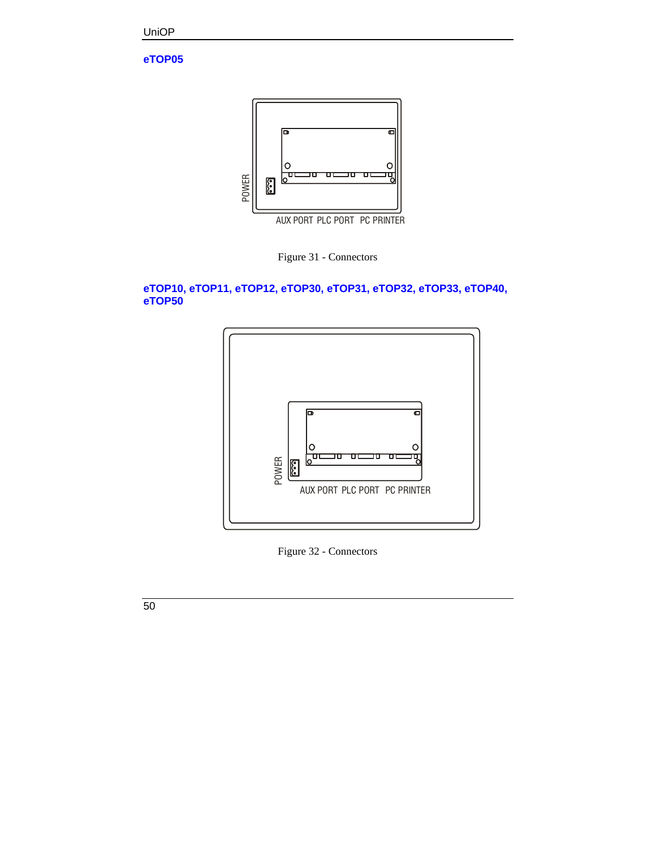UniOP

**eTOP05** 



AUX PORT PLC PORT PC PRINTER



### **eTOP10, eTOP11, eTOP12, eTOP30, eTOP31, eTOP32, eTOP33, eTOP40, eTOP50**



Figure 32 - Connectors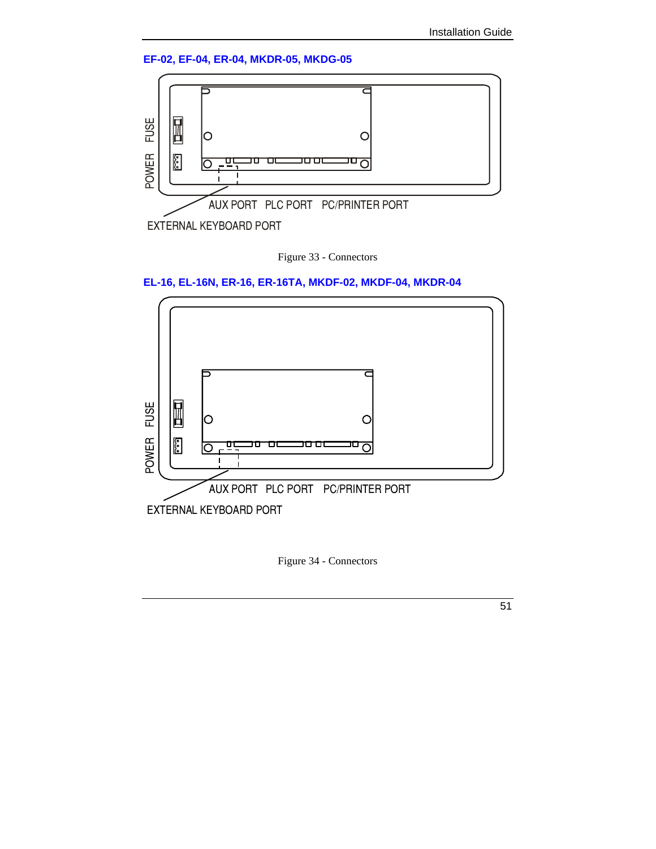```
EF-02, EF-04, ER-04, MKDR-05, MKDG-05
```


EXTERNAL KEYBOARD PORT







Figure 34 - Connectors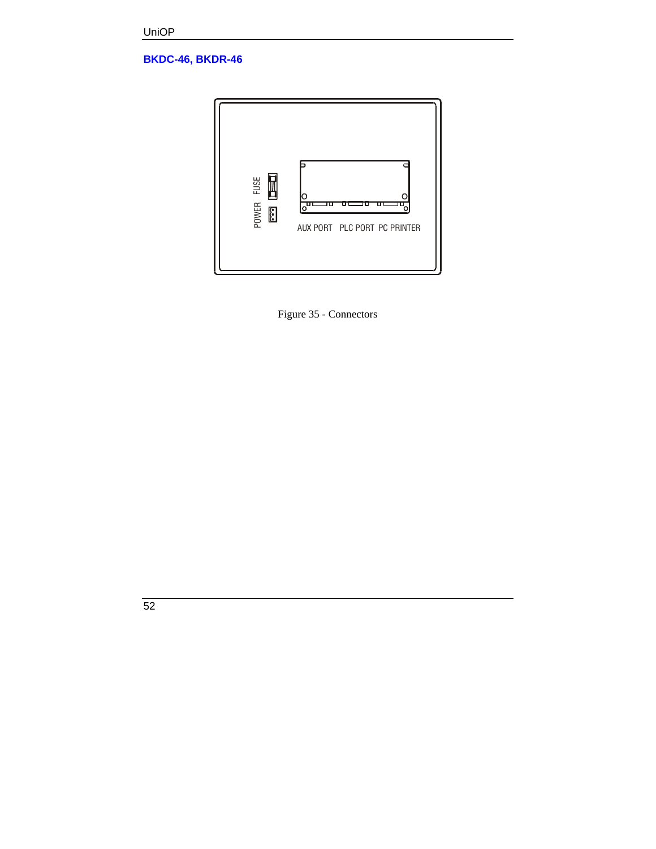# **BKDC-46, BKDR-46**



Figure 35 - Connectors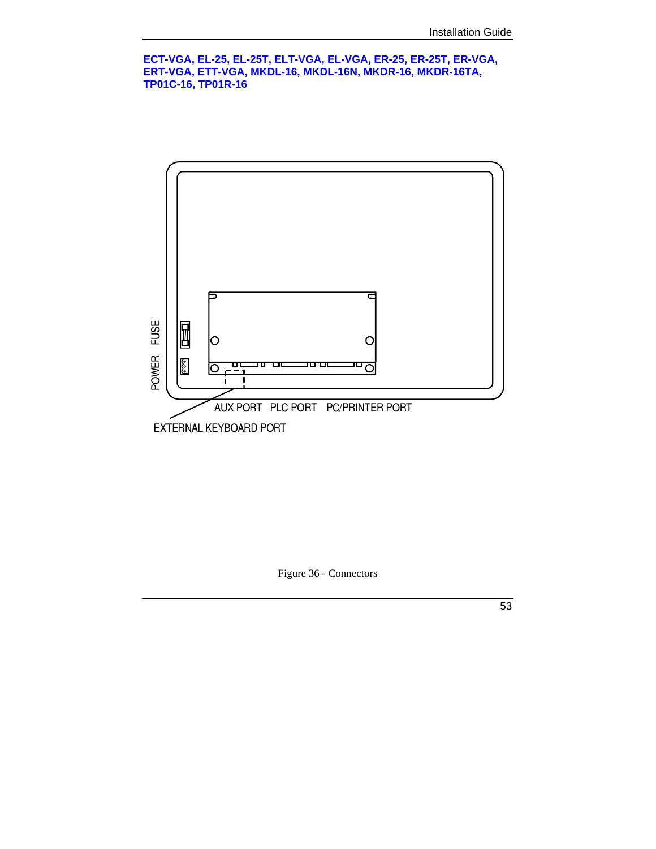**ECT-VGA, EL-25, EL-25T, ELT-VGA, EL-VGA, ER-25, ER-25T, ER-VGA, ERT-VGA, ETT-VGA, MKDL-16, MKDL-16N, MKDR-16, MKDR-16TA, TP01C-16, TP01R-16** 



Figure 36 - Connectors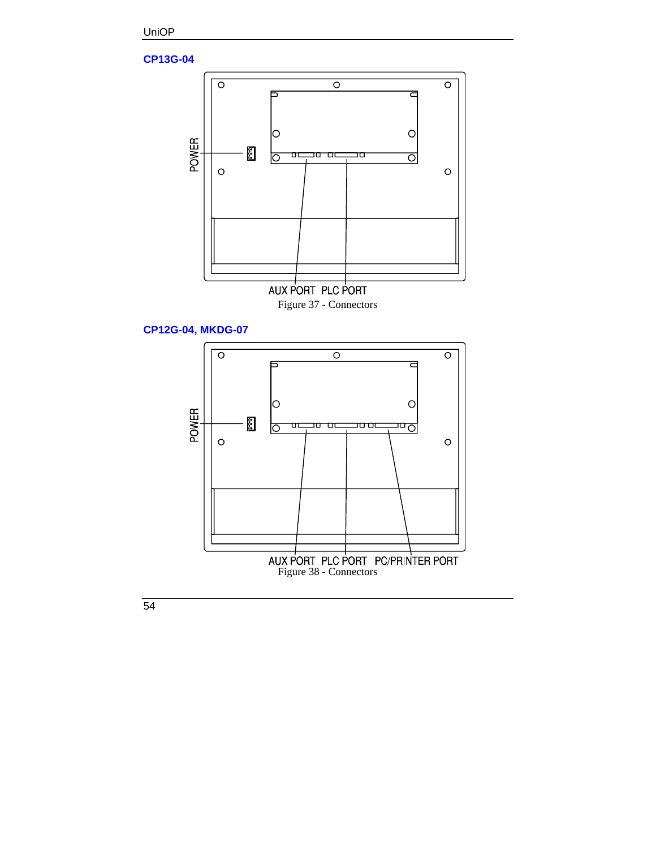**CP13G-04** 



```
CP12G-04, MKDG-07
```


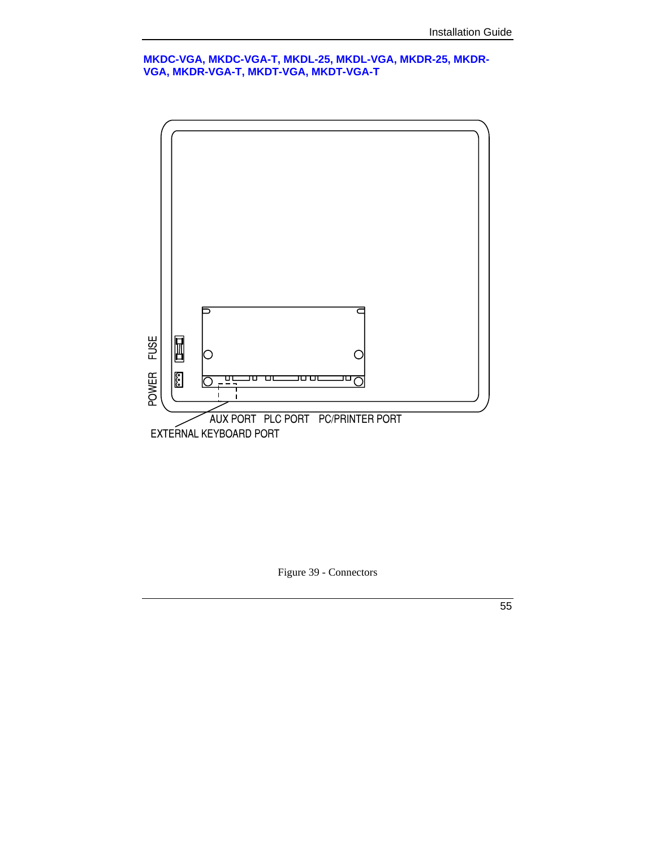**MKDC-VGA, MKDC-VGA-T, MKDL-25, MKDL-VGA, MKDR-25, MKDR-VGA, MKDR-VGA-T, MKDT-VGA, MKDT-VGA-T** 



Figure 39 - Connectors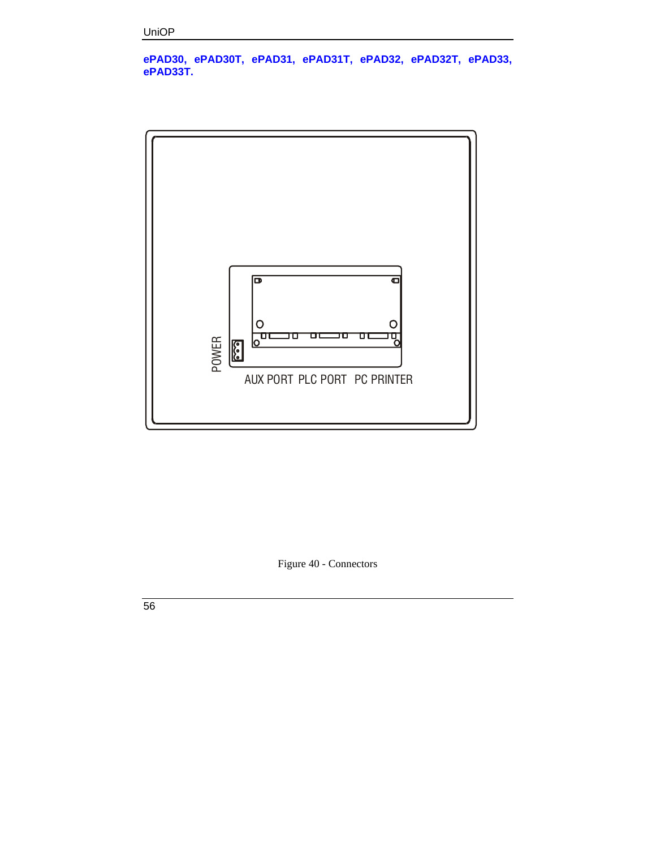**ePAD30, ePAD30T, ePAD31, ePAD31T, ePAD32, ePAD32T, ePAD33, ePAD33T.**



Figure 40 - Connectors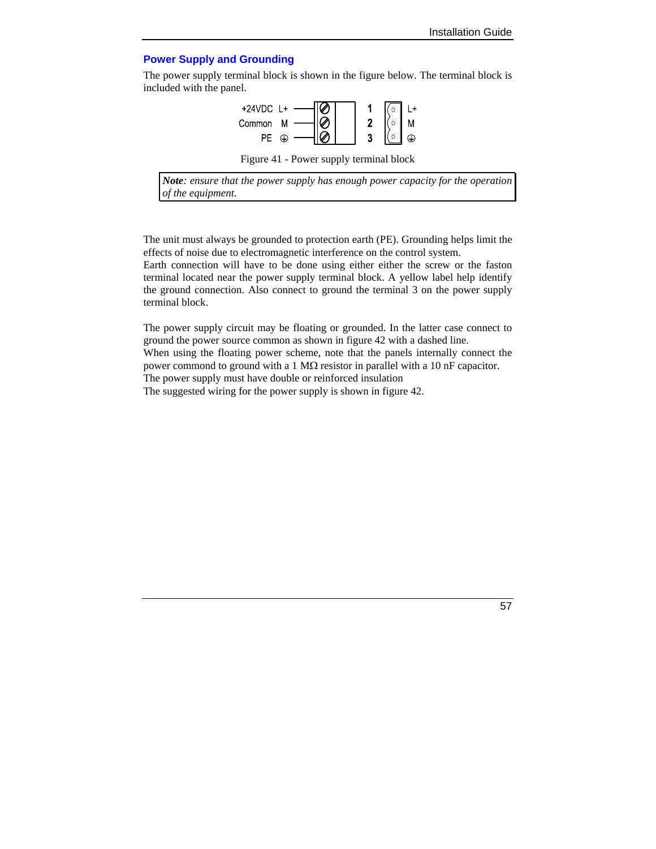### **Power Supply and Grounding**

The power supply terminal block is shown in the figure below. The terminal block is included with the panel.



Figure 41 - Power supply terminal block

*Note: ensure that the power supply has enough power capacity for the operation of the equipment.* 

The unit must always be grounded to protection earth (PE). Grounding helps limit the effects of noise due to electromagnetic interference on the control system.

Earth connection will have to be done using either either the screw or the faston terminal located near the power supply terminal block. A yellow label help identify the ground connection. Also connect to ground the terminal 3 on the power supply terminal block.

The power supply circuit may be floating or grounded. In the latter case connect to ground the power source common as shown in figure 42 with a dashed line. When using the floating power scheme, note that the panels internally connect the power commond to ground with a 1 MΩ resistor in parallel with a 10 nF capacitor. The power supply must have double or reinforced insulation The suggested wiring for the power supply is shown in figure 42.

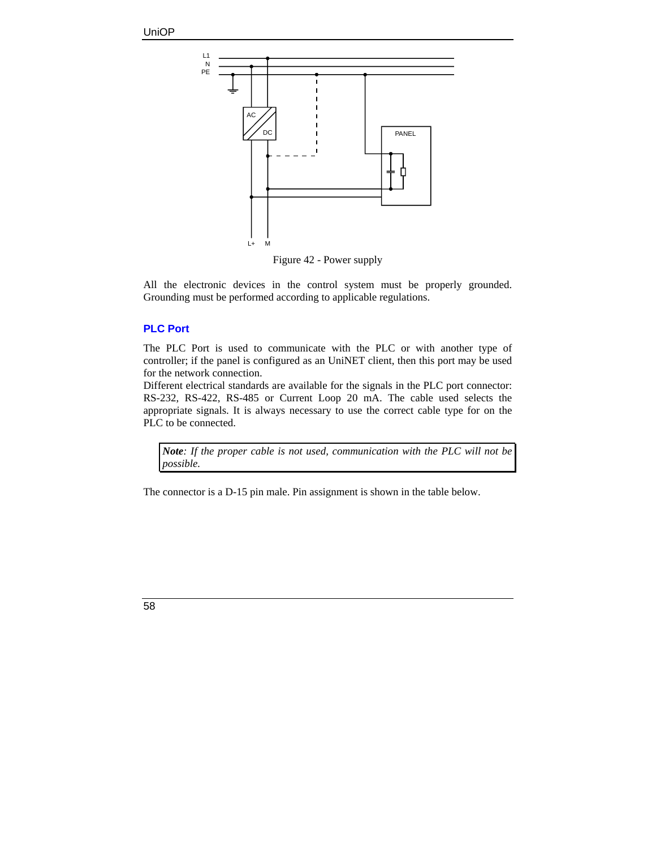

Figure 42 - Power supply

All the electronic devices in the control system must be properly grounded. Grounding must be performed according to applicable regulations.

#### **PLC Port**

The PLC Port is used to communicate with the PLC or with another type of controller; if the panel is configured as an UniNET client, then this port may be used for the network connection.

Different electrical standards are available for the signals in the PLC port connector: RS-232, RS-422, RS-485 or Current Loop 20 mA. The cable used selects the appropriate signals. It is always necessary to use the correct cable type for on the PLC to be connected.

*Note: If the proper cable is not used, communication with the PLC will not be possible.* 

The connector is a D-15 pin male. Pin assignment is shown in the table below.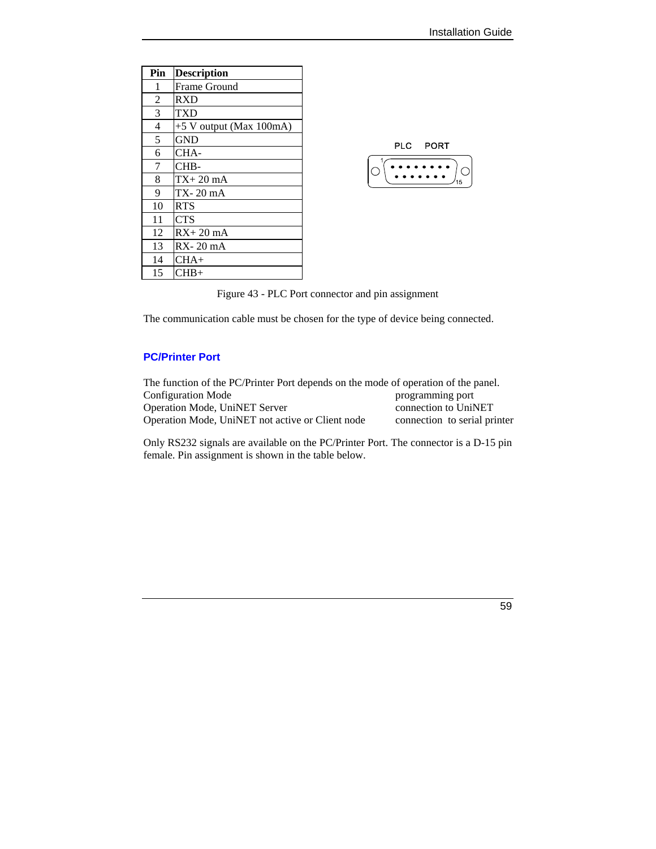| Pin            | <b>Description</b>        |
|----------------|---------------------------|
| 1              | Frame Ground              |
| $\overline{2}$ | RXD                       |
| 3              | <b>TXD</b>                |
| $\overline{4}$ | $+5$ V output (Max 100mA) |
| 5              | <b>GND</b>                |
| 6              | CHA-                      |
| 7              | CHB-                      |
| 8              | $TX+20mA$                 |
| 9              | TX-20 mA                  |
| 10             | <b>RTS</b>                |
| 11             | <b>CTS</b>                |
| 12             | $RX + 20$ mA              |
| 13             | $RX - 20$ mA              |
| 14             | $CHA+$                    |
| 15             | $CHB+$                    |



Figure 43 - PLC Port connector and pin assignment

The communication cable must be chosen for the type of device being connected.

## **PC/Printer Port**

| The function of the PC/Printer Port depends on the mode of operation of the panel. |                              |
|------------------------------------------------------------------------------------|------------------------------|
| Configuration Mode                                                                 | programming port             |
| Operation Mode, UniNET Server                                                      | connection to UniNET         |
| Operation Mode, UniNET not active or Client node                                   | connection to serial printer |

Only RS232 signals are available on the PC/Printer Port. The connector is a D-15 pin female. Pin assignment is shown in the table below.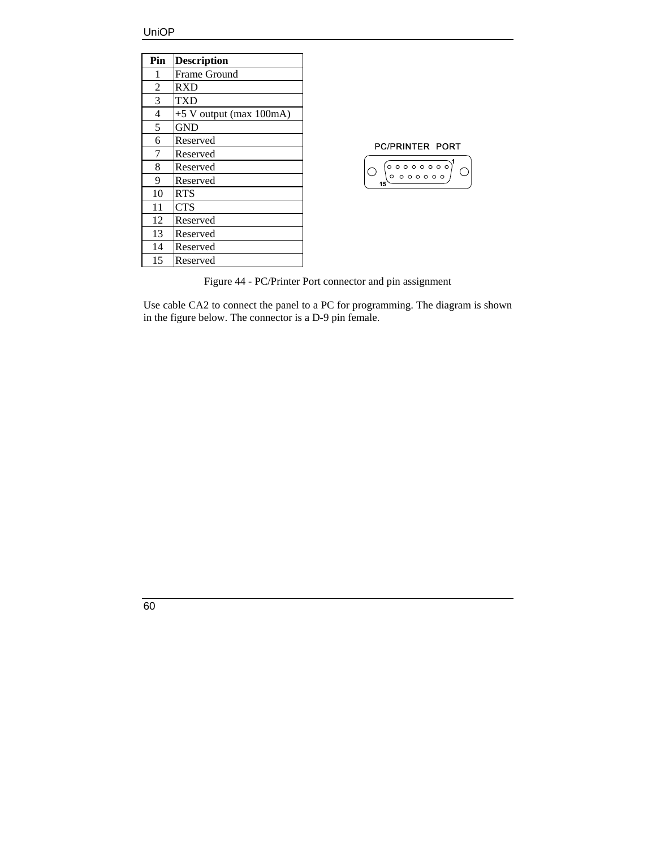UniOP

| Pin            | <b>Description</b>        |
|----------------|---------------------------|
| 1              | Frame Ground              |
| $\overline{2}$ | RXD                       |
| 3              | <b>TXD</b>                |
| 4              | $+5$ V output (max 100mA) |
| 5              | <b>GND</b>                |
| 6              | Reserved                  |
| 7              | Reserved                  |
| 8              | Reserved                  |
| 9              | Reserved                  |
| 10             | <b>RTS</b>                |
| 11             | CTS                       |
| 12             | Reserved                  |
| 13             | Reserved                  |
| 14             | Reserved                  |
| 15             | Reserved                  |





Use cable CA2 to connect the panel to a PC for programming. The diagram is shown in the figure below. The connector is a D-9 pin female.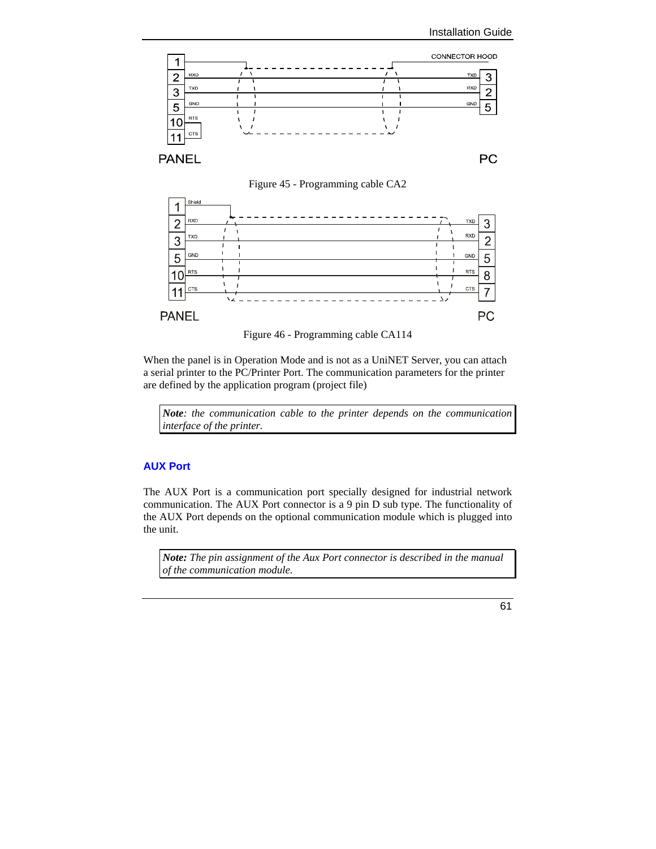





Figure 46 - Programming cable CA114

When the panel is in Operation Mode and is not as a UniNET Server, you can attach a serial printer to the PC/Printer Port. The communication parameters for the printer are defined by the application program (project file)

*Note: the communication cable to the printer depends on the communication interface of the printer.* 

## **AUX Port**

The AUX Port is a communication port specially designed for industrial network communication. The AUX Port connector is a 9 pin D sub type. The functionality of the AUX Port depends on the optional communication module which is plugged into the unit.

*Note: The pin assignment of the Aux Port connector is described in the manual of the communication module.*

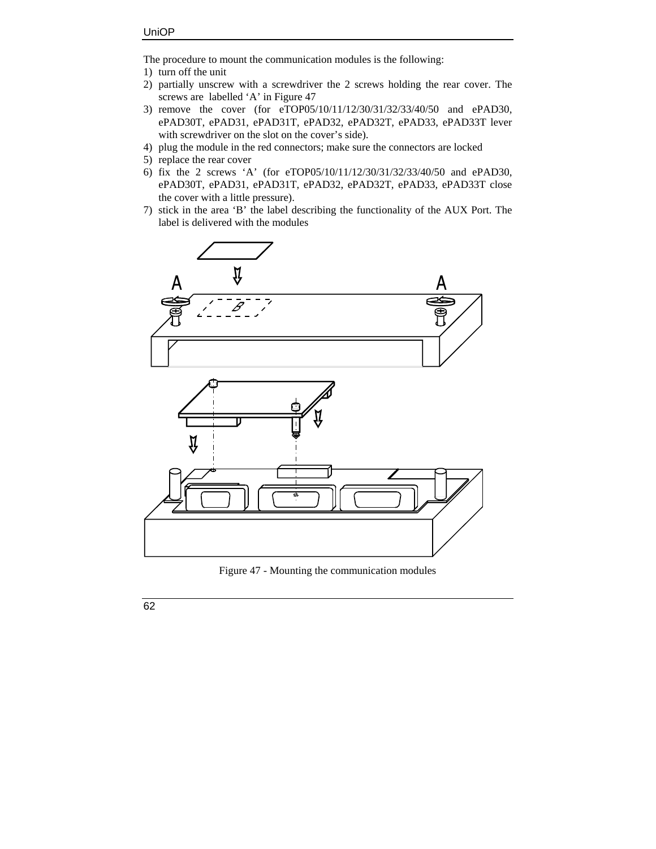The procedure to mount the communication modules is the following:

- 1) turn off the unit
- 2) partially unscrew with a screwdriver the 2 screws holding the rear cover. The screws are labelled 'A' in Figure 47
- 3) remove the cover (for eTOP05/10/11/12/30/31/32/33/40/50 and ePAD30, ePAD30T, ePAD31, ePAD31T, ePAD32, ePAD32T, ePAD33, ePAD33T lever with screwdriver on the slot on the cover's side).
- 4) plug the module in the red connectors; make sure the connectors are locked
- 5) replace the rear cover
- 6) fix the 2 screws 'A' (for eTOP05/10/11/12/30/31/32/33/40/50 and ePAD30, ePAD30T, ePAD31, ePAD31T, ePAD32, ePAD32T, ePAD33, ePAD33T close the cover with a little pressure).
- 7) stick in the area 'B' the label describing the functionality of the AUX Port. The label is delivered with the modules



Figure 47 - Mounting the communication modules

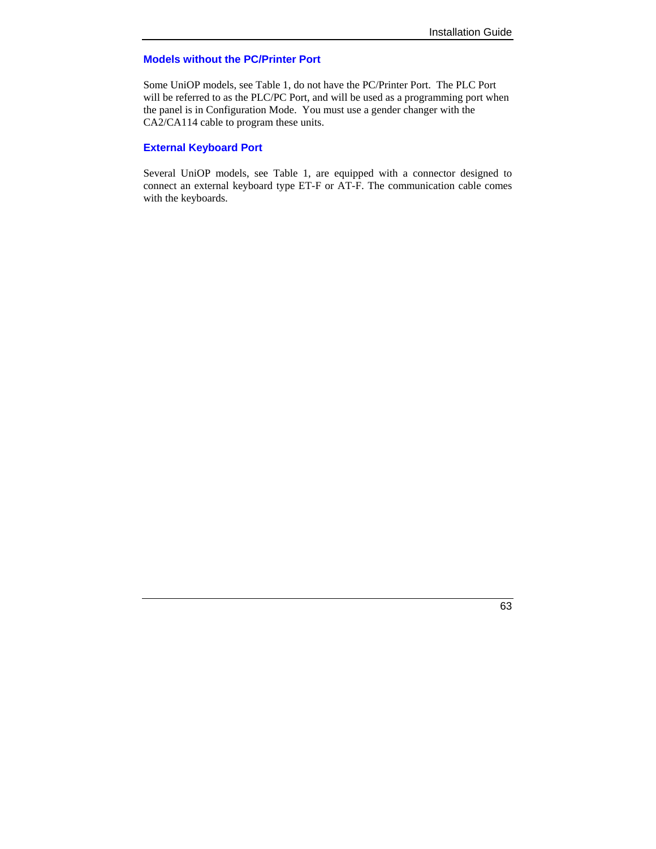### **Models without the PC/Printer Port**

Some UniOP models, see Table 1, do not have the PC/Printer Port. The PLC Port will be referred to as the PLC/PC Port, and will be used as a programming port when the panel is in Configuration Mode. You must use a gender changer with the CA2/CA114 cable to program these units.

## **External Keyboard Port**

Several UniOP models, see Table 1, are equipped with a connector designed to connect an external keyboard type ET-F or AT-F. The communication cable comes with the keyboards.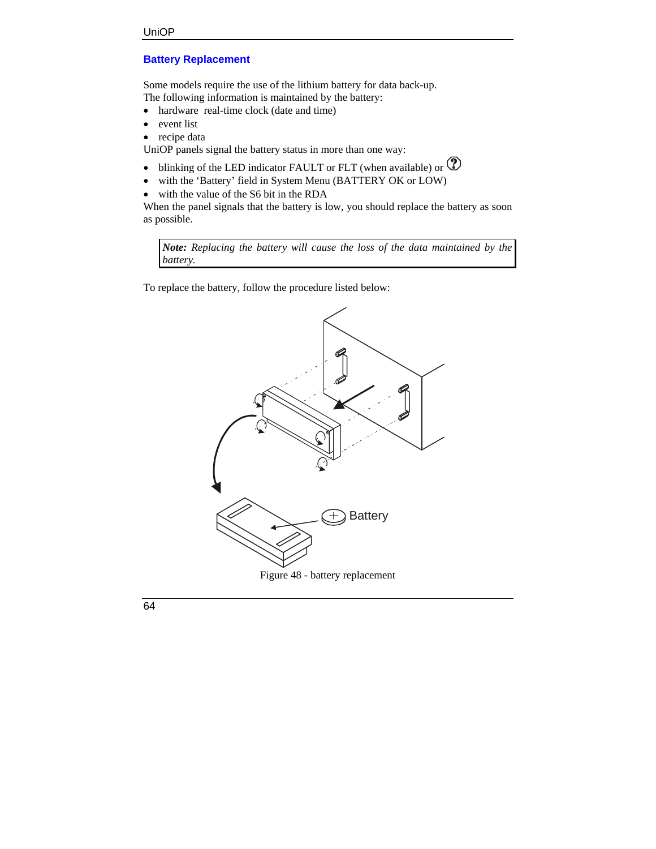### **Battery Replacement**

Some models require the use of the lithium battery for data back-up. The following information is maintained by the battery:

- hardware real-time clock (date and time)
- event list
- recipe data

UniOP panels signal the battery status in more than one way:

- blinking of the LED indicator FAULT or FLT (when available) or  $\circled{2}$
- with the 'Battery' field in System Menu (BATTERY OK or LOW)
- with the value of the S6 bit in the RDA

When the panel signals that the battery is low, you should replace the battery as soon as possible.

*Note: Replacing the battery will cause the loss of the data maintained by the battery.* 

To replace the battery, follow the procedure listed below:



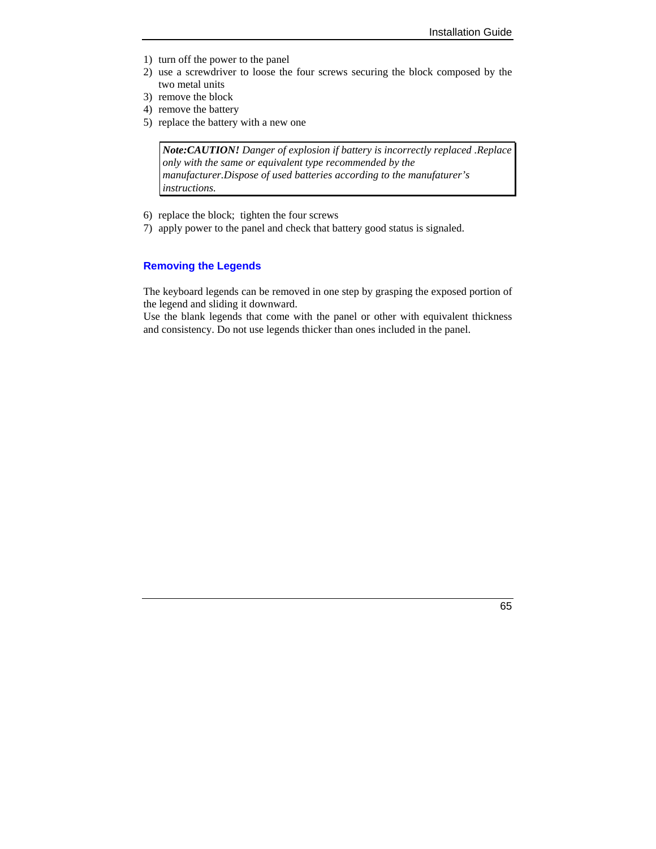- 1) turn off the power to the panel
- 2) use a screwdriver to loose the four screws securing the block composed by the two metal units
- 3) remove the block
- 4) remove the battery
- 5) replace the battery with a new one

*Note:CAUTION! Danger of explosion if battery is incorrectly replaced .Replace only with the same or equivalent type recommended by the manufacturer.Dispose of used batteries according to the manufaturer's instructions.* 

6) replace the block; tighten the four screws

7) apply power to the panel and check that battery good status is signaled.

### **Removing the Legends**

The keyboard legends can be removed in one step by grasping the exposed portion of the legend and sliding it downward.

Use the blank legends that come with the panel or other with equivalent thickness and consistency. Do not use legends thicker than ones included in the panel.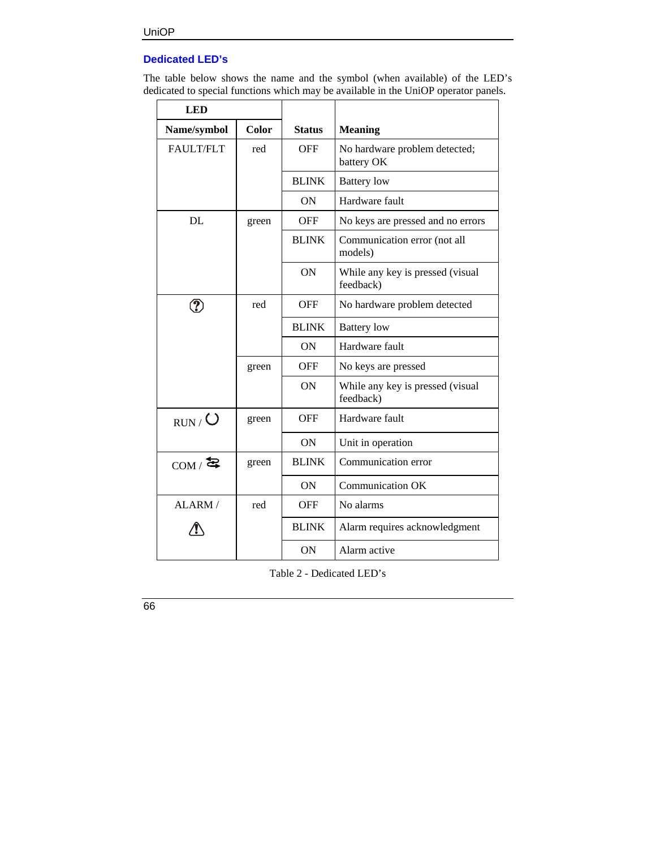# **Dedicated LED's**

The table below shows the name and the symbol (when available) of the LED's dedicated to special functions which may be available in the UniOP operator panels.

| <b>LED</b>                |       |               |                                               |
|---------------------------|-------|---------------|-----------------------------------------------|
| Name/symbol               | Color | <b>Status</b> | <b>Meaning</b>                                |
| <b>FAULT/FLT</b>          | red   | <b>OFF</b>    | No hardware problem detected;<br>battery OK   |
|                           |       | <b>BLINK</b>  | <b>Battery</b> low                            |
|                           |       | ON            | Hardware fault                                |
| DL                        | green | <b>OFF</b>    | No keys are pressed and no errors             |
|                           |       | <b>BLINK</b>  | Communication error (not all<br>models)       |
|                           |       | ON            | While any key is pressed (visual<br>feedback) |
| $\mathbf 7$               | red   | <b>OFF</b>    | No hardware problem detected                  |
|                           |       | <b>BLINK</b>  | <b>Battery</b> low                            |
|                           |       | ON            | Hardware fault                                |
|                           | green | <b>OFF</b>    | No keys are pressed                           |
|                           |       | <b>ON</b>     | While any key is pressed (visual<br>feedback) |
| $_{\rm RUN}$ / $\bigcirc$ | green | <b>OFF</b>    | Hardware fault                                |
|                           |       | ON            | Unit in operation                             |
| COM /                     | green | <b>BLINK</b>  | Communication error                           |
|                           |       | <b>ON</b>     | <b>Communication OK</b>                       |
| ALARM/                    | red   | <b>OFF</b>    | No alarms                                     |
|                           |       | <b>BLINK</b>  | Alarm requires acknowledgment                 |
|                           |       | ON            | Alarm active                                  |

Table 2 - Dedicated LED's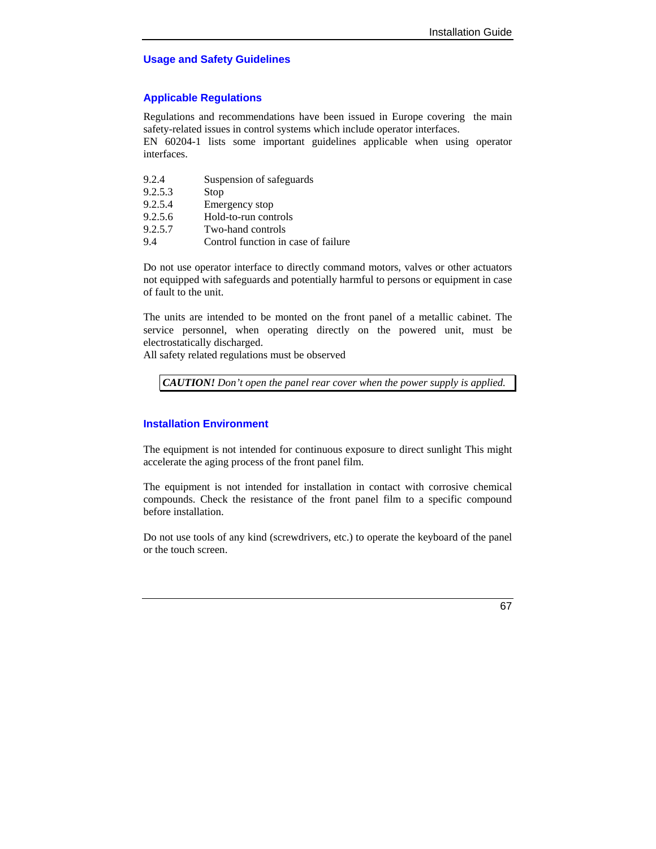### **Usage and Safety Guidelines**

#### **Applicable Regulations**

Regulations and recommendations have been issued in Europe covering the main safety-related issues in control systems which include operator interfaces. EN 60204-1 lists some important guidelines applicable when using operator interfaces.

| Suspension of safeguards            |
|-------------------------------------|
| Stop                                |
| Emergency stop                      |
| Hold-to-run controls                |
| Two-hand controls                   |
| Control function in case of failure |
|                                     |

Do not use operator interface to directly command motors, valves or other actuators not equipped with safeguards and potentially harmful to persons or equipment in case of fault to the unit.

The units are intended to be monted on the front panel of a metallic cabinet. The service personnel, when operating directly on the powered unit, must be electrostatically discharged.

All safety related regulations must be observed

*CAUTION! Don't open the panel rear cover when the power supply is applied.* 

### **Installation Environment**

The equipment is not intended for continuous exposure to direct sunlight This might accelerate the aging process of the front panel film.

The equipment is not intended for installation in contact with corrosive chemical compounds. Check the resistance of the front panel film to a specific compound before installation.

Do not use tools of any kind (screwdrivers, etc.) to operate the keyboard of the panel or the touch screen.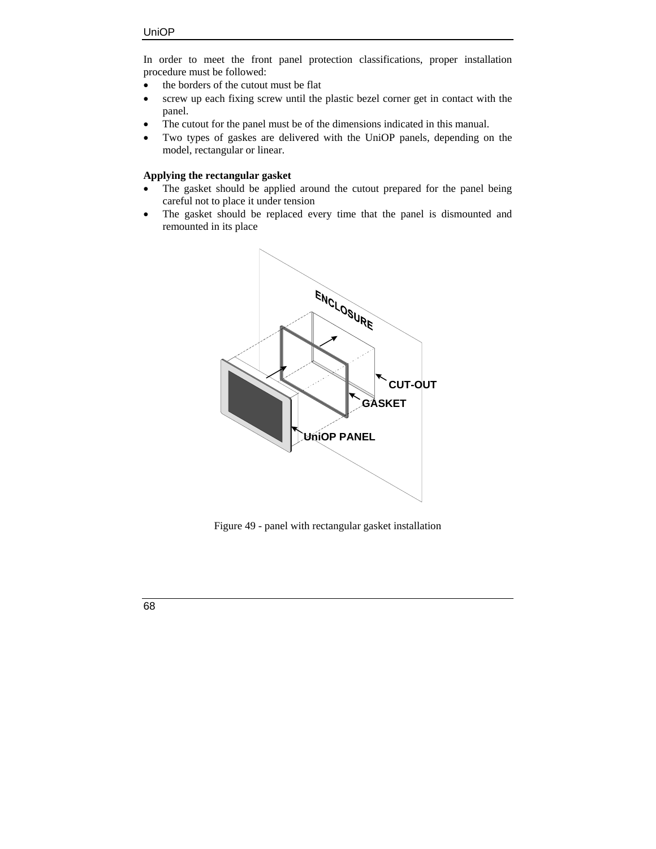In order to meet the front panel protection classifications, proper installation procedure must be followed:

- the borders of the cutout must be flat
- screw up each fixing screw until the plastic bezel corner get in contact with the panel.
- The cutout for the panel must be of the dimensions indicated in this manual.
- Two types of gaskes are delivered with the UniOP panels, depending on the model, rectangular or linear.

#### **Applying the rectangular gasket**

- The gasket should be applied around the cutout prepared for the panel being careful not to place it under tension
- The gasket should be replaced every time that the panel is dismounted and remounted in its place



Figure 49 - panel with rectangular gasket installation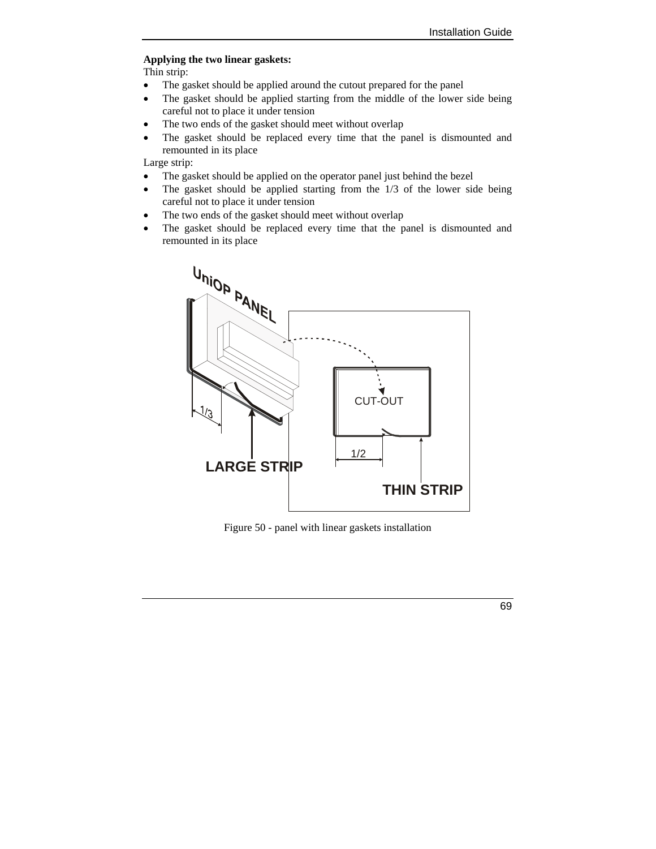# **Applying the two linear gaskets:**

# Thin strip:

- The gasket should be applied around the cutout prepared for the panel
- The gasket should be applied starting from the middle of the lower side being careful not to place it under tension
- The two ends of the gasket should meet without overlap
- The gasket should be replaced every time that the panel is dismounted and remounted in its place

Large strip:

- The gasket should be applied on the operator panel just behind the bezel
- The gasket should be applied starting from the 1/3 of the lower side being careful not to place it under tension
- The two ends of the gasket should meet without overlap
- The gasket should be replaced every time that the panel is dismounted and remounted in its place



Figure 50 - panel with linear gaskets installation

69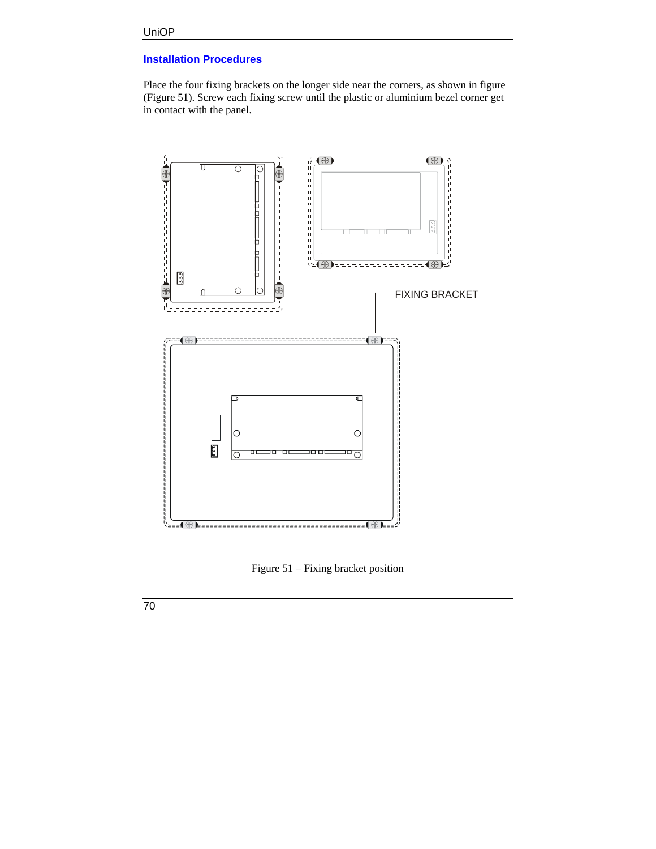### **Installation Procedures**

Place the four fixing brackets on the longer side near the corners, as shown in figure (Figure 51). Screw each fixing screw until the plastic or aluminium bezel corner get in contact with the panel.



Figure 51 – Fixing bracket position

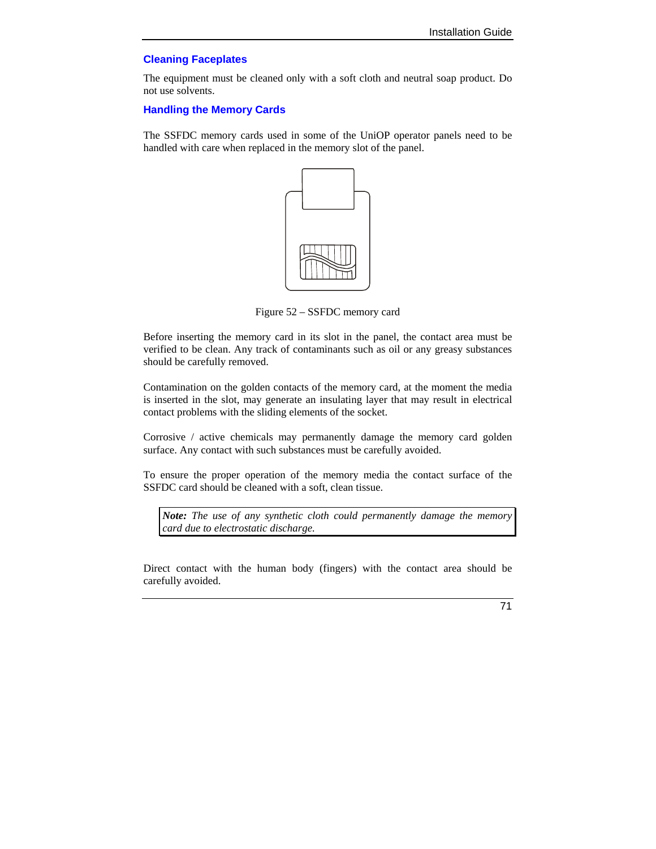#### **Cleaning Faceplates**

The equipment must be cleaned only with a soft cloth and neutral soap product. Do not use solvents.

#### **Handling the Memory Cards**

The SSFDC memory cards used in some of the UniOP operator panels need to be handled with care when replaced in the memory slot of the panel.



Figure 52 – SSFDC memory card

Before inserting the memory card in its slot in the panel, the contact area must be verified to be clean. Any track of contaminants such as oil or any greasy substances should be carefully removed.

Contamination on the golden contacts of the memory card, at the moment the media is inserted in the slot, may generate an insulating layer that may result in electrical contact problems with the sliding elements of the socket.

Corrosive / active chemicals may permanently damage the memory card golden surface. Any contact with such substances must be carefully avoided.

To ensure the proper operation of the memory media the contact surface of the SSFDC card should be cleaned with a soft, clean tissue.

*Note: The use of any synthetic cloth could permanently damage the memory card due to electrostatic discharge.* 

Direct contact with the human body (fingers) with the contact area should be carefully avoided.

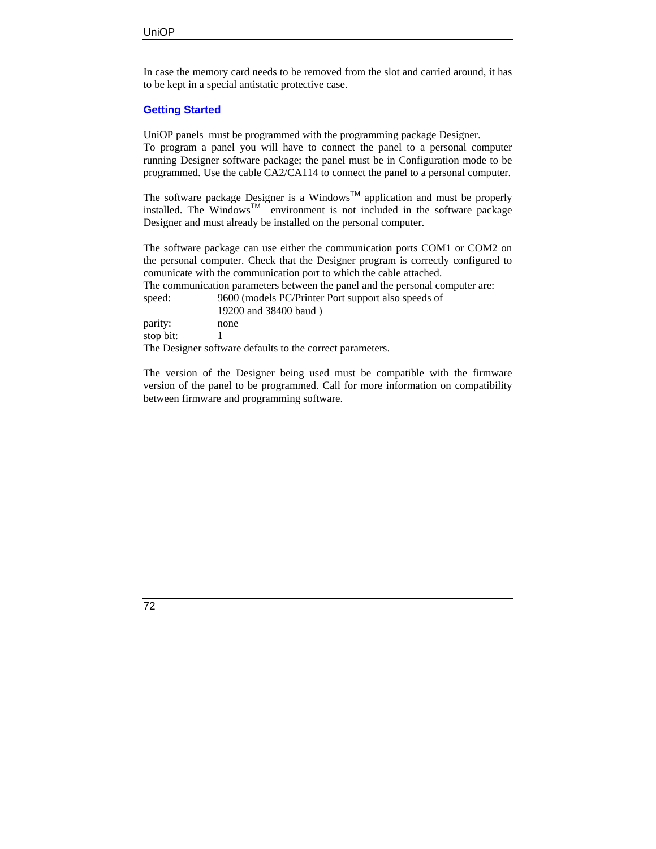In case the memory card needs to be removed from the slot and carried around, it has to be kept in a special antistatic protective case.

#### **Getting Started**

UniOP panels must be programmed with the programming package Designer. To program a panel you will have to connect the panel to a personal computer running Designer software package; the panel must be in Configuration mode to be programmed. Use the cable CA2/CA114 to connect the panel to a personal computer.

The software package Designer is a Windows<sup>TM</sup> application and must be properly  $\frac{1}{2}$  installed. The Windows<sup>TM</sup> environment is not included in the software package Designer and must already be installed on the personal computer.

The software package can use either the communication ports COM1 or COM2 on the personal computer. Check that the Designer program is correctly configured to comunicate with the communication port to which the cable attached.

The communication parameters between the panel and the personal computer are: speed: 9600 (models PC/Printer Port support also speeds of

19200 and 38400 baud ) parity: none stop bit: 1

The Designer software defaults to the correct parameters.

The version of the Designer being used must be compatible with the firmware version of the panel to be programmed. Call for more information on compatibility between firmware and programming software.

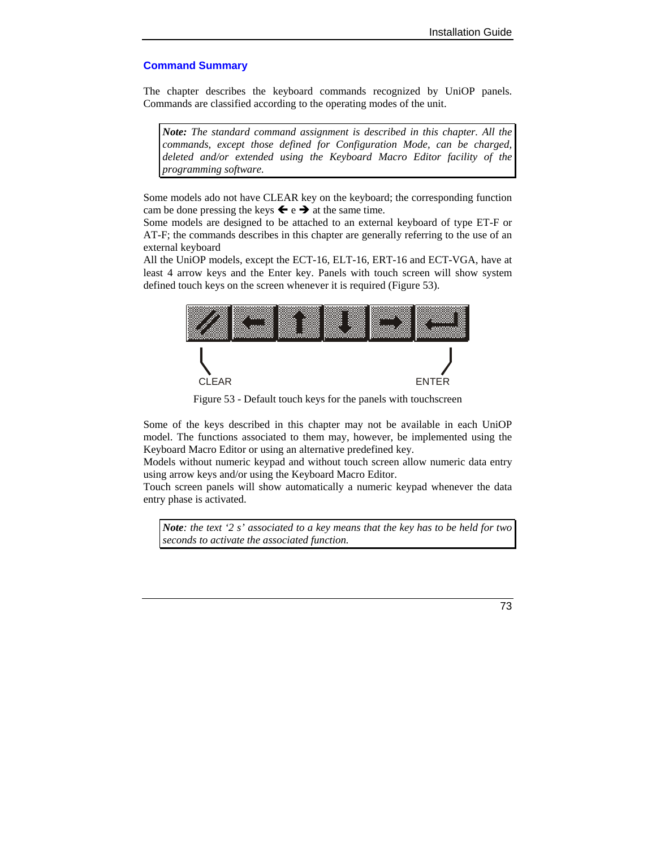#### **Command Summary**

The chapter describes the keyboard commands recognized by UniOP panels. Commands are classified according to the operating modes of the unit.

*Note: The standard command assignment is described in this chapter. All the commands, except those defined for Configuration Mode, can be charged, deleted and/or extended using the Keyboard Macro Editor facility of the programming software.* 

Some models ado not have CLEAR key on the keyboard; the corresponding function cam be done pressing the keys  $\blacktriangleleft$  e  $\blacktriangleright$  at the same time.

Some models are designed to be attached to an external keyboard of type ET-F or AT-F; the commands describes in this chapter are generally referring to the use of an external keyboard

All the UniOP models, except the ECT-16, ELT-16, ERT-16 and ECT-VGA, have at least 4 arrow keys and the Enter key. Panels with touch screen will show system defined touch keys on the screen whenever it is required (Figure 53).



Figure 53 - Default touch keys for the panels with touchscreen

Some of the keys described in this chapter may not be available in each UniOP model. The functions associated to them may, however, be implemented using the Keyboard Macro Editor or using an alternative predefined key.

Models without numeric keypad and without touch screen allow numeric data entry using arrow keys and/or using the Keyboard Macro Editor.

Touch screen panels will show automatically a numeric keypad whenever the data entry phase is activated.

*Note: the text '2 s' associated to a key means that the key has to be held for two seconds to activate the associated function.* 

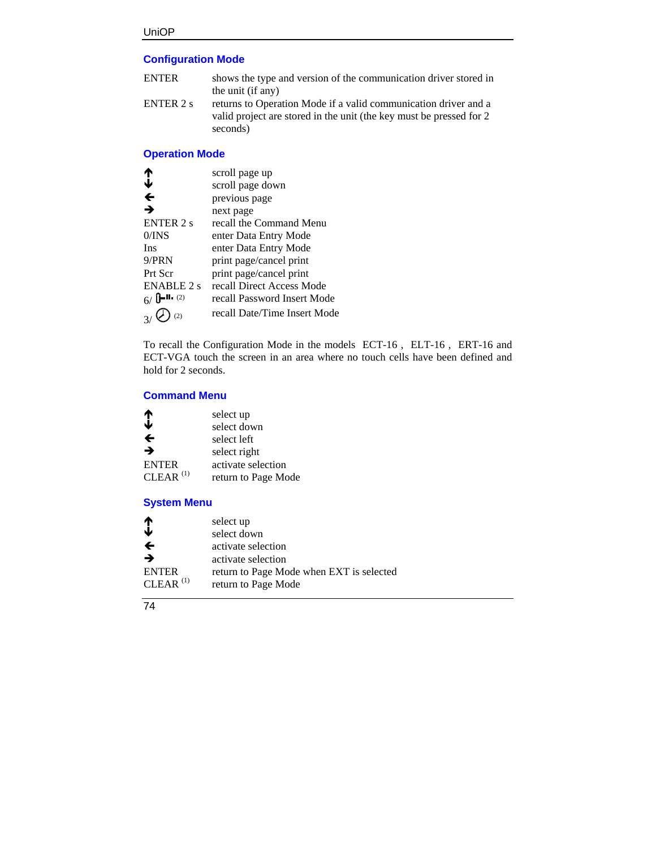# **Configuration Mode**

| ENTER     | shows the type and version of the communication driver stored in     |
|-----------|----------------------------------------------------------------------|
|           | the unit (if any)                                                    |
| ENTER 2 s | returns to Operation Mode if a valid communication driver and a      |
|           | valid project are stored in the unit (the key must be pressed for 2) |
|           | seconds)                                                             |
|           |                                                                      |

# **Operation Mode**

| ፓ<br>ት           | scroll page up               |
|------------------|------------------------------|
|                  | scroll page down             |
| $\leftarrow$     | previous page                |
| →                | next page                    |
| <b>ENTER 2 s</b> | recall the Command Menu      |
| 0/INS            | enter Data Entry Mode        |
| Ins              | enter Data Entry Mode        |
| 9/PRN            | print page/cancel print      |
| Prt Scr          | print page/cancel print      |
| ENABLE 2 s       | recall Direct Access Mode    |
| $6/$ U=II. (2)   | recall Password Insert Mode  |
|                  | recall Date/Time Insert Mode |

To recall the Configuration Mode in the models ECT-16 , ELT-16 , ERT-16 and ECT-VGA touch the screen in an area where no touch cells have been defined and hold for 2 seconds.

### **Command Menu**

| $\updownarrow$       | select up           |
|----------------------|---------------------|
|                      | select down         |
| $\leftarrow$         | select left         |
| →                    | select right        |
| <b>ENTER</b>         | activate selection  |
| CLEAR <sup>(1)</sup> | return to Page Mode |

# **System Menu**

| $\updownarrow$                      | select up                                |
|-------------------------------------|------------------------------------------|
|                                     | select down                              |
| $\leftarrow$                        | activate selection                       |
| →                                   | activate selection                       |
| <b>ENTER</b>                        | return to Page Mode when EXT is selected |
| $CLEAR$ <sup><math>(1)</math></sup> | return to Page Mode                      |

74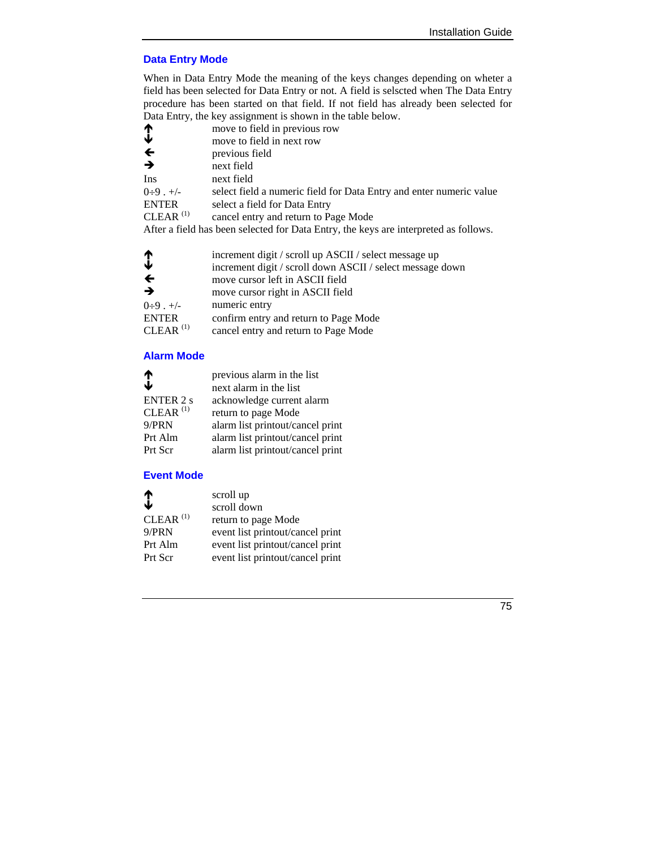# **Data Entry Mode**

When in Data Entry Mode the meaning of the keys changes depending on wheter a field has been selected for Data Entry or not. A field is selscted when The Data Entry procedure has been started on that field. If not field has already been selected for Data Entry, the key assignment is shown in the table below.

| $\updownarrow$                      | move to field in previous row                                                        |
|-------------------------------------|--------------------------------------------------------------------------------------|
|                                     | move to field in next row                                                            |
| $\leftarrow$                        | previous field                                                                       |
| $\rightarrow$                       | next field                                                                           |
| Ins                                 | next field                                                                           |
| $0\div 9$ . $+/-$                   | select field a numeric field for Data Entry and enter numeric value                  |
| <b>ENTER</b>                        | select a field for Data Entry                                                        |
| $CLEAR$ <sup><math>(1)</math></sup> | cancel entry and return to Page Mode                                                 |
|                                     | After a field has been selected for Data Entry, the keys are interpreted as follows. |

| $\updownarrow$       | increment digit / scroll up ASCII / select message up     |
|----------------------|-----------------------------------------------------------|
|                      | increment digit / scroll down ASCII / select message down |
| $\leftarrow$         | move cursor left in ASCII field                           |
| $\rightarrow$        | move cursor right in ASCII field                          |
| $0\div 9$ . $+/-$    | numeric entry                                             |
| <b>ENTER</b>         | confirm entry and return to Page Mode                     |
| CLEAR <sup>(1)</sup> | cancel entry and return to Page Mode                      |

## **Alarm Mode**

| $\updownarrow$       | previous alarm in the list       |
|----------------------|----------------------------------|
|                      | next alarm in the list           |
| <b>ENTER 2 s</b>     | acknowledge current alarm        |
| CLEAR <sup>(1)</sup> | return to page Mode              |
| 9/PRN                | alarm list printout/cancel print |
| Prt Alm              | alarm list printout/cancel print |
| Prt Scr              | alarm list printout/cancel print |

### **Event Mode**

| $\updownarrow$       | scroll up                        |
|----------------------|----------------------------------|
|                      | scroll down                      |
| CLEAR <sup>(1)</sup> | return to page Mode              |
| 9/PRN                | event list printout/cancel print |
| Prt Alm              | event list printout/cancel print |
| Prt Scr              | event list printout/cancel print |
|                      |                                  |

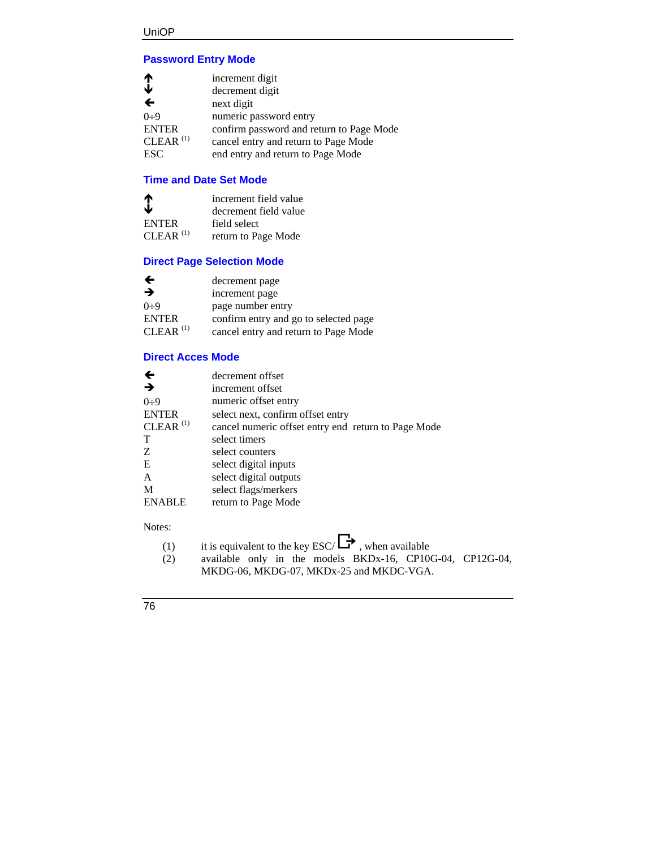# **Password Entry Mode**

| $\updownarrow$       | increment digit                          |
|----------------------|------------------------------------------|
|                      | decrement digit                          |
| ←                    | next digit                               |
| 0, 9                 | numeric password entry                   |
| <b>ENTER</b>         | confirm password and return to Page Mode |
| CLEAR <sup>(1)</sup> | cancel entry and return to Page Mode     |
| <b>ESC</b>           | end entry and return to Page Mode        |

### **Time and Date Set Mode**

| $\updownarrow$                      | increment field value |
|-------------------------------------|-----------------------|
|                                     | decrement field value |
| <b>ENTER</b>                        | field select          |
| $CLEAR$ <sup><math>(1)</math></sup> | return to Page Mode   |

# **Direct Page Selection Mode**

| $\leftarrow$                        | decrement page                        |
|-------------------------------------|---------------------------------------|
| →                                   | increment page                        |
| $0 \div 9$                          | page number entry                     |
| <b>ENTER</b>                        | confirm entry and go to selected page |
| $CLEAR$ <sup><math>(1)</math></sup> | cancel entry and return to Page Mode  |

### **Direct Acces Mode**

| $\leftarrow$         | decrement offset                                    |
|----------------------|-----------------------------------------------------|
| $\rightarrow$        | increment offset                                    |
| $0+9$                | numeric offset entry                                |
| <b>ENTER</b>         | select next, confirm offset entry                   |
| CLEAR <sup>(1)</sup> | cancel numeric offset entry end return to Page Mode |
| T                    | select timers                                       |
| Ζ                    | select counters                                     |
| E                    | select digital inputs                               |
| A                    | select digital outputs                              |
| M                    | select flags/merkers                                |
| <b>ENABLE</b>        | return to Page Mode                                 |
|                      |                                                     |

### Notes:

- (1) it is equivalent to the key ESC/  $\Box$ , when available
- (2) available only in the models BKDx-16, CP10G-04, CP12G-04, MKDG-06, MKDG-07, MKDx-25 and MKDC-VGA.